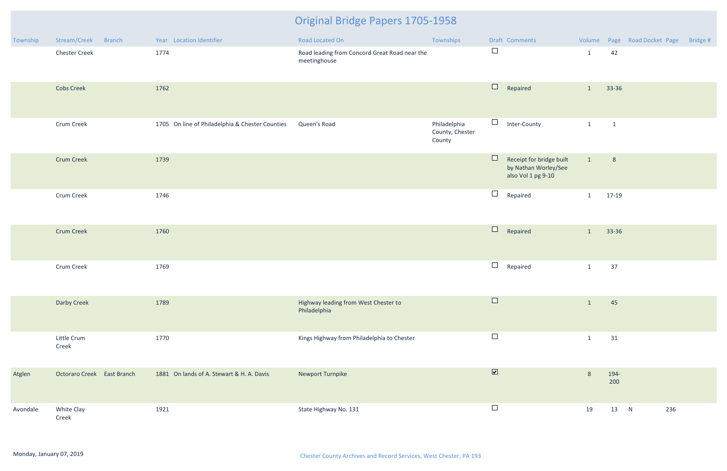| Township | Stream/Creek<br><b>Branch</b> | Year Location Identifier                        | Road Located On                                               | Townships                                 |                         | Draft Comments                                                         |                |              | Volume Page Road Docket Page | Bridge # |
|----------|-------------------------------|-------------------------------------------------|---------------------------------------------------------------|-------------------------------------------|-------------------------|------------------------------------------------------------------------|----------------|--------------|------------------------------|----------|
|          | <b>Chester Creek</b>          | 1774                                            | Road leading from Concord Great Road near the<br>meetinghouse |                                           | $\Box$                  |                                                                        | $\mathbf{1}$   | 42           |                              |          |
|          | <b>Cobs Creek</b>             | 1762                                            |                                                               |                                           | $\Box$                  | Repaired                                                               | $\mathbf{1}$   | 33-36        |                              |          |
|          | Crum Creek                    | 1705 On line of Philadelphia & Chester Counties | Queen's Road                                                  | Philadelphia<br>County, Chester<br>County | $\Box$                  | Inter-County                                                           | $\mathbf{1}$   | $\mathbf{1}$ |                              |          |
|          | <b>Crum Creek</b>             | 1739                                            |                                                               |                                           | $\Box$                  | Receipt for bridge built<br>by Nathan Worley/See<br>also Vol 1 pg 9-10 | $\mathbf{1}$   | 8            |                              |          |
|          | Crum Creek                    | 1746                                            |                                                               |                                           | $\Box$                  | Repaired                                                               | $\mathbf{1}$   | 17-19        |                              |          |
|          | <b>Crum Creek</b>             | 1760                                            |                                                               |                                           | $\Box$                  | Repaired                                                               | $\mathbf{1}$   | 33-36        |                              |          |
|          | Crum Creek                    | 1769                                            |                                                               |                                           | $\Box$                  | Repaired                                                               | $\mathbf{1}$   | 37           |                              |          |
|          | Darby Creek                   | 1789                                            | Highway leading from West Chester to<br>Philadelphia          |                                           | ⊔                       |                                                                        | $\mathbf{1}$   | 45           |                              |          |
|          | Little Crum<br>Creek          | 1770                                            | Kings Highway from Philadelphia to Chester                    |                                           | $\Box$                  |                                                                        | $\mathbf{1}$   | 31           |                              |          |
| Atglen   | Octoraro Creek East Branch    | 1881 On lands of A. Stewart & H. A. Davis       | Newport Turnpike                                              |                                           | $\overline{\mathbf{v}}$ |                                                                        | $8\phantom{1}$ | 194-<br>200  |                              |          |
| Avondale | White Clay<br>Creek           | 1921                                            | State Highway No. 131                                         |                                           | $\Box$                  |                                                                        | 19             | 13 N         | 236                          |          |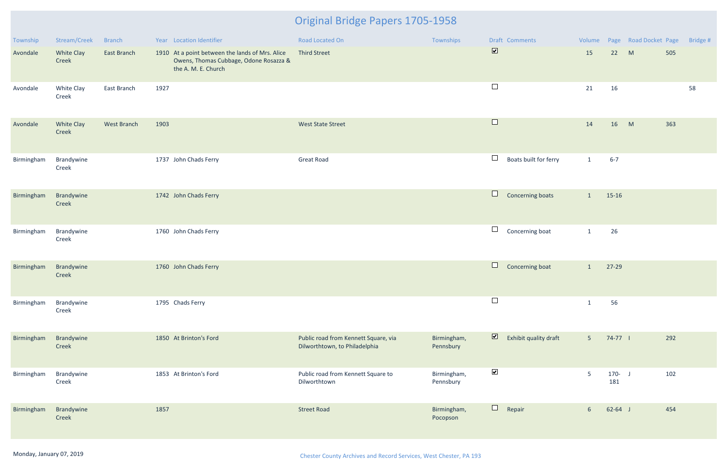| Township   | Stream/Creek               | <b>Branch</b> | Year Location Identifier                                                                                         | <b>Road Located On</b>                                                | Townships                | Draft Comments                                   |                |                  | Volume Page Road Docket Page | Bridge # |
|------------|----------------------------|---------------|------------------------------------------------------------------------------------------------------------------|-----------------------------------------------------------------------|--------------------------|--------------------------------------------------|----------------|------------------|------------------------------|----------|
| Avondale   | <b>White Clay</b><br>Creek | East Branch   | 1910 At a point between the lands of Mrs. Alice<br>Owens, Thomas Cubbage, Odone Rosazza &<br>the A. M. E. Church | <b>Third Street</b>                                                   |                          | $\overline{\mathbf{v}}$                          | 15             | 22 M             |                              | 505      |
| Avondale   | White Clay<br>Creek        | East Branch   | 1927                                                                                                             |                                                                       |                          | $\Box$                                           | 21             | 16               |                              | 58       |
| Avondale   | <b>White Clay</b><br>Creek | West Branch   | 1903                                                                                                             | <b>West State Street</b>                                              |                          | $\Box$                                           | 14             | 16               | M                            | 363      |
| Birmingham | Brandywine<br>Creek        |               | 1737 John Chads Ferry                                                                                            | <b>Great Road</b>                                                     |                          | $\Box$<br>Boats built for ferry                  | $\mathbf{1}$   | $6 - 7$          |                              |          |
| Birmingham | Brandywine<br>Creek        |               | 1742 John Chads Ferry                                                                                            |                                                                       |                          | $\Box$<br>Concerning boats                       | $\mathbf{1}$   | 15-16            |                              |          |
| Birmingham | Brandywine<br>Creek        |               | 1760 John Chads Ferry                                                                                            |                                                                       |                          | $\Box$<br>Concerning boat                        | $\mathbf{1}$   | 26               |                              |          |
| Birmingham | Brandywine<br>Creek        |               | 1760 John Chads Ferry                                                                                            |                                                                       |                          | $\Box$<br>Concerning boat                        | $\mathbf{1}$   | 27-29            |                              |          |
| Birmingham | Brandywine<br>Creek        |               | 1795 Chads Ferry                                                                                                 |                                                                       |                          | $\Box$                                           | $\mathbf{1}$   | 56               |                              |          |
| Birmingham | Brandywine<br>Creek        |               | 1850 At Brinton's Ford                                                                                           | Public road from Kennett Square, via<br>Dilworthtown, to Philadelphia | Birmingham,<br>Pennsbury | $\overline{\mathbf{z}}$<br>Exhibit quality draft | 5 <sup>1</sup> | 74-77            |                              | 292      |
| Birmingham | Brandywine<br>Creek        |               | 1853 At Brinton's Ford                                                                                           | Public road from Kennett Square to<br>Dilworthtown                    | Birmingham,<br>Pennsbury | $\blacktriangledown$                             | 5              | $170 - J$<br>181 |                              | 102      |
| Birmingham | Brandywine<br>Creek        |               | 1857                                                                                                             | <b>Street Road</b>                                                    | Birmingham,<br>Pocopson  | $\Box$<br>Repair                                 | 6 <sup>1</sup> | $62 - 64$ J      |                              | 454      |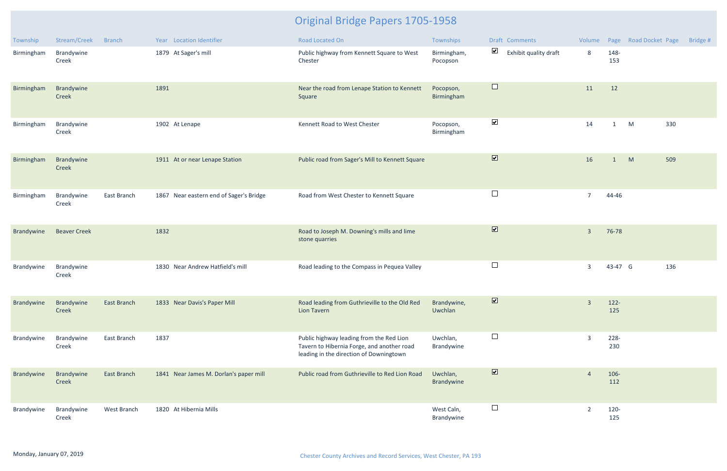| Township   | Stream/Creek        | <b>Branch</b> | Year Location Identifier                | <b>Road Located On</b>                                                                                                            | Townships                | Draft Comments                                | Volume         |                | Page Road Docket Page | Bridge # |
|------------|---------------------|---------------|-----------------------------------------|-----------------------------------------------------------------------------------------------------------------------------------|--------------------------|-----------------------------------------------|----------------|----------------|-----------------------|----------|
| Birmingham | Brandywine<br>Creek |               | 1879 At Sager's mill                    | Public highway from Kennett Square to West<br>Chester                                                                             | Birmingham,<br>Pocopson  | $\blacktriangledown$<br>Exhibit quality draft | 8              | 148-<br>153    |                       |          |
| Birmingham | Brandywine<br>Creek |               | 1891                                    | Near the road from Lenape Station to Kennett<br>Square                                                                            | Pocopson,<br>Birmingham  | $\Box$                                        | 11             | 12             |                       |          |
| Birmingham | Brandywine<br>Creek |               | 1902 At Lenape                          | Kennett Road to West Chester                                                                                                      | Pocopson,<br>Birmingham  | $\blacktriangledown$                          | 14             | $\mathbf{1}$   | 330<br>M              |          |
| Birmingham | Brandywine<br>Creek |               | 1911 At or near Lenape Station          | Public road from Sager's Mill to Kennett Square                                                                                   |                          | $\overline{\mathbf{v}}$                       | 16             | 1              | M<br>509              |          |
| Birmingham | Brandywine<br>Creek | East Branch   | 1867 Near eastern end of Sager's Bridge | Road from West Chester to Kennett Square                                                                                          |                          | $\Box$                                        | $\overline{7}$ | 44-46          |                       |          |
| Brandywine | <b>Beaver Creek</b> |               | 1832                                    | Road to Joseph M. Downing's mills and lime<br>stone quarries                                                                      |                          | $\boxed{\blacktriangledown}$                  | $\overline{3}$ | 76-78          |                       |          |
| Brandywine | Brandywine<br>Creek |               | 1830 Near Andrew Hatfield's mill        | Road leading to the Compass in Pequea Valley                                                                                      |                          | $\Box$                                        | $\overline{3}$ | 43-47 G        | 136                   |          |
| Brandywine | Brandywine<br>Creek | East Branch   | 1833 Near Davis's Paper Mill            | Road leading from Guthrieville to the Old Red<br><b>Lion Tavern</b>                                                               | Brandywine,<br>Uwchlan   | M                                             | $\overline{3}$ | $122 -$<br>125 |                       |          |
| Brandywine | Brandywine<br>Creek | East Branch   | 1837                                    | Public highway leading from the Red Lion<br>Tavern to Hibernia Forge, and another road<br>leading in the direction of Downingtown | Uwchlan,<br>Brandywine   | $\Box$                                        | $\overline{3}$ | 228-<br>230    |                       |          |
| Brandywine | Brandywine<br>Creek | East Branch   | 1841 Near James M. Dorlan's paper mill  | Public road from Guthrieville to Red Lion Road                                                                                    | Uwchlan,<br>Brandywine   | $\boxed{\blacktriangledown}$                  | $\overline{4}$ | 106-<br>112    |                       |          |
| Brandywine | Brandywine<br>Creek | West Branch   | 1820 At Hibernia Mills                  |                                                                                                                                   | West Caln,<br>Brandywine | $\overline{\phantom{a}}$                      | $\overline{2}$ | 120-<br>125    |                       |          |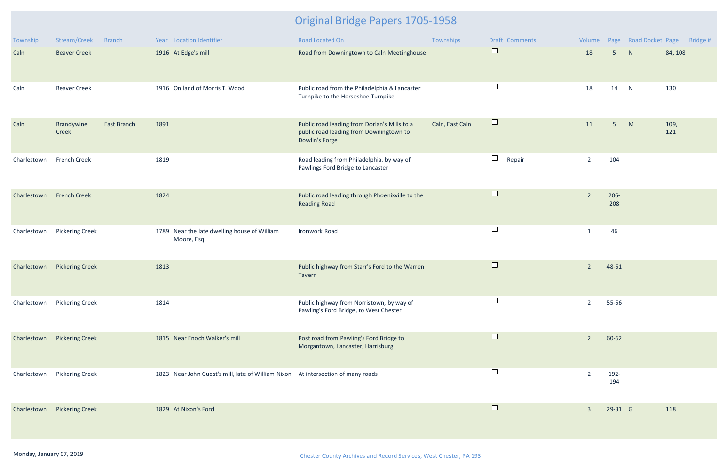| Township    | Stream/Creek           | <b>Branch</b>      | Year Location Identifier                                                         | Road Located On                                                                                           | Townships       | Draft Comments   | Volume         |                |   | Page Road Docket Page Bridge # |
|-------------|------------------------|--------------------|----------------------------------------------------------------------------------|-----------------------------------------------------------------------------------------------------------|-----------------|------------------|----------------|----------------|---|--------------------------------|
| Caln        | <b>Beaver Creek</b>    |                    | 1916 At Edge's mill                                                              | Road from Downingtown to Caln Meetinghouse                                                                |                 | $\Box$           | 18             | 5 <sup>5</sup> | N | 84, 108                        |
| Caln        | <b>Beaver Creek</b>    |                    | 1916 On land of Morris T. Wood                                                   | Public road from the Philadelphia & Lancaster<br>Turnpike to the Horseshoe Turnpike                       |                 | $\Box$           | 18             | 14             | N | 130                            |
| Caln        | Brandywine<br>Creek    | <b>East Branch</b> | 1891                                                                             | Public road leading from Dorlan's Mills to a<br>public road leading from Downingtown to<br>Dowlin's Forge | Caln, East Caln | $\Box$           | 11             | 5 <sup>5</sup> | M | 109,<br>121                    |
| Charlestown | <b>French Creek</b>    |                    | 1819                                                                             | Road leading from Philadelphia, by way of<br>Pawlings Ford Bridge to Lancaster                            |                 | $\Box$<br>Repair | $\overline{2}$ | 104            |   |                                |
| Charlestown | <b>French Creek</b>    |                    | 1824                                                                             | Public road leading through Phoenixville to the<br><b>Reading Road</b>                                    |                 | $\Box$           | $2^{\circ}$    | $206 -$<br>208 |   |                                |
| Charlestown | <b>Pickering Creek</b> |                    | 1789 Near the late dwelling house of William<br>Moore, Esq.                      | Ironwork Road                                                                                             |                 | $\Box$           | 1              | 46             |   |                                |
| Charlestown | <b>Pickering Creek</b> |                    | 1813                                                                             | Public highway from Starr's Ford to the Warren<br>Tavern                                                  |                 | $\Box$           | $\overline{2}$ | 48-51          |   |                                |
| Charlestown | <b>Pickering Creek</b> |                    | 1814                                                                             | Public highway from Norristown, by way of<br>Pawling's Ford Bridge, to West Chester                       |                 | $\Box$           | $\overline{2}$ | 55-56          |   |                                |
| Charlestown | <b>Pickering Creek</b> |                    | 1815 Near Enoch Walker's mill                                                    | Post road from Pawling's Ford Bridge to<br>Morgantown, Lancaster, Harrisburg                              |                 | $\Box$           | $2^{\circ}$    | 60-62          |   |                                |
| Charlestown | <b>Pickering Creek</b> |                    | 1823 Near John Guest's mill, late of William Nixon At intersection of many roads |                                                                                                           |                 |                  | 2              | 192-<br>194    |   |                                |
| Charlestown | <b>Pickering Creek</b> |                    | 1829 At Nixon's Ford                                                             |                                                                                                           |                 | $\Box$           | $\mathbf{3}$   | 29-31 G        |   | 118                            |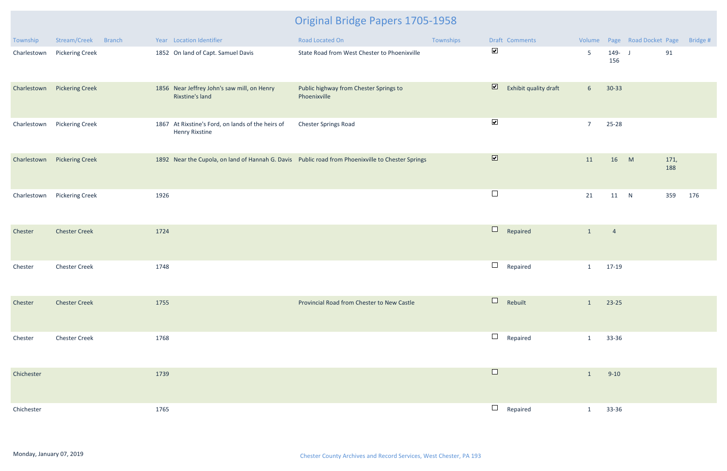| Township    | Stream/Creek           | <b>Branch</b> |      | Year Location Identifier                                                   | Road Located On                                                                                   | Townships |                         | Draft Comments        |                 |                | Volume Page Road Docket Page |             | Bridge # |
|-------------|------------------------|---------------|------|----------------------------------------------------------------------------|---------------------------------------------------------------------------------------------------|-----------|-------------------------|-----------------------|-----------------|----------------|------------------------------|-------------|----------|
| Charlestown | <b>Pickering Creek</b> |               |      | 1852 On land of Capt. Samuel Davis                                         | State Road from West Chester to Phoenixville                                                      |           | $\blacktriangledown$    |                       | 5 <sup>5</sup>  | 149- J<br>156  |                              | 91          |          |
| Charlestown | <b>Pickering Creek</b> |               |      | 1856 Near Jeffrey John's saw mill, on Henry<br>Rixstine's land             | Public highway from Chester Springs to<br>Phoenixville                                            |           | $\blacksquare$          | Exhibit quality draft | $6\overline{6}$ | $30 - 33$      |                              |             |          |
| Charlestown | <b>Pickering Creek</b> |               |      | 1867 At Rixstine's Ford, on lands of the heirs of<br><b>Henry Rixstine</b> | Chester Springs Road                                                                              |           | $\blacktriangledown$    |                       | $\overline{7}$  | 25-28          |                              |             |          |
| Charlestown | <b>Pickering Creek</b> |               |      |                                                                            | 1892 Near the Cupola, on land of Hannah G. Davis Public road from Phoenixville to Chester Springs |           | $\overline{\mathbf{v}}$ |                       | 11              | 16             | M                            | 171,<br>188 |          |
| Charlestown | <b>Pickering Creek</b> |               | 1926 |                                                                            |                                                                                                   |           | $\Box$                  |                       | 21              | 11 N           |                              | 359         | 176      |
| Chester     | <b>Chester Creek</b>   |               | 1724 |                                                                            |                                                                                                   |           | $\Box$                  | Repaired              | $\mathbf{1}$    | $\overline{4}$ |                              |             |          |
| Chester     | <b>Chester Creek</b>   |               | 1748 |                                                                            |                                                                                                   |           | $\Box$                  | Repaired              | $\mathbf{1}$    | 17-19          |                              |             |          |
| Chester     | <b>Chester Creek</b>   |               | 1755 |                                                                            | Provincial Road from Chester to New Castle                                                        |           | $\Box$                  | Rebuilt               | $\mathbf{1}$    | 23-25          |                              |             |          |
| Chester     | <b>Chester Creek</b>   |               | 1768 |                                                                            |                                                                                                   |           | $\Box$                  | Repaired              | $\mathbf{1}$    | 33-36          |                              |             |          |
| Chichester  |                        |               | 1739 |                                                                            |                                                                                                   |           | $\Box$                  |                       | $\mathbf{1}$    | $9-10$         |                              |             |          |
| Chichester  |                        |               | 1765 |                                                                            |                                                                                                   |           | $\Box$                  | Repaired              | $\mathbf{1}$    | 33-36          |                              |             |          |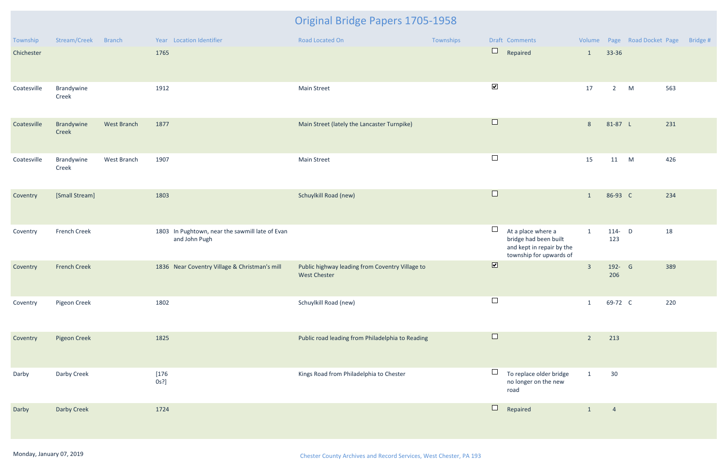| Township    | Stream/Creek        | <b>Branch</b> | Year Location Identifier                                         | Road Located On                                                        | Townships | Draft Comments          |                                                                                                     |                |                  | Volume Page Road Docket Page | Bridge # |
|-------------|---------------------|---------------|------------------------------------------------------------------|------------------------------------------------------------------------|-----------|-------------------------|-----------------------------------------------------------------------------------------------------|----------------|------------------|------------------------------|----------|
| Chichester  |                     |               | 1765                                                             |                                                                        |           | $\Box$                  | Repaired                                                                                            | $\mathbf{1}$   | 33-36            |                              |          |
| Coatesville | Brandywine<br>Creek |               | 1912                                                             | Main Street                                                            |           | $\blacktriangledown$    |                                                                                                     | 17             | $2^{\circ}$      | M                            | 563      |
| Coatesville | Brandywine<br>Creek | West Branch   | 1877                                                             | Main Street (lately the Lancaster Turnpike)                            |           | $\Box$                  |                                                                                                     | 8              | 81-87 L          |                              | 231      |
| Coatesville | Brandywine<br>Creek | West Branch   | 1907                                                             | <b>Main Street</b>                                                     |           | $\Box$                  |                                                                                                     | 15             | 11 M             |                              | 426      |
| Coventry    | [Small Stream]      |               | 1803                                                             | Schuylkill Road (new)                                                  |           | $\Box$                  |                                                                                                     | $\mathbf{1}$   | 86-93 C          |                              | 234      |
| Coventry    | French Creek        |               | 1803 In Pughtown, near the sawmill late of Evan<br>and John Pugh |                                                                        |           | $\Box$                  | At a place where a<br>bridge had been built<br>and kept in repair by the<br>township for upwards of | $\mathbf{1}$   | $114 - D$<br>123 |                              | 18       |
| Coventry    | <b>French Creek</b> |               | 1836 Near Coventry Village & Christman's mill                    | Public highway leading from Coventry Village to<br><b>West Chester</b> |           | $\overline{\mathbf{v}}$ |                                                                                                     | $\overline{3}$ | 192- G<br>206    |                              | 389      |
| Coventry    | Pigeon Creek        |               | 1802                                                             | Schuylkill Road (new)                                                  |           | $\Box$                  |                                                                                                     | $\mathbf{1}$   | 69-72 C          |                              | 220      |
| Coventry    | <b>Pigeon Creek</b> |               | 1825                                                             | Public road leading from Philadelphia to Reading                       |           | $\Box$                  |                                                                                                     | $\overline{2}$ | 213              |                              |          |
| Darby       | Darby Creek         |               | $[176$<br>$0s$ ?]                                                | Kings Road from Philadelphia to Chester                                |           | road                    | To replace older bridge<br>no longer on the new                                                     | $\mathbf{1}$   | 30               |                              |          |
| Darby       | Darby Creek         |               | 1724                                                             |                                                                        |           | $\Box$                  | Repaired                                                                                            | $\mathbf{1}$   | $\overline{4}$   |                              |          |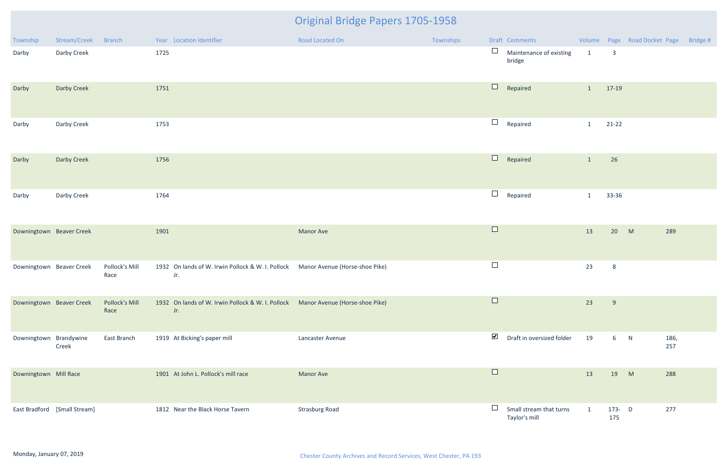| Township                 | Stream/Creek                 | <b>Branch</b>          |      | Year Location Identifier                                                                | Road Located On       | Townships |                                       | Draft Comments                           |              |                         | Volume Page Road Docket Page Bridge # |  |
|--------------------------|------------------------------|------------------------|------|-----------------------------------------------------------------------------------------|-----------------------|-----------|---------------------------------------|------------------------------------------|--------------|-------------------------|---------------------------------------|--|
| Darby                    | Darby Creek                  |                        | 1725 |                                                                                         |                       |           | $\begin{array}{c} \hline \end{array}$ | Maintenance of existing<br>bridge        | $\mathbf{1}$ | $\overline{\mathbf{3}}$ |                                       |  |
| Darby                    | Darby Creek                  |                        | 1751 |                                                                                         |                       |           | $\Box$                                | Repaired                                 | $\mathbf{1}$ | 17-19                   |                                       |  |
| Darby                    | Darby Creek                  |                        | 1753 |                                                                                         |                       |           | $\Box$                                | Repaired                                 | $\mathbf{1}$ | $21 - 22$               |                                       |  |
| Darby                    | Darby Creek                  |                        | 1756 |                                                                                         |                       |           | $\Box$                                | Repaired                                 | $\mathbf{1}$ | 26                      |                                       |  |
| Darby                    | Darby Creek                  |                        | 1764 |                                                                                         |                       |           | $\Box$                                | Repaired                                 | $\mathbf{1}$ | 33-36                   |                                       |  |
| Downingtown Beaver Creek |                              |                        | 1901 |                                                                                         | <b>Manor Ave</b>      |           | $\Box$                                |                                          | 13           | 20                      | M<br>289                              |  |
| Downingtown Beaver Creek |                              | Pollock's Mill<br>Race |      | 1932 On lands of W. Irwin Pollock & W. I. Pollock Manor Avenue (Horse-shoe Pike)<br>Jr. |                       |           | $\Box$                                |                                          | 23           | 8 <sup>8</sup>          |                                       |  |
| Downingtown Beaver Creek |                              | Pollock's Mill<br>Race |      | 1932 On lands of W. Irwin Pollock & W. I. Pollock Manor Avenue (Horse-shoe Pike)<br>Jr. |                       |           | $\Box$                                |                                          | 23           | 9                       |                                       |  |
| Downingtown Brandywine   | Creek                        | East Branch            |      | 1919 At Bicking's paper mill                                                            | Lancaster Avenue      |           | $\blacktriangledown$                  | Draft in oversized folder                | 19           | 6 N                     | 186,<br>257                           |  |
| Downingtown Mill Race    |                              |                        |      | 1901 At John L. Pollock's mill race                                                     | <b>Manor Ave</b>      |           | $\Box$                                |                                          | 13           | 19                      | M<br>288                              |  |
|                          | East Bradford [Small Stream] |                        |      | 1812 Near the Black Horse Tavern                                                        | <b>Strasburg Road</b> |           |                                       | Small stream that turns<br>Taylor's mill | $\mathbf{1}$ | $173 - D$<br>175        | 277                                   |  |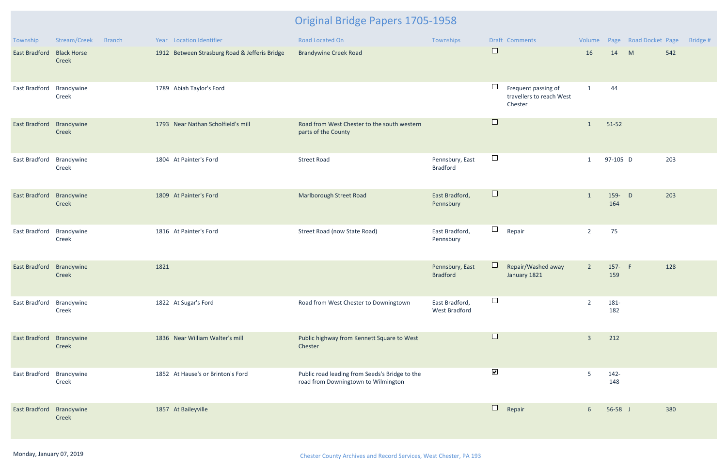| Township             | Stream/Creek<br><b>Branch</b> | Year Location Identifier                      | <b>Road Located On</b>                                                                | Townships                              | Draft Comments                                                       | Volume         |                | Page Road Docket Page | Bridge # |
|----------------------|-------------------------------|-----------------------------------------------|---------------------------------------------------------------------------------------|----------------------------------------|----------------------------------------------------------------------|----------------|----------------|-----------------------|----------|
| <b>East Bradford</b> | <b>Black Horse</b><br>Creek   | 1912 Between Strasburg Road & Jefferis Bridge | <b>Brandywine Creek Road</b>                                                          |                                        | $\Box$                                                               | 16             | 14             | M<br>542              |          |
| East Bradford        | Brandywine<br>Creek           | 1789 Abiah Taylor's Ford                      |                                                                                       |                                        | $\Box$<br>Frequent passing of<br>travellers to reach West<br>Chester | $\mathbf{1}$   | 44             |                       |          |
| <b>East Bradford</b> | Brandywine<br>Creek           | 1793 Near Nathan Scholfield's mill            | Road from West Chester to the south western<br>parts of the County                    |                                        | $\Box$                                                               | $\mathbf{1}$   | $51-52$        |                       |          |
| East Bradford        | Brandywine<br>Creek           | 1804 At Painter's Ford                        | <b>Street Road</b>                                                                    | Pennsbury, East<br><b>Bradford</b>     | $\Box$                                                               | $\mathbf{1}$   | 97-105 D       | 203                   |          |
| <b>East Bradford</b> | Brandywine<br>Creek           | 1809 At Painter's Ford                        | Marlborough Street Road                                                               | East Bradford,<br>Pennsbury            | $\Box$                                                               | $\mathbf{1}$   | 159- D<br>164  | 203                   |          |
| East Bradford        | Brandywine<br>Creek           | 1816 At Painter's Ford                        | Street Road (now State Road)                                                          | East Bradford,<br>Pennsbury            | $\Box$<br>Repair                                                     | $\overline{2}$ | 75             |                       |          |
| <b>East Bradford</b> | Brandywine<br>Creek           | 1821                                          |                                                                                       | Pennsbury, East<br><b>Bradford</b>     | Repair/Washed away<br>January 1821                                   | $\overline{2}$ | 157- F<br>159  | 128                   |          |
| East Bradford        | Brandywine<br>Creek           | 1822 At Sugar's Ford                          | Road from West Chester to Downingtown                                                 | East Bradford,<br><b>West Bradford</b> | $\Box$                                                               | $\overline{2}$ | 181-<br>182    |                       |          |
| East Bradford        | Brandywine<br>Creek           | 1836 Near William Walter's mill               | Public highway from Kennett Square to West<br>Chester                                 |                                        | $\Box$                                                               | $\overline{3}$ | 212            |                       |          |
| East Bradford        | Brandywine<br>Creek           | 1852 At Hause's or Brinton's Ford             | Public road leading from Seeds's Bridge to the<br>road from Downingtown to Wilmington |                                        | $\blacktriangledown$                                                 | 5              | $142 -$<br>148 |                       |          |
| East Bradford        | Brandywine<br>Creek           | 1857 At Baileyville                           |                                                                                       |                                        | $\Box$<br>Repair                                                     | 6 <sup>1</sup> | $56-58$ J      | 380                   |          |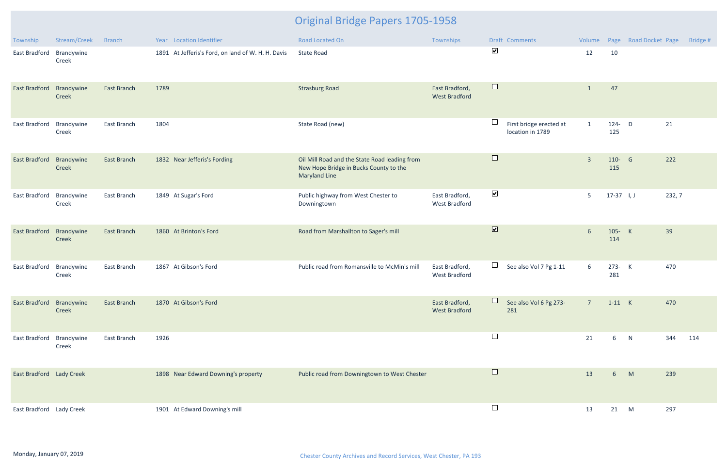| Township                 | Stream/Creek        | <b>Branch</b>      | Year Location Identifier                           | <b>Road Located On</b>                                                                                          | Townships                              | Draft Comments                                        | Volume          |               | Page Road Docket Page | Bridge # |
|--------------------------|---------------------|--------------------|----------------------------------------------------|-----------------------------------------------------------------------------------------------------------------|----------------------------------------|-------------------------------------------------------|-----------------|---------------|-----------------------|----------|
| East Bradford            | Brandywine<br>Creek |                    | 1891 At Jefferis's Ford, on land of W. H. H. Davis | <b>State Road</b>                                                                                               |                                        | $\blacktriangledown$                                  | 12              | 10            |                       |          |
| <b>East Bradford</b>     | Brandywine<br>Creek | <b>East Branch</b> | 1789                                               | <b>Strasburg Road</b>                                                                                           | East Bradford,<br><b>West Bradford</b> | $\Box$                                                | $\mathbf{1}$    | 47            |                       |          |
| East Bradford            | Brandywine<br>Creek | East Branch        | 1804                                               | State Road (new)                                                                                                |                                        | $\Box$<br>First bridge erected at<br>location in 1789 | $\overline{1}$  | 124- D<br>125 | 21                    |          |
| <b>East Bradford</b>     | Brandywine<br>Creek | <b>East Branch</b> | 1832 Near Jefferis's Fording                       | Oil Mill Road and the State Road leading from<br>New Hope Bridge in Bucks County to the<br><b>Maryland Line</b> |                                        | $\Box$                                                | $\overline{3}$  | 110- G<br>115 | 222                   |          |
| East Bradford            | Brandywine<br>Creek | East Branch        | 1849 At Sugar's Ford                               | Public highway from West Chester to<br>Downingtown                                                              | East Bradford,<br><b>West Bradford</b> | $\blacktriangledown$                                  | 5               | $17-37$ I, J  |                       | 232, 7   |
| <b>East Bradford</b>     | Brandywine<br>Creek | <b>East Branch</b> | 1860 At Brinton's Ford                             | Road from Marshallton to Sager's mill                                                                           |                                        | $\overline{\mathbf{v}}$                               | $6\overline{6}$ | 105- K<br>114 | 39                    |          |
| <b>East Bradford</b>     | Brandywine<br>Creek | East Branch        | 1867 At Gibson's Ford                              | Public road from Romansville to McMin's mill                                                                    | East Bradford,<br><b>West Bradford</b> | $\Box$<br>See also Vol 7 Pg 1-11                      | 6               | 273- K<br>281 | 470                   |          |
| East Bradford Brandywine | Creek               | <b>East Branch</b> | 1870 At Gibson's Ford                              |                                                                                                                 | East Bradford,<br><b>West Bradford</b> | See also Vol 6 Pg 273-<br>281                         | $\overline{7}$  | $1-11$ K      | 470                   |          |
| East Bradford            | Brandywine<br>Creek | East Branch        | 1926                                               |                                                                                                                 |                                        | $\Box$                                                | 21              | 6             | N<br>344              | 114      |
| East Bradford Lady Creek |                     |                    | 1898 Near Edward Downing's property                | Public road from Downingtown to West Chester                                                                    |                                        | $\Box$                                                | 13              | 6 M           | 239                   |          |
| East Bradford Lady Creek |                     |                    | 1901 At Edward Downing's mill                      |                                                                                                                 |                                        | $\Box$                                                | 13              | 21 M          | 297                   |          |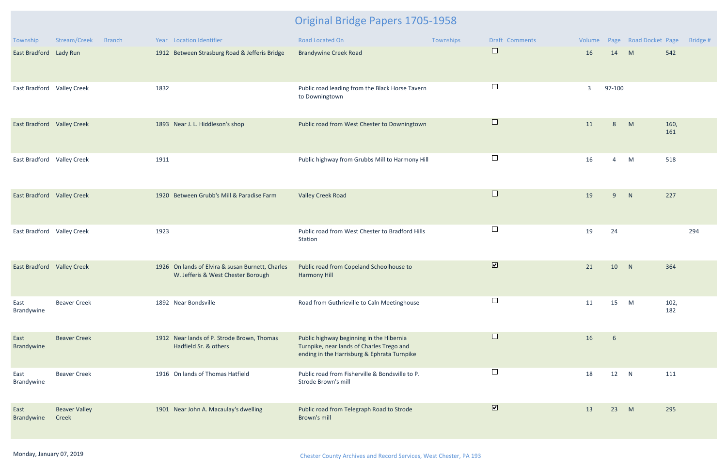| Township                          | Stream/Creek<br><b>Branch</b> | Year Location Identifier                                                               | <b>Road Located On</b>                                                                                                               | Townships | Draft Comments          | Volume       |                 | Page Road Docket Page |             | Bridge # |
|-----------------------------------|-------------------------------|----------------------------------------------------------------------------------------|--------------------------------------------------------------------------------------------------------------------------------------|-----------|-------------------------|--------------|-----------------|-----------------------|-------------|----------|
| East Bradford Lady Run            |                               | 1912 Between Strasburg Road & Jefferis Bridge                                          | <b>Brandywine Creek Road</b>                                                                                                         |           | $\Box$                  | 16           | 14              | M                     | 542         |          |
| East Bradford Valley Creek        |                               | 1832                                                                                   | Public road leading from the Black Horse Tavern<br>to Downingtown                                                                    |           |                         | $\mathbf{3}$ | 97-100          |                       |             |          |
| <b>East Bradford Valley Creek</b> |                               | 1893 Near J. L. Hiddleson's shop                                                       | Public road from West Chester to Downingtown                                                                                         |           | $\Box$                  | 11           | 8               | M                     | 160,<br>161 |          |
| East Bradford Valley Creek        |                               | 1911                                                                                   | Public highway from Grubbs Mill to Harmony Hill                                                                                      |           |                         | 16           | $\overline{4}$  | M                     | 518         |          |
| East Bradford Valley Creek        |                               | 1920 Between Grubb's Mill & Paradise Farm                                              | <b>Valley Creek Road</b>                                                                                                             |           | $\Box$                  | 19           | 9               | N                     | 227         |          |
| East Bradford Valley Creek        |                               | 1923                                                                                   | Public road from West Chester to Bradford Hills<br>Station                                                                           |           | $\Box$                  | 19           | 24              |                       |             | 294      |
| <b>East Bradford Valley Creek</b> |                               | 1926 On lands of Elvira & susan Burnett, Charles<br>W. Jefferis & West Chester Borough | Public road from Copeland Schoolhouse to<br><b>Harmony Hill</b>                                                                      |           | $\overline{\mathbf{v}}$ | 21           | 10              | N                     | 364         |          |
| East<br>Brandywine                | <b>Beaver Creek</b>           | 1892 Near Bondsville                                                                   | Road from Guthrieville to Caln Meetinghouse                                                                                          |           | $\Box$                  | 11           | 15              | M                     | 102,<br>182 |          |
| East<br>Brandywine                | <b>Beaver Creek</b>           | 1912 Near lands of P. Strode Brown, Thomas<br>Hadfield Sr. & others                    | Public highway beginning in the Hibernia<br>Turnpike, near lands of Charles Trego and<br>ending in the Harrisburg & Ephrata Turnpike |           | $\Box$                  | 16           | $6\overline{6}$ |                       |             |          |
| East<br>Brandywine                | <b>Beaver Creek</b>           | 1916 On lands of Thomas Hatfield                                                       | Public road from Fisherville & Bondsville to P.<br>Strode Brown's mill                                                               |           |                         | 18           | 12              | N                     | 111         |          |
| East<br>Brandywine                | <b>Beaver Valley</b><br>Creek | 1901 Near John A. Macaulay's dwelling                                                  | Public road from Telegraph Road to Strode<br>Brown's mill                                                                            |           | $\overline{\mathbf{v}}$ | 13           | 23              | M                     | 295         |          |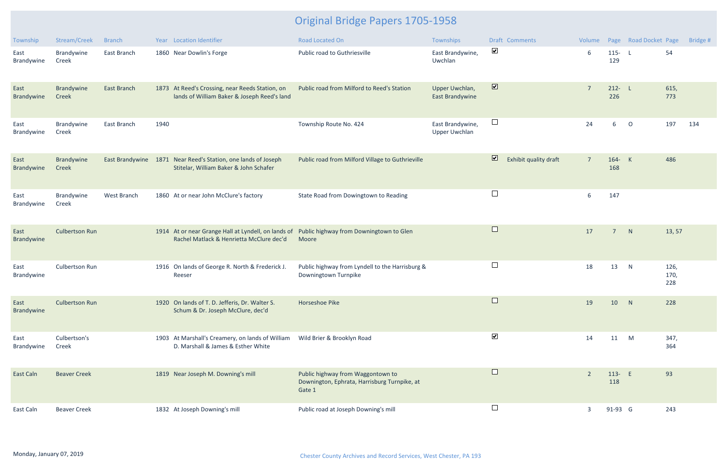| Township           | Stream/Creek          | <b>Branch</b> |      | Year Location Identifier                                                                                                                | <b>Road Located On</b>                                                                      | Townships                                | Draft Comments                                   | Volume         |                  | Page Road Docket Page |                     | Bridge # |
|--------------------|-----------------------|---------------|------|-----------------------------------------------------------------------------------------------------------------------------------------|---------------------------------------------------------------------------------------------|------------------------------------------|--------------------------------------------------|----------------|------------------|-----------------------|---------------------|----------|
| East<br>Brandywine | Brandywine<br>Creek   | East Branch   |      | 1860 Near Dowlin's Forge                                                                                                                | Public road to Guthriesville                                                                | East Brandywine,<br>Uwchlan              | $\blacktriangledown$                             | 6              | $115 - L$<br>129 |                       | 54                  |          |
| East<br>Brandywine | Brandywine<br>Creek   | East Branch   |      | 1873 At Reed's Crossing, near Reeds Station, on<br>lands of William Baker & Joseph Reed's land                                          | Public road from Milford to Reed's Station                                                  | Upper Uwchlan,<br>East Brandywine        | $\boxed{\blacktriangledown}$                     | $\overline{7}$ | $212 - L$<br>226 |                       | 615,<br>773         |          |
| East<br>Brandywine | Brandywine<br>Creek   | East Branch   | 1940 |                                                                                                                                         | Township Route No. 424                                                                      | East Brandywine,<br><b>Upper Uwchlan</b> | $\Box$                                           | 24             | 6                | $\circ$               | 197                 | 134      |
| East<br>Brandywine | Brandywine<br>Creek   |               |      | East Brandywine 1871 Near Reed's Station, one lands of Joseph<br>Stitelar, William Baker & John Schafer                                 | Public road from Milford Village to Guthrieville                                            |                                          | $\overline{\mathbf{v}}$<br>Exhibit quality draft | $\overline{7}$ | 164- K<br>168    |                       | 486                 |          |
| East<br>Brandywine | Brandywine<br>Creek   | West Branch   |      | 1860 At or near John McClure's factory                                                                                                  | State Road from Dowingtown to Reading                                                       |                                          | $\Box$                                           | 6              | 147              |                       |                     |          |
| East<br>Brandywine | <b>Culbertson Run</b> |               |      | 1914 At or near Grange Hall at Lyndell, on lands of Public highway from Downingtown to Glen<br>Rachel Matlack & Henrietta McClure dec'd | Moore                                                                                       |                                          | $\Box$                                           | 17             | $\overline{7}$   | N                     | 13, 57              |          |
| East<br>Brandywine | <b>Culbertson Run</b> |               |      | 1916 On lands of George R. North & Frederick J.<br>Reeser                                                                               | Public highway from Lyndell to the Harrisburg &<br>Downingtown Turnpike                     |                                          | $\Box$                                           | 18             | 13               | N                     | 126,<br>170,<br>228 |          |
| East<br>Brandywine | <b>Culbertson Run</b> |               |      | 1920 On lands of T. D. Jefferis, Dr. Walter S.<br>Schum & Dr. Joseph McClure, dec'd                                                     | Horseshoe Pike                                                                              |                                          | $\Box$                                           | 19             | 10               | N                     | 228                 |          |
| East<br>Brandywine | Culbertson's<br>Creek |               |      | 1903 At Marshall's Creamery, on lands of William<br>D. Marshall & James & Esther White                                                  | Wild Brier & Brooklyn Road                                                                  |                                          | $\blacktriangledown$                             | 14             | 11               | M                     | 347,<br>364         |          |
| East Caln          | <b>Beaver Creek</b>   |               |      | 1819 Near Joseph M. Downing's mill                                                                                                      | Public highway from Waggontown to<br>Downington, Ephrata, Harrisburg Turnpike, at<br>Gate 1 |                                          | $\Box$                                           | $\overline{2}$ | 113- E<br>118    |                       | 93                  |          |
| East Caln          | <b>Beaver Creek</b>   |               |      | 1832 At Joseph Downing's mill                                                                                                           | Public road at Joseph Downing's mill                                                        |                                          | $\Box$                                           | 3              | 91-93 G          |                       | 243                 |          |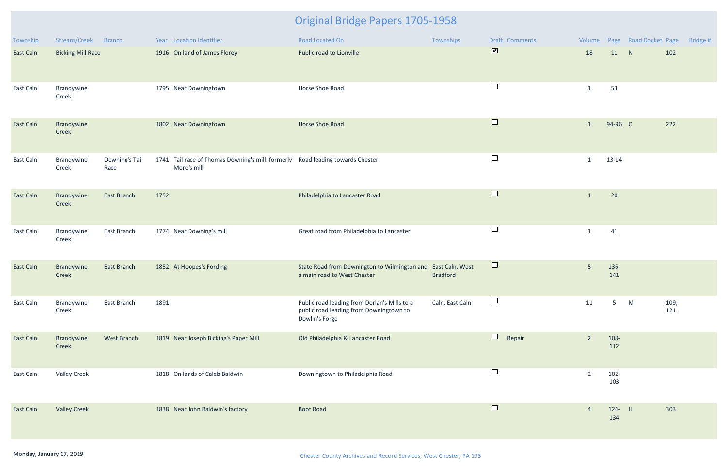| Township         | Stream/Creek Branch      |                        | Year Location Identifier                                                                      | Road Located On                                                                                           | Townships       | Draft Comments       |                |                | Volume Page Road Docket Page |             | Bridge # |
|------------------|--------------------------|------------------------|-----------------------------------------------------------------------------------------------|-----------------------------------------------------------------------------------------------------------|-----------------|----------------------|----------------|----------------|------------------------------|-------------|----------|
| <b>East Caln</b> | <b>Bicking Mill Race</b> |                        | 1916 On land of James Florey                                                                  | Public road to Lionville                                                                                  |                 | $\boxed{\textbf{v}}$ | 18             | 11             | N                            | 102         |          |
| East Caln        | Brandywine<br>Creek      |                        | 1795 Near Downingtown                                                                         | Horse Shoe Road                                                                                           |                 | $\Box$               | 1              | 53             |                              |             |          |
| <b>East Caln</b> | Brandywine<br>Creek      |                        | 1802 Near Downingtown                                                                         | <b>Horse Shoe Road</b>                                                                                    |                 | $\Box$               | $\mathbf{1}$   | 94-96 C        |                              | 222         |          |
| East Caln        | Brandywine<br>Creek      | Downing's Tail<br>Race | 1741 Tail race of Thomas Downing's mill, formerly Road leading towards Chester<br>More's mill |                                                                                                           |                 | $\Box$               | $\mathbf{1}$   | 13-14          |                              |             |          |
| <b>East Caln</b> | Brandywine<br>Creek      | <b>East Branch</b>     | 1752                                                                                          | Philadelphia to Lancaster Road                                                                            |                 | $\Box$               | 1              | 20             |                              |             |          |
| East Caln        | Brandywine<br>Creek      | East Branch            | 1774 Near Downing's mill                                                                      | Great road from Philadelphia to Lancaster                                                                 |                 | $\Box$               | $\mathbf{1}$   | 41             |                              |             |          |
| <b>East Caln</b> | Brandywine<br>Creek      | <b>East Branch</b>     | 1852 At Hoopes's Fording                                                                      | State Road from Downington to Wilmington and East Caln, West<br>a main road to West Chester               | <b>Bradford</b> | $\Box$               | 5 <sup>5</sup> | 136-<br>141    |                              |             |          |
| East Caln        | Brandywine<br>Creek      | East Branch            | 1891                                                                                          | Public road leading from Dorlan's Mills to a<br>public road leading from Downingtown to<br>Dowlin's Forge | Caln, East Caln | $\Box$               | 11             | 5              | M                            | 109,<br>121 |          |
| East Caln        | Brandywine<br>Creek      | West Branch            | 1819 Near Joseph Bicking's Paper Mill                                                         | Old Philadelphia & Lancaster Road                                                                         |                 | $\Box$<br>Repair     | $\overline{2}$ | 108-<br>112    |                              |             |          |
| East Caln        | <b>Valley Creek</b>      |                        | 1818 On lands of Caleb Baldwin                                                                | Downingtown to Philadelphia Road                                                                          |                 | $\Box$               | $\overline{2}$ | $102 -$<br>103 |                              |             |          |
| East Caln        | <b>Valley Creek</b>      |                        | 1838 Near John Baldwin's factory                                                              | <b>Boot Road</b>                                                                                          |                 | $\Box$               | $\overline{4}$ | 124- H<br>134  |                              | 303         |          |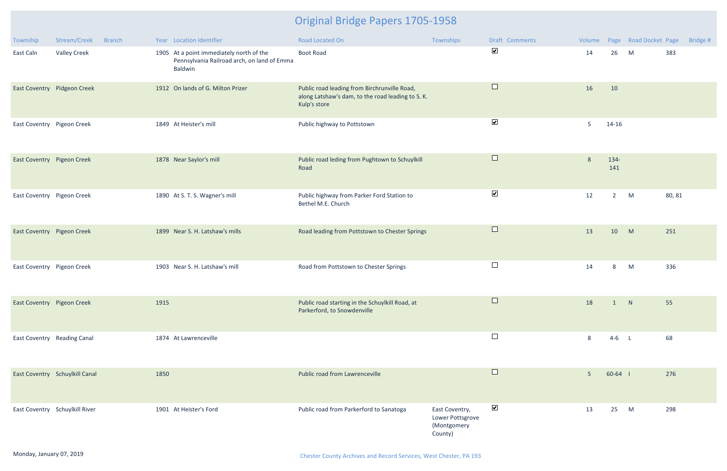| Township                    | Stream/Creek                   | <b>Branch</b> |      | Year Location Identifier                                                                           | Road Located On                                                                                                   | Townships                                                    | Draft Comments       | Volume         |             | Page Road Docket Page |        | Bridge # |
|-----------------------------|--------------------------------|---------------|------|----------------------------------------------------------------------------------------------------|-------------------------------------------------------------------------------------------------------------------|--------------------------------------------------------------|----------------------|----------------|-------------|-----------------------|--------|----------|
| East Caln                   | <b>Valley Creek</b>            |               |      | 1905 At a point immediately north of the<br>Pennsylvania Railroad arch, on land of Emma<br>Baldwin | <b>Boot Road</b>                                                                                                  |                                                              | $\blacktriangledown$ | 14             | 26          | M                     | 383    |          |
|                             | East Coventry Pidgeon Creek    |               |      | 1912 On lands of G. Milton Prizer                                                                  | Public road leading from Birchrunville Road,<br>along Latshaw's dam, to the road leading to S. K.<br>Kulp's store |                                                              | $\Box$               | 16             | 10          |                       |        |          |
| East Coventry Pigeon Creek  |                                |               |      | 1849 At Heister's mill                                                                             | Public highway to Pottstown                                                                                       |                                                              | $\blacktriangledown$ | -5             | $14 - 16$   |                       |        |          |
| East Coventry Pigeon Creek  |                                |               |      | 1878 Near Saylor's mill                                                                            | Public road leding from Pughtown to Schuylkill<br>Road                                                            |                                                              | $\Box$               | 8              | 134-<br>141 |                       |        |          |
| East Coventry Pigeon Creek  |                                |               |      | 1890 At S. T. S. Wagner's mill                                                                     | Public highway from Parker Ford Station to<br>Bethel M.E. Church                                                  |                                                              | $\blacktriangledown$ | 12             | $2^{\circ}$ | M                     | 80, 81 |          |
| East Coventry Pigeon Creek  |                                |               |      | 1899 Near S. H. Latshaw's mills                                                                    | Road leading from Pottstown to Chester Springs                                                                    |                                                              | $\Box$               | 13             | 10          | M                     | 251    |          |
| East Coventry Pigeon Creek  |                                |               |      | 1903 Near S. H. Latshaw's mill                                                                     | Road from Pottstown to Chester Springs                                                                            |                                                              | $\Box$               | 14             | 8           | M                     | 336    |          |
| East Coventry Pigeon Creek  |                                |               | 1915 |                                                                                                    | Public road starting in the Schuylkill Road, at<br>Parkerford, to Snowdenville                                    |                                                              | $\Box$               | 18             | 1           | N                     | 55     |          |
| East Coventry Reading Canal |                                |               |      | 1874 At Lawrenceville                                                                              |                                                                                                                   |                                                              | $\Box$               | 8              | $4-6$ L     |                       | 68     |          |
|                             | East Coventry Schuylkill Canal |               | 1850 |                                                                                                    | Public road from Lawrenceville                                                                                    |                                                              | $\Box$               | 5 <sup>5</sup> | $60-64$     |                       | 276    |          |
|                             | East Coventry Schuylkill River |               |      | 1901 At Heister's Ford                                                                             | Public road from Parkerford to Sanatoga                                                                           | East Coventry,<br>Lower Pottsgrove<br>(Montgomery<br>County) | $\blacktriangledown$ | 13             | 25          | M                     | 298    |          |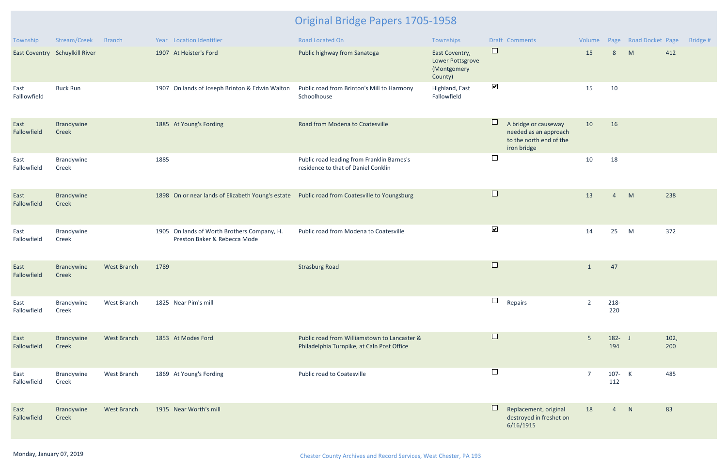| Township             | Stream/Creek                   | <b>Branch</b>      |      | Year Location Identifier                                                                     | <b>Road Located On</b>                                                                     | Townships                                                    |                      | Draft Comments                                                                          | Volume         |                  | Page Road Docket Page |             | Bridge # |
|----------------------|--------------------------------|--------------------|------|----------------------------------------------------------------------------------------------|--------------------------------------------------------------------------------------------|--------------------------------------------------------------|----------------------|-----------------------------------------------------------------------------------------|----------------|------------------|-----------------------|-------------|----------|
|                      | East Coventry Schuylkill River |                    |      | 1907 At Heister's Ford                                                                       | Public highway from Sanatoga                                                               | East Coventry,<br>Lower Pottsgrove<br>(Montgomery<br>County) | $\Box$               |                                                                                         | 15             | 8                | M                     | 412         |          |
| East<br>Falllowfield | <b>Buck Run</b>                |                    |      | 1907 On lands of Joseph Brinton & Edwin Walton                                               | Public road from Brinton's Mill to Harmony<br>Schoolhouse                                  | Highland, East<br>Fallowfield                                | $\blacktriangledown$ |                                                                                         | 15             | 10               |                       |             |          |
| East<br>Fallowfield  | Brandywine<br>Creek            |                    |      | 1885 At Young's Fording                                                                      | Road from Modena to Coatesville                                                            |                                                              | $\Box$               | A bridge or causeway<br>needed as an approach<br>to the north end of the<br>iron bridge | 10             | 16               |                       |             |          |
| East<br>Fallowfield  | Brandywine<br>Creek            |                    | 1885 |                                                                                              | Public road leading from Franklin Barnes's<br>residence to that of Daniel Conklin          |                                                              | $\Box$               |                                                                                         | 10             | 18               |                       |             |          |
| East<br>Fallowfield  | Brandywine<br>Creek            |                    |      | 1898 On or near lands of Elizabeth Young's estate Public road from Coatesville to Youngsburg |                                                                                            |                                                              | $\Box$               |                                                                                         | 13             | $\overline{4}$   | M                     | 238         |          |
| East<br>Fallowfield  | Brandywine<br>Creek            |                    |      | 1905 On lands of Worth Brothers Company, H.<br>Preston Baker & Rebecca Mode                  | Public road from Modena to Coatesville                                                     |                                                              | $\blacktriangledown$ |                                                                                         | 14             | 25               | M                     | 372         |          |
| East<br>Fallowfield  | Brandywine<br>Creek            | <b>West Branch</b> | 1789 |                                                                                              | <b>Strasburg Road</b>                                                                      |                                                              | $\Box$               |                                                                                         | -1             | 47               |                       |             |          |
| East<br>Fallowfield  | Brandywine<br>Creek            | West Branch        |      | 1825 Near Pim's mill                                                                         |                                                                                            |                                                              | $\Box$               | Repairs                                                                                 | $\overline{2}$ | 218-<br>220      |                       |             |          |
| East<br>Fallowfield  | Brandywine<br>Creek            | West Branch        |      | 1853 At Modes Ford                                                                           | Public road from Williamstown to Lancaster &<br>Philadelphia Turnpike, at Caln Post Office |                                                              | $\Box$               |                                                                                         | $5\phantom{.}$ | $182 - J$<br>194 |                       | 102,<br>200 |          |
| East<br>Fallowfield  | Brandywine<br>Creek            | West Branch        |      | 1869 At Young's Fording                                                                      | Public road to Coatesville                                                                 |                                                              | $\Box$               |                                                                                         | -7             | 107- K<br>112    |                       | 485         |          |
| East<br>Fallowfield  | Brandywine<br>Creek            | <b>West Branch</b> |      | 1915 Near Worth's mill                                                                       |                                                                                            |                                                              | ப                    | Replacement, original<br>destroyed in freshet on<br>6/16/1915                           | 18             | $\overline{4}$   | N                     | 83          |          |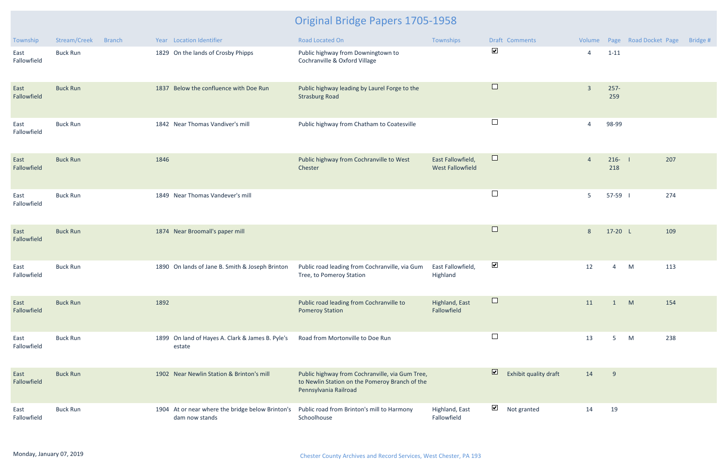| Township            | Stream/Creek<br><b>Branch</b> | Year Location Identifier                                           | <b>Road Located On</b>                                                                                                     | Townships                                    | Draft Comments                                   |                |                | Volume Page Road Docket Page | Bridge # |
|---------------------|-------------------------------|--------------------------------------------------------------------|----------------------------------------------------------------------------------------------------------------------------|----------------------------------------------|--------------------------------------------------|----------------|----------------|------------------------------|----------|
| East<br>Fallowfield | <b>Buck Run</b>               | 1829 On the lands of Crosby Phipps                                 | Public highway from Downingtown to<br>Cochranville & Oxford Village                                                        |                                              | $\blacktriangledown$                             | $\overline{4}$ | $1 - 11$       |                              |          |
| East<br>Fallowfield | <b>Buck Run</b>               | 1837 Below the confluence with Doe Run                             | Public highway leading by Laurel Forge to the<br><b>Strasburg Road</b>                                                     |                                              | $\Box$                                           | $\overline{3}$ | $257 -$<br>259 |                              |          |
| East<br>Fallowfield | <b>Buck Run</b>               | 1842 Near Thomas Vandiver's mill                                   | Public highway from Chatham to Coatesville                                                                                 |                                              | $\Box$                                           | $\overline{4}$ | 98-99          |                              |          |
| East<br>Fallowfield | <b>Buck Run</b>               | 1846                                                               | Public highway from Cochranville to West<br>Chester                                                                        | East Fallowfield,<br><b>West Fallowfield</b> | $\Box$                                           | $\overline{4}$ | $216 -$<br>218 | 207                          |          |
| East<br>Fallowfield | <b>Buck Run</b>               | 1849 Near Thomas Vandever's mill                                   |                                                                                                                            |                                              | $\Box$                                           | 5              | 57-59          | 274                          |          |
| East<br>Fallowfield | <b>Buck Run</b>               | 1874 Near Broomall's paper mill                                    |                                                                                                                            |                                              | $\Box$                                           | 8              | 17-20 L        | 109                          |          |
| East<br>Fallowfield | <b>Buck Run</b>               | 1890 On lands of Jane B. Smith & Joseph Brinton                    | Public road leading from Cochranville, via Gum<br>Tree, to Pomeroy Station                                                 | East Fallowfield,<br>Highland                | $\blacktriangledown$                             | 12             | 4              | M<br>113                     |          |
| East<br>Fallowfield | <b>Buck Run</b>               | 1892                                                               | Public road leading from Cochranville to<br><b>Pomeroy Station</b>                                                         | Highland, East<br>Fallowfield                |                                                  | 11             | $\mathbf{1}$   | M<br>154                     |          |
| East<br>Fallowfield | <b>Buck Run</b>               | 1899 On land of Hayes A. Clark & James B. Pyle's<br>estate         | Road from Mortonville to Doe Run                                                                                           |                                              | $\Box$                                           | 13             | 5              | 238<br>M                     |          |
| East<br>Fallowfield | <b>Buck Run</b>               | 1902 Near Newlin Station & Brinton's mill                          | Public highway from Cochranville, via Gum Tree,<br>to Newlin Station on the Pomeroy Branch of the<br>Pennsylvania Railroad |                                              | $\overline{\mathbf{z}}$<br>Exhibit quality draft | 14             | 9              |                              |          |
| East<br>Fallowfield | <b>Buck Run</b>               | 1904 At or near where the bridge below Brinton's<br>dam now stands | Public road from Brinton's mill to Harmony<br>Schoolhouse                                                                  | Highland, East<br>Fallowfield                | $\blacktriangledown$<br>Not granted              | 14             | 19             |                              |          |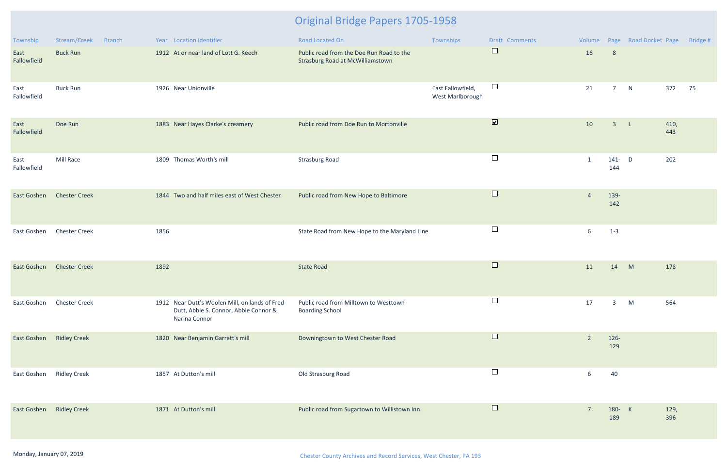| <b>Township</b>          | Stream/Creek<br><b>Branch</b> | Year Location Identifier                                                                                 | Road Located On                                                                     | Townships                             | Draft Comments               | Volume         |                  | Page Road Docket Page |             | Bridge # |
|--------------------------|-------------------------------|----------------------------------------------------------------------------------------------------------|-------------------------------------------------------------------------------------|---------------------------------------|------------------------------|----------------|------------------|-----------------------|-------------|----------|
| East<br>Fallowfield      | <b>Buck Run</b>               | 1912 At or near land of Lott G. Keech                                                                    | Public road from the Doe Run Road to the<br><b>Strasburg Road at McWilliamstown</b> |                                       | $\Box$                       | 16             | 8                |                       |             |          |
| East<br>Fallowfield      | <b>Buck Run</b>               | 1926 Near Unionville                                                                                     |                                                                                     | East Fallowfield,<br>West Marlborough | $\Box$                       | 21             | 7 <sup>7</sup>   | N                     | 372         | 75       |
| East<br>Fallowfield      | Doe Run                       | 1883 Near Hayes Clarke's creamery                                                                        | Public road from Doe Run to Mortonville                                             |                                       | $\boxed{\blacktriangledown}$ | 10             | $\overline{3}$   | $\mathsf{L}$          | 410,<br>443 |          |
| East<br>Fallowfield      | Mill Race                     | 1809 Thomas Worth's mill                                                                                 | <b>Strasburg Road</b>                                                               |                                       | $\Box$                       | 1              | $141 - D$<br>144 |                       | 202         |          |
| East Goshen              | <b>Chester Creek</b>          | 1844 Two and half miles east of West Chester                                                             | Public road from New Hope to Baltimore                                              |                                       | $\Box$                       | $\overline{4}$ | 139-<br>142      |                       |             |          |
| East Goshen              | <b>Chester Creek</b>          | 1856                                                                                                     | State Road from New Hope to the Maryland Line                                       |                                       | $\Box$                       | 6              | $1 - 3$          |                       |             |          |
| East Goshen              | <b>Chester Creek</b>          | 1892                                                                                                     | <b>State Road</b>                                                                   |                                       | $\Box$                       | 11             | 14               | M                     | 178         |          |
| East Goshen              | <b>Chester Creek</b>          | 1912 Near Dutt's Woolen Mill, on lands of Fred<br>Dutt, Abbie S. Connor, Abbie Connor &<br>Narina Connor | Public road from Milltown to Westtown<br><b>Boarding School</b>                     |                                       | $\Box$                       | 17             | 3                | M                     | 564         |          |
| East Goshen Ridley Creek |                               | 1820 Near Benjamin Garrett's mill                                                                        | Downingtown to West Chester Road                                                    |                                       | $\Box$                       | $\overline{2}$ | $126 -$<br>129   |                       |             |          |
| East Goshen              | <b>Ridley Creek</b>           | 1857 At Dutton's mill                                                                                    | Old Strasburg Road                                                                  |                                       | $\Box$                       | 6              | 40               |                       |             |          |
| East Goshen              | <b>Ridley Creek</b>           | 1871 At Dutton's mill                                                                                    | Public road from Sugartown to Willistown Inn                                        |                                       | $\Box$                       | $\overline{7}$ | 180- K<br>189    |                       | 129,<br>396 |          |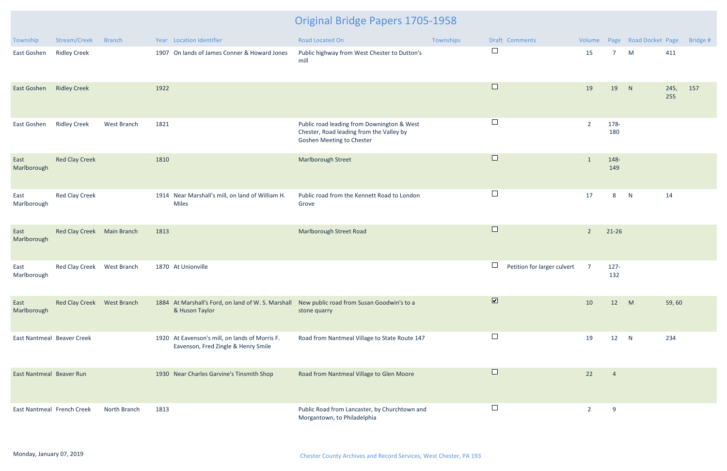| Township                   | Stream/Creek               | <b>Branch</b> | Year Location Identifier                                                                                       | Road Located On                                                                                                            | Townships | Draft Comments                        |                |                | Volume Page Road Docket Page |             | Bridge # |
|----------------------------|----------------------------|---------------|----------------------------------------------------------------------------------------------------------------|----------------------------------------------------------------------------------------------------------------------------|-----------|---------------------------------------|----------------|----------------|------------------------------|-------------|----------|
| East Goshen                | <b>Ridley Creek</b>        |               | 1907 On lands of James Conner & Howard Jones                                                                   | Public highway from West Chester to Dutton's<br>mill                                                                       |           | $\Box$                                | 15             | 7              | M                            | 411         |          |
| East Goshen                | <b>Ridley Creek</b>        |               | 1922                                                                                                           |                                                                                                                            |           | $\Box$                                | 19             | 19             | N                            | 245,<br>255 | 157      |
| East Goshen                | <b>Ridley Creek</b>        | West Branch   | 1821                                                                                                           | Public road leading from Downington & West<br>Chester, Road leading from the Valley by<br><b>Goshen Meeting to Chester</b> |           | $\Box$                                | $\overline{2}$ | 178-<br>180    |                              |             |          |
| East<br>Marlborough        | <b>Red Clay Creek</b>      |               | 1810                                                                                                           | Marlborough Street                                                                                                         |           | $\Box$                                | $\mathbf{1}$   | 148-<br>149    |                              |             |          |
| East<br>Marlborough        | <b>Red Clay Creek</b>      |               | 1914 Near Marshall's mill, on land of William H.<br>Miles                                                      | Public road from the Kennett Road to London<br>Grove                                                                       |           | $\Box$                                | 17             | 8              | N                            | 14          |          |
| East<br>Marlborough        | Red Clay Creek Main Branch |               | 1813                                                                                                           | Marlborough Street Road                                                                                                    |           | $\Box$                                | $\overline{2}$ | $21 - 26$      |                              |             |          |
| East<br>Marlborough        | Red Clay Creek             | West Branch   | 1870 At Unionville                                                                                             |                                                                                                                            |           | $\Box$<br>Petition for larger culvert | $\overline{7}$ | $127 -$<br>132 |                              |             |          |
| East<br>Marlborough        | Red Clay Creek West Branch |               | 1884 At Marshall's Ford, on land of W. S. Marshall New public road from Susan Goodwin's to a<br>& Huson Taylor | stone quarry                                                                                                               |           | $\overline{\mathbf{v}}$               | 10             | 12             | M                            | 59,60       |          |
| East Nantmeal Beaver Creek |                            |               | 1920 At Eavenson's mill, on lands of Morris F.<br>Eavenson, Fred Zingle & Henry Smile                          | Road from Nantmeal Village to State Route 147                                                                              |           | $\Box$                                | 19             | 12             | N                            | 234         |          |
| East Nantmeal Beaver Run   |                            |               | 1930 Near Charles Garvine's Tinsmith Shop                                                                      | Road from Nantmeal Village to Glen Moore                                                                                   |           | $\Box$                                | 22             | $\overline{4}$ |                              |             |          |
| East Nantmeal French Creek |                            | North Branch  | 1813                                                                                                           | Public Road from Lancaster, by Churchtown and<br>Morgantown, to Philadelphia                                               |           | $\Box$                                | $\overline{2}$ | 9              |                              |             |          |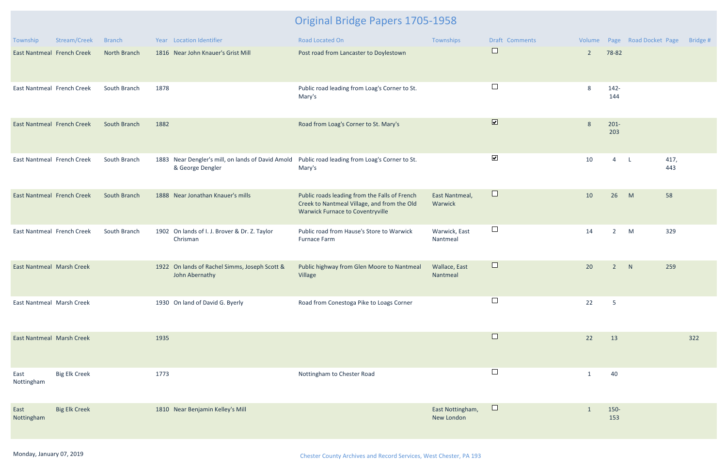| Township                          | Stream/Creek         | <b>Branch</b> | Year Location Identifier                                              | Road Located On                                                                                                                         | Townships                      | <b>Draft Comments</b>   |                |                 | Volume Page Road Docket Page | Bridge # |
|-----------------------------------|----------------------|---------------|-----------------------------------------------------------------------|-----------------------------------------------------------------------------------------------------------------------------------------|--------------------------------|-------------------------|----------------|-----------------|------------------------------|----------|
| East Nantmeal French Creek        |                      | North Branch  | 1816 Near John Knauer's Grist Mill                                    | Post road from Lancaster to Doylestown                                                                                                  |                                | $\Box$                  | $\overline{2}$ | 78-82           |                              |          |
| East Nantmeal French Creek        |                      | South Branch  | 1878                                                                  | Public road leading from Loag's Corner to St.<br>Mary's                                                                                 |                                | $\Box$                  | 8              | $142 -$<br>144  |                              |          |
| <b>East Nantmeal French Creek</b> |                      | South Branch  | 1882                                                                  | Road from Loag's Corner to St. Mary's                                                                                                   |                                | $\overline{\mathbf{v}}$ | 8              | $201 -$<br>203  |                              |          |
| East Nantmeal French Creek        |                      | South Branch  | 1883 Near Dengler's mill, on lands of David Amold<br>& George Dengler | Public road leading from Loag's Corner to St.<br>Mary's                                                                                 |                                | $\blacktriangledown$    | 10             | $\overline{4}$  | 417,<br>L<br>443             |          |
| <b>East Nantmeal French Creek</b> |                      | South Branch  | 1888 Near Jonathan Knauer's mills                                     | Public roads leading from the Falls of French<br>Creek to Nantmeal Village, and from the Old<br><b>Warwick Furnace to Coventryville</b> | East Nantmeal,<br>Warwick      | $\Box$                  | 10             | 26              | 58<br>M                      |          |
| East Nantmeal French Creek        |                      | South Branch  | 1902 On lands of I. J. Brover & Dr. Z. Taylor<br>Chrisman             | Public road from Hause's Store to Warwick<br>Furnace Farm                                                                               | Warwick, East<br>Nantmeal      | $\Box$                  | 14             | $\overline{2}$  | M<br>329                     |          |
| <b>East Nantmeal Marsh Creek</b>  |                      |               | 1922 On lands of Rachel Simms, Joseph Scott &<br>John Abernathy       | Public highway from Glen Moore to Nantmeal<br>Village                                                                                   | Wallace, East<br>Nantmeal      | $\Box$                  | 20             | $\overline{2}$  | N<br>259                     |          |
| East Nantmeal Marsh Creek         |                      |               | 1930 On land of David G. Byerly                                       | Road from Conestoga Pike to Loags Corner                                                                                                |                                | $\Box$                  | 22             | $5\phantom{.0}$ |                              |          |
| East Nantmeal Marsh Creek         |                      |               | 1935                                                                  |                                                                                                                                         |                                | $\Box$                  | 22             | 13              |                              | 322      |
| East<br>Nottingham                | <b>Big Elk Creek</b> |               | 1773                                                                  | Nottingham to Chester Road                                                                                                              |                                | $\Box$                  | $\mathbf{1}$   | 40              |                              |          |
| East<br>Nottingham                | <b>Big Elk Creek</b> |               | 1810 Near Benjamin Kelley's Mill                                      |                                                                                                                                         | East Nottingham,<br>New London | $\Box$                  | $\mathbf{1}$   | 150-<br>153     |                              |          |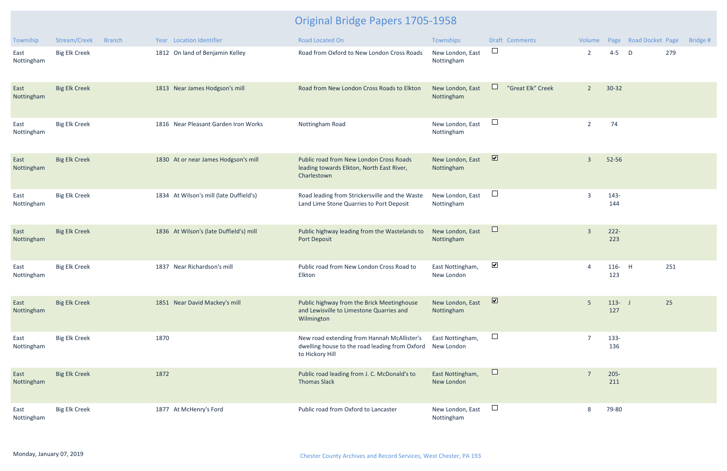| Township           | Stream/Creek         | <b>Branch</b> |      | Year Location Identifier                | <b>Road Located On</b>                                                                                           | Townships                      |                         | <b>Draft Comments</b> | Volume         |                  | Page Road Docket Page |     | Bridge # |
|--------------------|----------------------|---------------|------|-----------------------------------------|------------------------------------------------------------------------------------------------------------------|--------------------------------|-------------------------|-----------------------|----------------|------------------|-----------------------|-----|----------|
| East<br>Nottingham | <b>Big Elk Creek</b> |               |      | 1812 On land of Benjamin Kelley         | Road from Oxford to New London Cross Roads                                                                       | New London, East<br>Nottingham | $\Box$                  |                       | $\overline{2}$ | $4 - 5$          | D                     | 279 |          |
| East<br>Nottingham | <b>Big Elk Creek</b> |               |      | 1813 Near James Hodgson's mill          | Road from New London Cross Roads to Elkton                                                                       | New London, East<br>Nottingham | $\Box$                  | "Great Elk" Creek     | $\overline{2}$ | $30 - 32$        |                       |     |          |
| East<br>Nottingham | <b>Big Elk Creek</b> |               |      | 1816 Near Pleasant Garden Iron Works    | Nottingham Road                                                                                                  | New London, East<br>Nottingham | $\Box$                  |                       | $\overline{2}$ | 74               |                       |     |          |
| East<br>Nottingham | <b>Big Elk Creek</b> |               |      | 1830 At or near James Hodgson's mill    | Public road from New London Cross Roads<br>leading towards Elkton, North East River,<br>Charlestown              | New London, East<br>Nottingham | $\overline{\mathbf{v}}$ |                       | $\overline{3}$ | 52-56            |                       |     |          |
| East<br>Nottingham | <b>Big Elk Creek</b> |               |      | 1834 At Wilson's mill (late Duffield's) | Road leading from Strickersville and the Waste<br>Land Lime Stone Quarries to Port Deposit                       | New London, East<br>Nottingham | $\Box$                  |                       | 3              | $143 -$<br>144   |                       |     |          |
| East<br>Nottingham | <b>Big Elk Creek</b> |               |      | 1836 At Wilson's (late Duffield's) mill | Public highway leading from the Wastelands to<br><b>Port Deposit</b>                                             | New London, East<br>Nottingham | $\Box$                  |                       | $\overline{3}$ | $222 -$<br>223   |                       |     |          |
| East<br>Nottingham | <b>Big Elk Creek</b> |               |      | 1837 Near Richardson's mill             | Public road from New London Cross Road to<br>Elkton                                                              | East Nottingham,<br>New London | $\blacktriangledown$    |                       | $\overline{4}$ | 116- H<br>123    |                       | 251 |          |
| East<br>Nottingham | <b>Big Elk Creek</b> |               |      | 1851 Near David Mackey's mill           | Public highway from the Brick Meetinghouse<br>and Lewisville to Limestone Quarries and<br>Wilmington             | New London, East<br>Nottingham | $\overline{\mathbf{z}}$ |                       | 5              | $113 - J$<br>127 |                       | 25  |          |
| East<br>Nottingham | <b>Big Elk Creek</b> |               | 1870 |                                         | New road extending from Hannah McAllister's<br>dwelling house to the road leading from Oxford<br>to Hickory Hill | East Nottingham,<br>New London | $\Box$                  |                       | $\overline{7}$ | $133 -$<br>136   |                       |     |          |
| East<br>Nottingham | <b>Big Elk Creek</b> |               | 1872 |                                         | Public road leading from J. C. McDonald's to<br><b>Thomas Slack</b>                                              | East Nottingham,<br>New London | $\Box$                  |                       | 7              | $205 -$<br>211   |                       |     |          |
| East<br>Nottingham | <b>Big Elk Creek</b> |               |      | 1877 At McHenry's Ford                  | Public road from Oxford to Lancaster                                                                             | New London, East<br>Nottingham | $\Box$                  |                       | 8              | 79-80            |                       |     |          |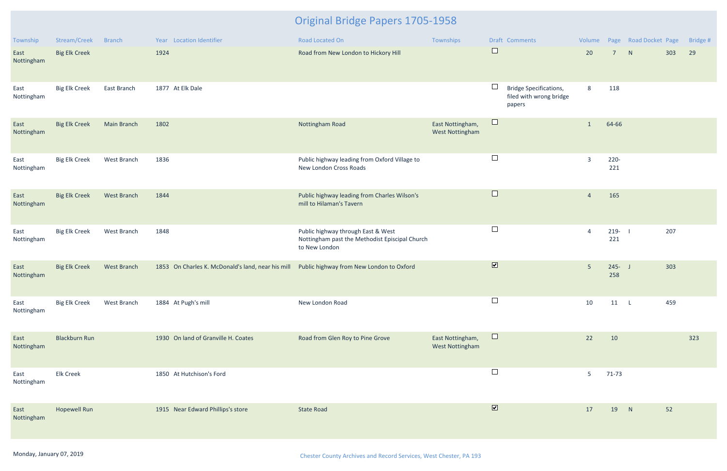| Township           | Stream/Creek         | Branch             | Year Location Identifier                                                                   | Road Located On                                                                                       | Townships                                  |                         | Draft Comments                                                     | Volume         |                  | Page Road Docket Page |     | Bridge # |
|--------------------|----------------------|--------------------|--------------------------------------------------------------------------------------------|-------------------------------------------------------------------------------------------------------|--------------------------------------------|-------------------------|--------------------------------------------------------------------|----------------|------------------|-----------------------|-----|----------|
| East<br>Nottingham | <b>Big Elk Creek</b> |                    | 1924                                                                                       | Road from New London to Hickory Hill                                                                  |                                            | $\Box$                  |                                                                    | 20             | $7^{\circ}$      | N                     | 303 | 29       |
| East<br>Nottingham | <b>Big Elk Creek</b> | East Branch        | 1877 At Elk Dale                                                                           |                                                                                                       |                                            | $\Box$                  | <b>Bridge Specifications,</b><br>filed with wrong bridge<br>papers | 8              | 118              |                       |     |          |
| East<br>Nottingham | <b>Big Elk Creek</b> | <b>Main Branch</b> | 1802                                                                                       | Nottingham Road                                                                                       | East Nottingham,<br><b>West Nottingham</b> | $\Box$                  |                                                                    | 1              | 64-66            |                       |     |          |
| East<br>Nottingham | <b>Big Elk Creek</b> | West Branch        | 1836                                                                                       | Public highway leading from Oxford Village to<br>New London Cross Roads                               |                                            | $\Box$                  |                                                                    | $\overline{3}$ | $220 -$<br>221   |                       |     |          |
| East<br>Nottingham | <b>Big Elk Creek</b> | West Branch        | 1844                                                                                       | Public highway leading from Charles Wilson's<br>mill to Hilaman's Tavern                              |                                            | $\Box$                  |                                                                    | $\overline{4}$ | 165              |                       |     |          |
| East<br>Nottingham | <b>Big Elk Creek</b> | West Branch        | 1848                                                                                       | Public highway through East & West<br>Nottingham past the Methodist Episcipal Church<br>to New London |                                            | $\Box$                  |                                                                    | $\overline{4}$ | $219 -$<br>221   |                       | 207 |          |
| East<br>Nottingham | <b>Big Elk Creek</b> | West Branch        | 1853 On Charles K. McDonald's land, near his mill Public highway from New London to Oxford |                                                                                                       |                                            | $\overline{\mathbf{v}}$ |                                                                    | 5 <sup>5</sup> | $245 - J$<br>258 |                       | 303 |          |
| East<br>Nottingham | <b>Big Elk Creek</b> | West Branch        | 1884 At Pugh's mill                                                                        | New London Road                                                                                       |                                            | $\Box$                  |                                                                    | 10             | $11 \quad L$     |                       | 459 |          |
| East<br>Nottingham | <b>Blackburn Run</b> |                    | 1930 On land of Granville H. Coates                                                        | Road from Glen Roy to Pine Grove                                                                      | East Nottingham,<br>West Nottingham        | $\Box$                  |                                                                    | 22             | 10               |                       |     | 323      |
| East<br>Nottingham | <b>Elk Creek</b>     |                    | 1850 At Hutchison's Ford                                                                   |                                                                                                       |                                            | $\Box$                  |                                                                    | 5              | $71-73$          |                       |     |          |
| East<br>Nottingham | <b>Hopewell Run</b>  |                    | 1915 Near Edward Phillips's store                                                          | <b>State Road</b>                                                                                     |                                            | $\boxed{\bullet}$       |                                                                    | 17             | 19               | N                     | 52  |          |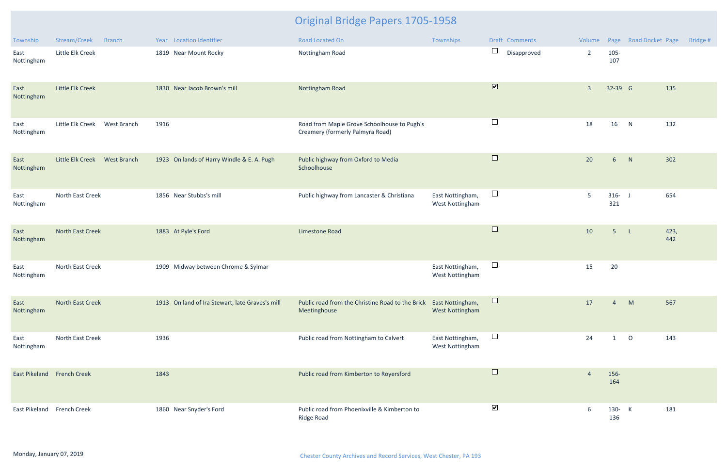| Township                   | Stream/Creek     | <b>Branch</b>      |      | Year Location Identifier                        | Road Located On                                                                   | Townships                                  |                         | Draft Comments | Volume         |                  | Page Road Docket Page |             | Bridge # |
|----------------------------|------------------|--------------------|------|-------------------------------------------------|-----------------------------------------------------------------------------------|--------------------------------------------|-------------------------|----------------|----------------|------------------|-----------------------|-------------|----------|
| East<br>Nottingham         | Little Elk Creek |                    |      | 1819 Near Mount Rocky                           | Nottingham Road                                                                   |                                            | $\Box$                  | Disapproved    | $\overline{2}$ | 105-<br>107      |                       |             |          |
| East<br>Nottingham         | Little Elk Creek |                    |      | 1830 Near Jacob Brown's mill                    | Nottingham Road                                                                   |                                            | $\overline{\mathbf{v}}$ |                | $\overline{3}$ | 32-39 G          |                       | 135         |          |
| East<br>Nottingham         | Little Elk Creek | West Branch        | 1916 |                                                 | Road from Maple Grove Schoolhouse to Pugh's<br>Creamery (formerly Palmyra Road)   |                                            | $\Box$                  |                | 18             | 16 N             |                       | 132         |          |
| East<br>Nottingham         | Little Elk Creek | <b>West Branch</b> |      | 1923 On lands of Harry Windle & E. A. Pugh      | Public highway from Oxford to Media<br>Schoolhouse                                |                                            | $\Box$                  |                | 20             | $6\overline{6}$  | N                     | 302         |          |
| East<br>Nottingham         | North East Creek |                    |      | 1856 Near Stubbs's mill                         | Public highway from Lancaster & Christiana                                        | East Nottingham,<br>West Nottingham        | $\Box$                  |                | 5              | $316 - J$<br>321 |                       | 654         |          |
| East<br>Nottingham         | North East Creek |                    |      | 1883 At Pyle's Ford                             | Limestone Road                                                                    |                                            | $\Box$                  |                | 10             | 5 <sup>5</sup>   | $-L$                  | 423,<br>442 |          |
| East<br>Nottingham         | North East Creek |                    |      | 1909 Midway between Chrome & Sylmar             |                                                                                   | East Nottingham,<br><b>West Nottingham</b> | $\Box$                  |                | 15             | 20               |                       |             |          |
| East<br>Nottingham         | North East Creek |                    |      | 1913 On land of Ira Stewart, late Graves's mill | Public road from the Christine Road to the Brick East Nottingham,<br>Meetinghouse | <b>West Nottingham</b>                     |                         |                | 17             |                  | M                     | 567         |          |
| East<br>Nottingham         | North East Creek |                    | 1936 |                                                 | Public road from Nottingham to Calvert                                            | East Nottingham,<br>West Nottingham        | $\Box$                  |                | 24             | $\mathbf{1}$     | $\overline{O}$        | 143         |          |
| East Pikeland French Creek |                  |                    | 1843 |                                                 | Public road from Kimberton to Royersford                                          |                                            | $\Box$                  |                | 4              | 156-<br>164      |                       |             |          |
| East Pikeland French Creek |                  |                    |      | 1860 Near Snyder's Ford                         | Public road from Phoenixville & Kimberton to<br>Ridge Road                        |                                            | $\blacktriangledown$    |                | 6              | 130- K<br>136    |                       | 181         |          |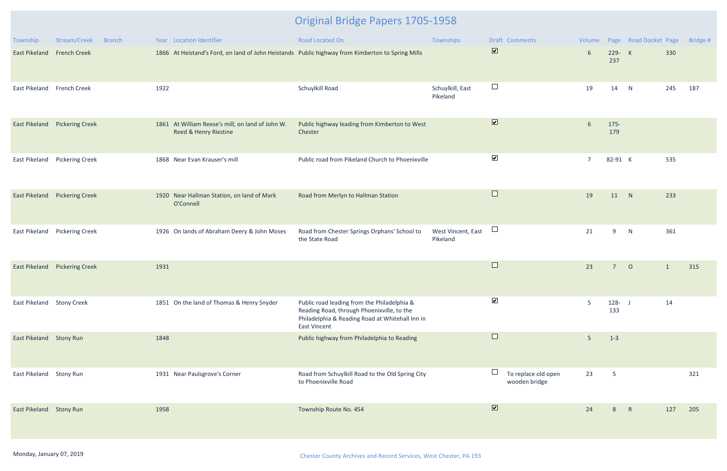| Township                   | Stream/Creek<br><b>Branch</b> | Year Location Identifier                                                                         | Road Located On                                                                                                                                              | Townships                      | <b>Draft Comments</b>                | Volume         |                  | Page Road Docket Page |              | Bridge # |
|----------------------------|-------------------------------|--------------------------------------------------------------------------------------------------|--------------------------------------------------------------------------------------------------------------------------------------------------------------|--------------------------------|--------------------------------------|----------------|------------------|-----------------------|--------------|----------|
| East Pikeland French Creek |                               | 1866 At Heistand's Ford, on land of John Heistands Public highway from Kimberton to Spring Mills |                                                                                                                                                              |                                | $\overline{\mathbf{v}}$              | 6              | 229- K<br>237    |                       | 330          |          |
| East Pikeland French Creek |                               | 1922                                                                                             | Schuylkill Road                                                                                                                                              | Schuylkill, East<br>Pikeland   | $\Box$                               | 19             | 14               | N                     | 245          | 187      |
|                            | East Pikeland Pickering Creek | 1861 At William Reese's mill, on land of John W.<br>Reed & Henry Rixstine                        | Public highway leading from Kimberton to West<br>Chester                                                                                                     |                                | $\boxed{\blacktriangledown}$         | 6              | $175 -$<br>179   |                       |              |          |
|                            | East Pikeland Pickering Creek | 1868 Near Evan Krauser's mill                                                                    | Public road from Pikeland Church to Phoenixville                                                                                                             |                                | $\blacktriangledown$                 | $\overline{7}$ | 82-91 K          |                       | 535          |          |
|                            | East Pikeland Pickering Creek | 1920 Near Hallman Station, on land of Mark<br>O'Connell                                          | Road from Merlyn to Hallman Station                                                                                                                          |                                | $\Box$                               | 19             | 11 N             |                       | 233          |          |
|                            | East Pikeland Pickering Creek | 1926 On lands of Abraham Deery & John Moses                                                      | Road from Chester Springs Orphans' School to<br>the State Road                                                                                               | West Vincent, East<br>Pikeland | $\Box$                               | 21             | 9                | N                     | 361          |          |
|                            | East Pikeland Pickering Creek | 1931                                                                                             |                                                                                                                                                              |                                | $\Box$                               | 23             | 7 <sup>7</sup>   | $\overline{O}$        | $\mathbf{1}$ | 315      |
| East Pikeland Stony Creek  |                               | 1851 On the land of Thomas & Henry Snyder                                                        | Public road leading from the Philadelphia &<br>Reading Road, through Phoenixville, to the<br>Philadelphia & Reading Road at Whitehall Inn in<br>East Vincent |                                | $\blacktriangledown$                 | 5              | $128 - J$<br>133 |                       | 14           |          |
| East Pikeland Stony Run    |                               | 1848                                                                                             | Public highway from Philadelphia to Reading                                                                                                                  |                                | $\Box$                               | 5              | $1 - 3$          |                       |              |          |
| East Pikeland Stony Run    |                               | 1931 Near Paulsgrove's Corner                                                                    | Road from Schuylkill Road to the Old Spring City<br>to Phoenixville Road                                                                                     |                                | To replace old open<br>wooden bridge | 23             | $5\phantom{.0}$  |                       |              | 321      |
| East Pikeland Stony Run    |                               | 1958                                                                                             | Township Route No. 454                                                                                                                                       |                                | $\boxed{\blacktriangledown}$         | 24             | 8                | $\mathsf{R}$          | 127          | 205      |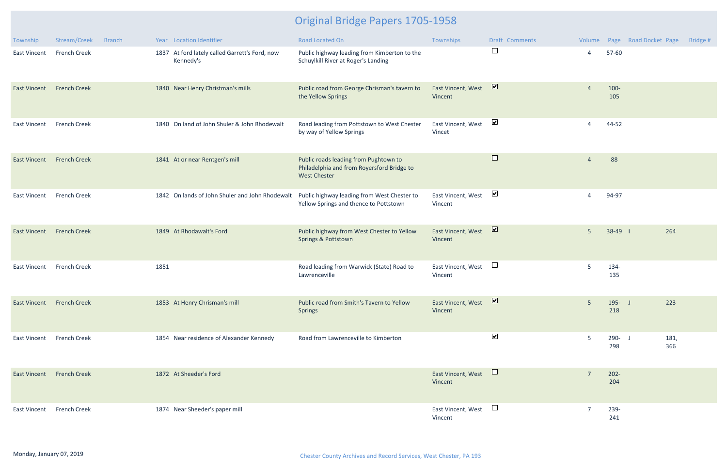| Township                         | Stream/Creek        | <b>Branch</b> |      | Year Location Identifier                                    | <b>Road Located On</b>                                                                                     | Townships                     | Draft Comments       | Volume         |                  | Page Road Docket Page | Bridge # |
|----------------------------------|---------------------|---------------|------|-------------------------------------------------------------|------------------------------------------------------------------------------------------------------------|-------------------------------|----------------------|----------------|------------------|-----------------------|----------|
| <b>East Vincent</b>              | <b>French Creek</b> |               |      | 1837 At ford lately called Garrett's Ford, now<br>Kennedy's | Public highway leading from Kimberton to the<br>Schuylkill River at Roger's Landing                        |                               | $\Box$               | 4              | 57-60            |                       |          |
| <b>East Vincent</b>              | <b>French Creek</b> |               |      | 1840 Near Henry Christman's mills                           | Public road from George Chrisman's tavern to<br>the Yellow Springs                                         | East Vincent, West<br>Vincent | $\blacksquare$       | $\Delta$       | $100 -$<br>105   |                       |          |
| <b>East Vincent</b>              | <b>French Creek</b> |               |      | 1840 On land of John Shuler & John Rhodewalt                | Road leading from Pottstown to West Chester<br>by way of Yellow Springs                                    | East Vincent, West<br>Vincet  | $\blacktriangledown$ | 4              | 44-52            |                       |          |
| <b>East Vincent</b>              | <b>French Creek</b> |               |      | 1841 At or near Rentgen's mill                              | Public roads leading from Pughtown to<br>Philadelphia and from Royersford Bridge to<br><b>West Chester</b> |                               | $\Box$               | $\overline{4}$ | 88               |                       |          |
| <b>East Vincent</b>              | <b>French Creek</b> |               |      | 1842 On lands of John Shuler and John Rhodewalt             | Public highway leading from West Chester to<br>Yellow Springs and thence to Pottstown                      | East Vincent, West<br>Vincent | $\blacktriangledown$ | 4              | 94-97            |                       |          |
| <b>East Vincent</b>              | <b>French Creek</b> |               |      | 1849 At Rhodawalt's Ford                                    | Public highway from West Chester to Yellow<br>Springs & Pottstown                                          | East Vincent, West<br>Vincent | $\triangledown$      | 5 <sup>5</sup> | 38-49 1          | 264                   |          |
| <b>East Vincent</b>              | <b>French Creek</b> |               | 1851 |                                                             | Road leading from Warwick (State) Road to<br>Lawrenceville                                                 | East Vincent, West<br>Vincent | $\Box$               | 5.             | 134-<br>135      |                       |          |
| <b>East Vincent French Creek</b> |                     |               |      | 1853 At Henry Chrisman's mill                               | Public road from Smith's Tavern to Yellow<br><b>Springs</b>                                                | East Vincent, West<br>Vincent | $\triangledown$      | 5              | $195 - J$<br>218 | 223                   |          |
| East Vincent                     | <b>French Creek</b> |               |      | 1854 Near residence of Alexander Kennedy                    | Road from Lawrenceville to Kimberton                                                                       |                               | $\blacktriangledown$ | 5              | $290 - J$<br>298 | 181,<br>366           |          |
| <b>East Vincent French Creek</b> |                     |               |      | 1872 At Sheeder's Ford                                      |                                                                                                            | East Vincent, West<br>Vincent | $\Box$               | $\overline{7}$ | $202 -$<br>204   |                       |          |
| East Vincent                     | <b>French Creek</b> |               |      | 1874 Near Sheeder's paper mill                              |                                                                                                            | East Vincent, West<br>Vincent | $\Box$               | 7              | 239-<br>241      |                       |          |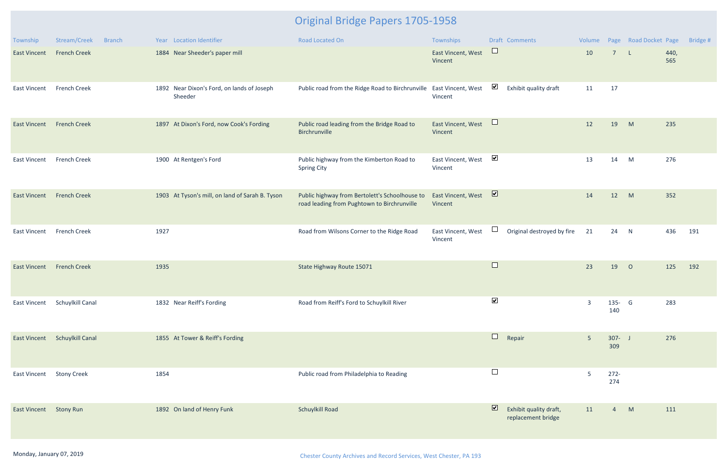| Township               | Stream/Creek<br><b>Branch</b> | Year Location Identifier                              | Road Located On                                                                               | Townships                     |                                       | Draft Comments                               | Volume         |                  | Page Road Docket Page |             | Bridge # |
|------------------------|-------------------------------|-------------------------------------------------------|-----------------------------------------------------------------------------------------------|-------------------------------|---------------------------------------|----------------------------------------------|----------------|------------------|-----------------------|-------------|----------|
| <b>East Vincent</b>    | <b>French Creek</b>           | 1884 Near Sheeder's paper mill                        |                                                                                               | East Vincent, West<br>Vincent | $\Box$                                |                                              | 10             | $\overline{7}$   | $\mathsf{L}$          | 440,<br>565 |          |
| <b>East Vincent</b>    | <b>French Creek</b>           | 1892 Near Dixon's Ford, on lands of Joseph<br>Sheeder | Public road from the Ridge Road to Birchrunville East Vincent, West                           | Vincent                       | $\blacktriangledown$                  | Exhibit quality draft                        | 11             | 17               |                       |             |          |
| <b>East Vincent</b>    | <b>French Creek</b>           | 1897 At Dixon's Ford, now Cook's Fording              | Public road leading from the Bridge Road to<br>Birchrunville                                  | East Vincent, West<br>Vincent | $\Box$                                |                                              | 12             | 19               | M                     | 235         |          |
| <b>East Vincent</b>    | <b>French Creek</b>           | 1900 At Rentgen's Ford                                | Public highway from the Kimberton Road to<br><b>Spring City</b>                               | East Vincent, West<br>Vincent | $\blacktriangledown$                  |                                              | 13             | 14               | M                     | 276         |          |
| <b>East Vincent</b>    | <b>French Creek</b>           | 1903 At Tyson's mill, on land of Sarah B. Tyson       | Public highway from Bertolett's Schoolhouse to<br>road leading from Pughtown to Birchrunville | East Vincent, West<br>Vincent | $\overline{\mathbf{v}}$               |                                              | 14             | 12               | M                     | 352         |          |
| <b>East Vincent</b>    | <b>French Creek</b>           | 1927                                                  | Road from Wilsons Corner to the Ridge Road                                                    | East Vincent, West<br>Vincent | $\begin{array}{c} \hline \end{array}$ | Original destroyed by fire                   | 21             | 24 N             |                       | 436         | 191      |
| <b>East Vincent</b>    | <b>French Creek</b>           | 1935                                                  | State Highway Route 15071                                                                     |                               | $\Box$                                |                                              | 23             | 19               | $\overline{O}$        | 125         | 192      |
| East Vincent           | Schuylkill Canal              | 1832 Near Reiff's Fording                             | Road from Reiff's Ford to Schuylkill River                                                    |                               | $\blacktriangledown$                  |                                              | 3              | 135- G<br>140    |                       | 283         |          |
| <b>East Vincent</b>    | <b>Schuylkill Canal</b>       | 1855 At Tower & Reiff's Fording                       |                                                                                               |                               | $\Box$                                | Repair                                       | $5\phantom{.}$ | $307 - J$<br>309 |                       | 276         |          |
| East Vincent           | <b>Stony Creek</b>            | 1854                                                  | Public road from Philadelphia to Reading                                                      |                               | $\Box$                                |                                              | 5              | $272 -$<br>274   |                       |             |          |
| East Vincent Stony Run |                               | 1892 On land of Henry Funk                            | <b>Schuylkill Road</b>                                                                        |                               | $\overline{\mathbf{v}}$               | Exhibit quality draft,<br>replacement bridge | 11             | $\overline{4}$   | M                     | 111         |          |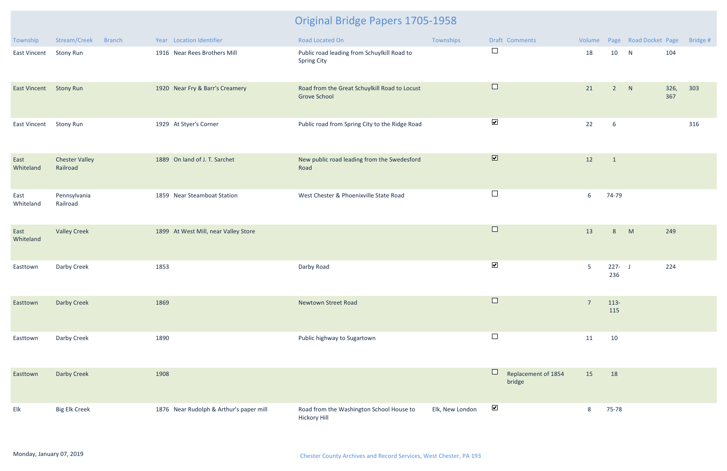| Township            | Stream/Creek<br><b>Branch</b>     | Year Location Identifier                | Road Located On                                                      | Townships       | Draft Comments                | Volume         |                  | Page Road Docket Page |             | Bridge # |
|---------------------|-----------------------------------|-----------------------------------------|----------------------------------------------------------------------|-----------------|-------------------------------|----------------|------------------|-----------------------|-------------|----------|
| <b>East Vincent</b> | <b>Stony Run</b>                  | 1916 Near Rees Brothers Mill            | Public road leading from Schuylkill Road to<br><b>Spring City</b>    |                 | $\Box$                        | 18             | 10               | N                     | 104         |          |
| <b>East Vincent</b> | <b>Stony Run</b>                  | 1920 Near Fry & Barr's Creamery         | Road from the Great Schuylkill Road to Locust<br><b>Grove School</b> |                 | $\Box$                        | 21             | 2 N              |                       | 326,<br>367 | 303      |
| <b>East Vincent</b> | <b>Stony Run</b>                  | 1929 At Styer's Corner                  | Public road from Spring City to the Ridge Road                       |                 | $\blacktriangleright$         | 22             | 6                |                       |             | 316      |
| East<br>Whiteland   | <b>Chester Valley</b><br>Railroad | 1889 On land of J. T. Sarchet           | New public road leading from the Swedesford<br>Road                  |                 | $\overline{\mathbf{v}}$       | 12             | $\overline{1}$   |                       |             |          |
| East<br>Whiteland   | Pennsylvania<br>Railroad          | 1859 Near Steamboat Station             | West Chester & Phoenixville State Road                               |                 | $\Box$                        | 6              | 74-79            |                       |             |          |
| East<br>Whiteland   | <b>Valley Creek</b>               | 1899 At West Mill, near Valley Store    |                                                                      |                 | $\Box$                        | 13             | 8                | M                     | 249         |          |
| Easttown            | Darby Creek                       | 1853                                    | Darby Road                                                           |                 | $\blacktriangledown$          | $5\phantom{.}$ | $227 - J$<br>236 |                       | 224         |          |
| Easttown            | Darby Creek                       | 1869                                    | <b>Newtown Street Road</b>                                           |                 | $\Box$                        | $\overline{7}$ | $113-$<br>115    |                       |             |          |
| Easttown            | Darby Creek                       | 1890                                    | Public highway to Sugartown                                          |                 | $\Box$                        | 11             | 10               |                       |             |          |
| Easttown            | Darby Creek                       | 1908                                    |                                                                      |                 | Replacement of 1854<br>bridge | 15             | 18               |                       |             |          |
| Elk                 | <b>Big Elk Creek</b>              | 1876 Near Rudolph & Arthur's paper mill | Road from the Washington School House to<br><b>Hickory Hill</b>      | Elk, New London | $\blacktriangledown$          | 8              | 75-78            |                       |             |          |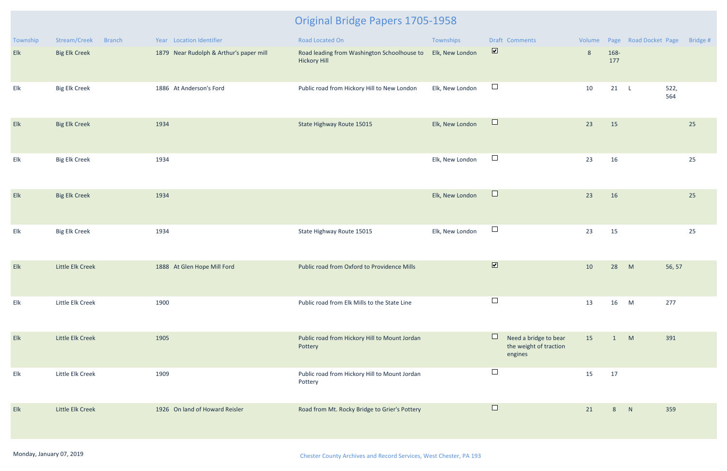| Township | Stream/Creek<br><b>Branch</b> | Year Location Identifier                | Road Located On                                                    | Townships       | Draft Comments                                             |                |             | Volume Page Road Docket Page | Bridge #    |
|----------|-------------------------------|-----------------------------------------|--------------------------------------------------------------------|-----------------|------------------------------------------------------------|----------------|-------------|------------------------------|-------------|
| Elk      | <b>Big Elk Creek</b>          | 1879 Near Rudolph & Arthur's paper mill | Road leading from Washington Schoolhouse to<br><b>Hickory Hill</b> | Elk, New London | $\overline{\mathbf{v}}$                                    | $8\phantom{1}$ | 168-<br>177 |                              |             |
| Elk      | <b>Big Elk Creek</b>          | 1886 At Anderson's Ford                 | Public road from Hickory Hill to New London                        | Elk, New London | $\Box$                                                     | 10             | 21 L        |                              | 522,<br>564 |
| Elk      | <b>Big Elk Creek</b>          | 1934                                    | State Highway Route 15015                                          | Elk, New London | $\Box$                                                     | 23             | 15          |                              | 25          |
| Elk      | <b>Big Elk Creek</b>          | 1934                                    |                                                                    | Elk, New London | $\Box$                                                     | 23             | 16          |                              | 25          |
| Elk      | <b>Big Elk Creek</b>          | 1934                                    |                                                                    | Elk, New London | $\Box$                                                     | 23             | 16          |                              | 25          |
| Elk      | <b>Big Elk Creek</b>          | 1934                                    | State Highway Route 15015                                          | Elk, New London | $\Box$                                                     | 23             | 15          |                              | 25          |
| Elk      | Little Elk Creek              | 1888 At Glen Hope Mill Ford             | Public road from Oxford to Providence Mills                        |                 | $\overline{\mathbf{v}}$                                    | 10             | 28          | M                            | 56, 57      |
| Elk      | Little Elk Creek              | 1900                                    | Public road from Elk Mills to the State Line                       |                 | $\Box$                                                     | 13             | 16          | M                            | 277         |
| Elk      | Little Elk Creek              | 1905                                    | Public road from Hickory Hill to Mount Jordan<br>Pottery           |                 | Need a bridge to bear<br>the weight of traction<br>engines | 15             | 1           | M                            | 391         |
| Elk      | Little Elk Creek              | 1909                                    | Public road from Hickory Hill to Mount Jordan<br>Pottery           |                 | $\Box$                                                     | 15             | 17          |                              |             |
| Elk      | Little Elk Creek              | 1926 On land of Howard Reisler          | Road from Mt. Rocky Bridge to Grier's Pottery                      |                 | $\Box$                                                     | 21             | 8           | N                            | 359         |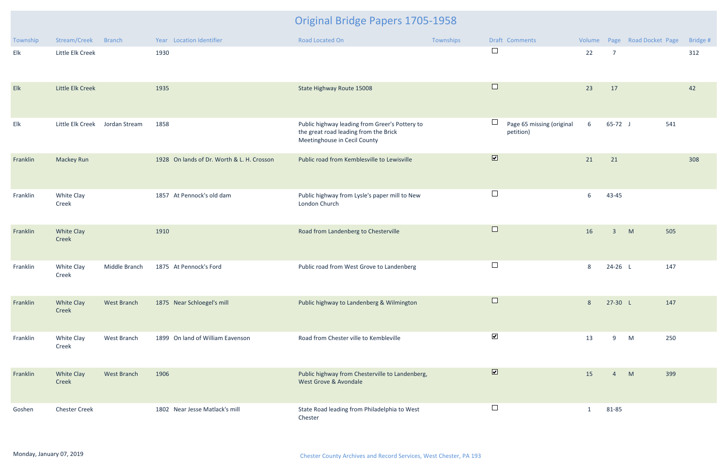| Township | Stream/Creek               | Branch        | Year Location Identifier                   | Road Located On                                                                                                         | Townships | Draft Comments                                   | Volume       |                     | Page Road Docket Page | Bridge # |
|----------|----------------------------|---------------|--------------------------------------------|-------------------------------------------------------------------------------------------------------------------------|-----------|--------------------------------------------------|--------------|---------------------|-----------------------|----------|
| Elk      | Little Elk Creek           |               | 1930                                       |                                                                                                                         |           | $\Box$                                           | 22           | $\overline{7}$      |                       | 312      |
| Elk      | Little Elk Creek           |               | 1935                                       | State Highway Route 15008                                                                                               |           | $\Box$                                           | 23           | 17                  |                       | 42       |
| Elk      | Little Elk Creek           | Jordan Stream | 1858                                       | Public highway leading from Greer's Pottery to<br>the great road leading from the Brick<br>Meetinghouse in Cecil County |           | $\Box$<br>Page 65 missing (original<br>petition) | 6            | $65-72$ J           | 541                   |          |
| Franklin | <b>Mackey Run</b>          |               | 1928 On lands of Dr. Worth & L. H. Crosson | Public road from Kemblesville to Lewisville                                                                             |           | $\overline{\mathbf{v}}$                          | 21           | 21                  |                       | 308      |
| Franklin | White Clay<br>Creek        |               | 1857 At Pennock's old dam                  | Public highway from Lysle's paper mill to New<br>London Church                                                          |           | $\Box$                                           | 6            | 43-45               |                       |          |
| Franklin | <b>White Clay</b><br>Creek |               | 1910                                       | Road from Landenberg to Chesterville                                                                                    |           | $\Box$                                           | 16           | M<br>$\overline{3}$ | 505                   |          |
| Franklin | White Clay<br>Creek        | Middle Branch | 1875 At Pennock's Ford                     | Public road from West Grove to Landenberg                                                                               |           | $\Box$                                           | 8            | 24-26 L             | 147                   |          |
| Franklin | <b>White Clay</b><br>Creek | West Branch   | 1875 Near Schloegel's mill                 | Public highway to Landenberg & Wilmington                                                                               |           | $\Box$                                           | 8            | $27-30 L$           | 147                   |          |
| Franklin | White Clay<br>Creek        | West Branch   | 1899 On land of William Eavenson           | Road from Chester ville to Kembleville                                                                                  |           | $\blacktriangledown$                             | 13           | 9<br>M              | 250                   |          |
| Franklin | <b>White Clay</b><br>Creek | West Branch   | 1906                                       | Public highway from Chesterville to Landenberg,<br>West Grove & Avondale                                                |           | $\overline{\mathbf{v}}$                          | 15           | M<br>$\overline{4}$ | 399                   |          |
| Goshen   | <b>Chester Creek</b>       |               | 1802 Near Jesse Matlack's mill             | State Road leading from Philadelphia to West<br>Chester                                                                 |           | $\Box$                                           | $\mathbf{1}$ | 81-85               |                       |          |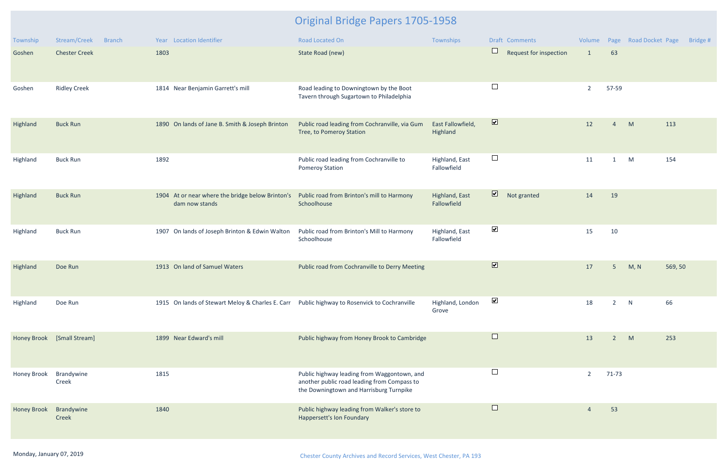| Township           | Stream/Creek<br><b>Branch</b> | Year Location Identifier                                                                     | <b>Road Located On</b>                                                                                                                | Townships                     | <b>Draft Comments</b>                  | Volume         |                | Page Road Docket Page | Bridge # |
|--------------------|-------------------------------|----------------------------------------------------------------------------------------------|---------------------------------------------------------------------------------------------------------------------------------------|-------------------------------|----------------------------------------|----------------|----------------|-----------------------|----------|
| Goshen             | <b>Chester Creek</b>          | 1803                                                                                         | State Road (new)                                                                                                                      |                               | $\Box$<br>Request for inspection       | $\mathbf{1}$   | 63             |                       |          |
| Goshen             | <b>Ridley Creek</b>           | 1814 Near Benjamin Garrett's mill                                                            | Road leading to Downingtown by the Boot<br>Tavern through Sugartown to Philadelphia                                                   |                               | $\Box$                                 | $\overline{2}$ | 57-59          |                       |          |
| Highland           | <b>Buck Run</b>               | 1890 On lands of Jane B. Smith & Joseph Brinton                                              | Public road leading from Cochranville, via Gum<br>Tree, to Pomeroy Station                                                            | East Fallowfield,<br>Highland | $\overline{\mathbf{v}}$                | 12             | $\overline{4}$ | M                     | 113      |
| Highland           | <b>Buck Run</b>               | 1892                                                                                         | Public road leading from Cochranville to<br><b>Pomeroy Station</b>                                                                    | Highland, East<br>Fallowfield | $\Box$                                 | 11             | $\mathbf{1}$   | M                     | 154      |
| Highland           | <b>Buck Run</b>               | 1904 At or near where the bridge below Brinton's<br>dam now stands                           | Public road from Brinton's mill to Harmony<br>Schoolhouse                                                                             | Highland, East<br>Fallowfield | $\overline{\mathbf{z}}$<br>Not granted | 14             | 19             |                       |          |
| Highland           | <b>Buck Run</b>               | 1907 On lands of Joseph Brinton & Edwin Walton                                               | Public road from Brinton's Mill to Harmony<br>Schoolhouse                                                                             | Highland, East<br>Fallowfield | $\blacktriangledown$                   | 15             | 10             |                       |          |
| Highland           | Doe Run                       | 1913 On land of Samuel Waters                                                                | Public road from Cochranville to Derry Meeting                                                                                        |                               | $\overline{\mathbf{v}}$                | 17             | 5 <sup>5</sup> | M, N                  | 569, 50  |
| Highland           | Doe Run                       | 1915 On lands of Stewart Meloy & Charles E. Carr Public highway to Rosenvick to Cochranville |                                                                                                                                       | Highland, London<br>Grove     | ⊻                                      | 18             |                | N                     | 66       |
|                    | Honey Brook [Small Stream]    | 1899 Near Edward's mill                                                                      | Public highway from Honey Brook to Cambridge                                                                                          |                               | $\Box$                                 | 13             | $2^{\circ}$    | M                     | 253      |
| Honey Brook        | Brandywine<br>Creek           | 1815                                                                                         | Public highway leading from Waggontown, and<br>another public road leading from Compass to<br>the Downingtown and Harrisburg Turnpike |                               | $\Box$                                 | $\overline{2}$ | 71-73          |                       |          |
| <b>Honey Brook</b> | Brandywine<br>Creek           | 1840                                                                                         | Public highway leading from Walker's store to<br>Happersett's Ion Foundary                                                            |                               | $\Box$                                 |                | 53             |                       |          |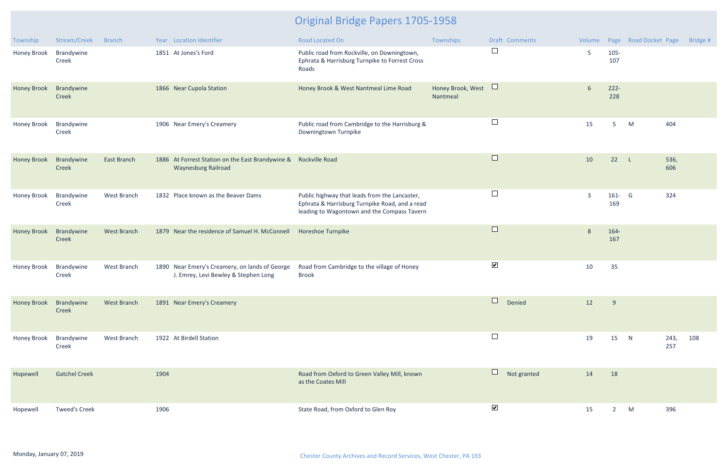| Township           | Stream/Creek         | <b>Branch</b>      |      | Year Location Identifier                                                                      | <b>Road Located On</b>                                                                                                                         | Townships                     | Draft Comments           | Volume         |                | Page Road Docket Page |             | Bridge # |
|--------------------|----------------------|--------------------|------|-----------------------------------------------------------------------------------------------|------------------------------------------------------------------------------------------------------------------------------------------------|-------------------------------|--------------------------|----------------|----------------|-----------------------|-------------|----------|
| Honey Brook        | Brandywine<br>Creek  |                    |      | 1851 At Jones's Ford                                                                          | Public road from Rockville, on Downingtown,<br>Ephrata & Harrisburg Turnpike to Forrest Cross<br>Roads                                         |                               | $\Box$                   | 5              | $105 -$<br>107 |                       |             |          |
| <b>Honey Brook</b> | Brandywine<br>Creek  |                    |      | 1866 Near Cupola Station                                                                      | Honey Brook & West Nantmeal Lime Road                                                                                                          | Honey Brook, West<br>Nantmeal | $\Box$                   | 6              | $222 -$<br>228 |                       |             |          |
| <b>Honey Brook</b> | Brandywine<br>Creek  |                    |      | 1906 Near Emery's Creamery                                                                    | Public road from Cambridge to the Harrisburg &<br>Downingtown Turnpike                                                                         |                               | $\Box$                   | 15             | 5              | M                     | 404         |          |
| <b>Honey Brook</b> | Brandywine<br>Creek  | East Branch        |      | 1886 At Forrest Station on the East Brandywine & Rockville Road<br><b>Waynesburg Railroad</b> |                                                                                                                                                |                               | $\Box$                   | 10             | 22             | $\mathsf{L}$          | 536,<br>606 |          |
| Honey Brook        | Brandywine<br>Creek  | West Branch        |      | 1832 Place known as the Beaver Dams                                                           | Public highway that leads from the Lancaster,<br>Ephrata & Harrisburg Turnpike Road, and a read<br>leading to Wagontown and the Compass Tavern |                               | $\Box$                   | $\overline{3}$ | 161- G<br>169  |                       | 324         |          |
| <b>Honey Brook</b> | Brandywine<br>Creek  | <b>West Branch</b> |      | 1879 Near the residence of Samuel H. McConnell                                                | Horeshoe Turnpike                                                                                                                              |                               | $\Box$                   | 8              | 164-<br>167    |                       |             |          |
| Honey Brook        | Brandywine<br>Creek  | West Branch        |      | 1890 Near Emery's Creamery, on lands of George<br>J. Emrey, Levi Bewley & Stephen Long        | Road from Cambridge to the village of Honey<br><b>Brook</b>                                                                                    |                               | $\blacktriangledown$     | 10             | 35             |                       |             |          |
| Honey Brook        | Brandywine<br>Creek  | West Branch        |      | 1891 Near Emery's Creamery                                                                    |                                                                                                                                                |                               | $\overline{a}$<br>Denied | 12             | 9              |                       |             |          |
| Honey Brook        | Brandywine<br>Creek  | West Branch        |      | 1922 At Birdell Station                                                                       |                                                                                                                                                |                               | $\Box$                   | 19             | 15             | N                     | 243,<br>257 | 108      |
| Hopewell           | <b>Gatchel Creek</b> |                    | 1904 |                                                                                               | Road from Oxford to Green Valley Mill, known<br>as the Coates Mill                                                                             |                               | $\Box$<br>Not granted    | 14             | 18             |                       |             |          |
| Hopewell           | <b>Tweed's Creek</b> |                    | 1906 |                                                                                               | State Road, from Oxford to Glen Roy                                                                                                            |                               | $\blacktriangledown$     | 15             | $2^{\circ}$    | M                     | 396         |          |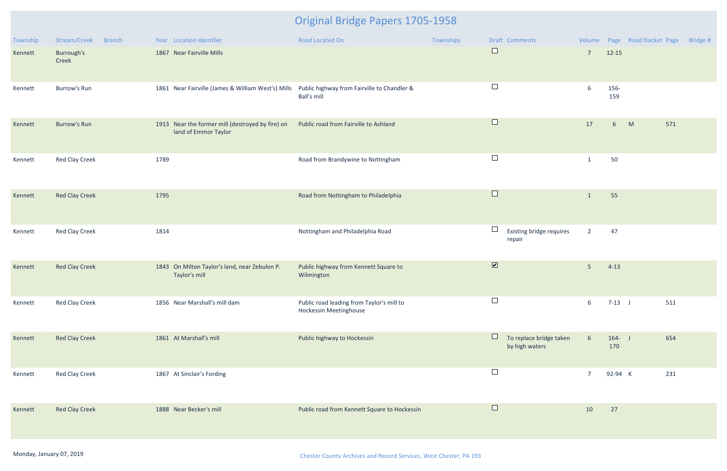| Township | Stream/Creek<br><b>Branch</b> | Year Location Identifier                                                                       | Road Located On                                                            | Townships | Draft Comments                            |                 |                      | Volume Page Road Docket Page | Bridge # |
|----------|-------------------------------|------------------------------------------------------------------------------------------------|----------------------------------------------------------------------------|-----------|-------------------------------------------|-----------------|----------------------|------------------------------|----------|
| Kennett  | Burrough's<br>Creek           | 1867 Near Fairville Mills                                                                      |                                                                            |           | $\Box$                                    | $7\overline{ }$ | $12 - 15$            |                              |          |
| Kennett  | <b>Burrow's Run</b>           | 1861 Near Fairville (James & William West's) Mills Public highway from Fairville to Chandler & | <b>Ball's mill</b>                                                         |           | $\Box$                                    | 6               | 156-<br>159          |                              |          |
| Kennett  | <b>Burrow's Run</b>           | 1913 Near the former mill (destroyed by fire) on<br>land of Emmor Taylor                       | Public road from Fairville to Ashland                                      |           | $\Box$                                    | 17              | M<br>$6\overline{6}$ | 571                          |          |
| Kennett  | Red Clay Creek                | 1789                                                                                           | Road from Brandywine to Nottingham                                         |           | $\Box$                                    | $\mathbf{1}$    | 50                   |                              |          |
| Kennett  | <b>Red Clay Creek</b>         | 1795                                                                                           | Road from Nottingham to Philadelphia                                       |           | $\Box$                                    | $\mathbf{1}$    | 55                   |                              |          |
| Kennett  | Red Clay Creek                | 1814                                                                                           | Nottingham and Philadelphia Road                                           |           | Existing bridge requires<br>repair        | $\overline{2}$  | 47                   |                              |          |
| Kennett  | <b>Red Clay Creek</b>         | 1843 On Milton Taylor's land, near Zebulon P.<br>Taylor's mill                                 | Public highway from Kennett Square to<br>Wilmington                        |           | $\overline{\mathbf{v}}$                   | 5 <sub>5</sub>  | $4-13$               |                              |          |
| Kennett  | <b>Red Clay Creek</b>         | 1856 Near Marshall's mill dam                                                                  | Public road leading from Taylor's mill to<br><b>Hockessin Meetinghouse</b> |           | $\Box$                                    | 6               | $7-13$ J             | 511                          |          |
| Kennett  | <b>Red Clay Creek</b>         | 1861 At Marshall's mill                                                                        | Public highway to Hockessin                                                |           | To replace bridge taken<br>by high waters | $6\overline{6}$ | $164 - J$<br>170     | 654                          |          |
| Kennett  | <b>Red Clay Creek</b>         | 1867 At Sinclair's Fording                                                                     |                                                                            |           | $\Box$                                    | $\overline{7}$  | 92-94 K              | 231                          |          |
| Kennett  | <b>Red Clay Creek</b>         | 1888 Near Becker's mill                                                                        | Public road from Kennett Square to Hockessin                               |           | $\Box$                                    | 10              | 27                   |                              |          |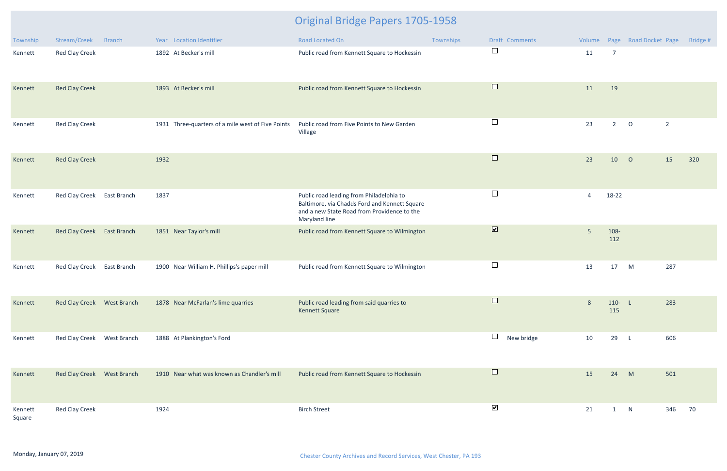| Township          | Stream/Creek               | <b>Branch</b> | Year Location Identifier                          | Road Located On                                                                                                                                           | Townships | Draft Comments          |                 |                  | Volume Page Road Docket Page |                | Bridge # |
|-------------------|----------------------------|---------------|---------------------------------------------------|-----------------------------------------------------------------------------------------------------------------------------------------------------------|-----------|-------------------------|-----------------|------------------|------------------------------|----------------|----------|
| Kennett           | <b>Red Clay Creek</b>      |               | 1892 At Becker's mill                             | Public road from Kennett Square to Hockessin                                                                                                              |           | $\Box$                  | 11              | $\overline{7}$   |                              |                |          |
| Kennett           | <b>Red Clay Creek</b>      |               | 1893 At Becker's mill                             | Public road from Kennett Square to Hockessin                                                                                                              |           | $\Box$                  | 11              | 19               |                              |                |          |
| Kennett           | <b>Red Clay Creek</b>      |               | 1931 Three-quarters of a mile west of Five Points | Public road from Five Points to New Garden<br>Village                                                                                                     |           | $\Box$                  | 23              | $2^{\circ}$      | $\overline{O}$               | $\overline{2}$ |          |
| Kennett           | <b>Red Clay Creek</b>      |               | 1932                                              |                                                                                                                                                           |           | $\Box$                  | 23              | 10               | $\overline{O}$               | 15             | 320      |
| Kennett           | Red Clay Creek             | East Branch   | 1837                                              | Public road leading from Philadelphia to<br>Baltimore, via Chadds Ford and Kennett Square<br>and a new State Road from Providence to the<br>Maryland line |           | $\Box$                  | $\overline{4}$  | 18-22            |                              |                |          |
| Kennett           | <b>Red Clay Creek</b>      | East Branch   | 1851 Near Taylor's mill                           | Public road from Kennett Square to Wilmington                                                                                                             |           | $\overline{\mathbf{v}}$ | $5\phantom{.0}$ | 108-<br>112      |                              |                |          |
| Kennett           | Red Clay Creek             | East Branch   | 1900 Near William H. Phillips's paper mill        | Public road from Kennett Square to Wilmington                                                                                                             |           | $\Box$                  | 13              | 17               | M                            | 287            |          |
| Kennett           | Red Clay Creek West Branch |               | 1878 Near McFarlan's lime quarries                | Public road leading from said quarries to<br><b>Kennett Square</b>                                                                                        |           | $\Box$                  | 8               | $110 - L$<br>115 |                              | 283            |          |
| Kennett           | Red Clay Creek West Branch |               | 1888 At Plankington's Ford                        |                                                                                                                                                           |           | $\Box$<br>New bridge    | 10              | 29               | $\mathsf{L}$                 | 606            |          |
| Kennett           | Red Clay Creek West Branch |               | 1910 Near what was known as Chandler's mill       | Public road from Kennett Square to Hockessin                                                                                                              |           | $\Box$                  | 15              | 24               | M                            | 501            |          |
| Kennett<br>Square | <b>Red Clay Creek</b>      |               | 1924                                              | <b>Birch Street</b>                                                                                                                                       |           | $\blacktriangledown$    | 21              | $\mathbf{1}$     | N                            | 346            | 70       |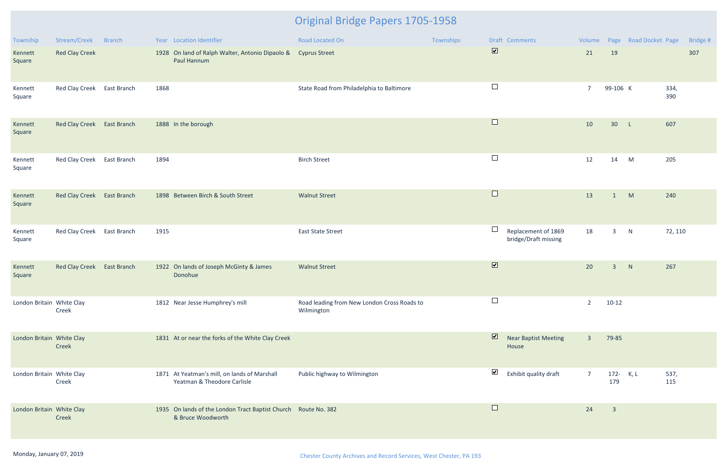| Township                  | Stream/Creek               | <b>Branch</b> |      | Year Location Identifier                                                            | Road Located On                                           | Townships |                         | Draft Comments                              |                |                         | Volume Page Road Docket Page |             | Bridge # |
|---------------------------|----------------------------|---------------|------|-------------------------------------------------------------------------------------|-----------------------------------------------------------|-----------|-------------------------|---------------------------------------------|----------------|-------------------------|------------------------------|-------------|----------|
| Kennett<br>Square         | <b>Red Clay Creek</b>      |               |      | 1928 On land of Ralph Walter, Antonio Dipaolo & Cyprus Street<br>Paul Hannum        |                                                           |           | $\overline{\mathbf{v}}$ |                                             | 21             | 19                      |                              |             | 307      |
| Kennett<br>Square         | Red Clay Creek East Branch |               | 1868 |                                                                                     | State Road from Philadelphia to Baltimore                 |           | $\Box$                  |                                             | $7^{\circ}$    | 99-106 K                |                              | 334,<br>390 |          |
| Kennett<br>Square         | Red Clay Creek East Branch |               |      | 1888 In the borough                                                                 |                                                           |           | $\Box$                  |                                             | 10             | 30 L                    |                              | 607         |          |
| Kennett<br>Square         | <b>Red Clay Creek</b>      | East Branch   | 1894 |                                                                                     | <b>Birch Street</b>                                       |           | $\Box$                  |                                             | 12             | 14                      | M                            | 205         |          |
| Kennett<br>Square         | Red Clay Creek East Branch |               |      | 1898 Between Birch & South Street                                                   | <b>Walnut Street</b>                                      |           | $\Box$                  |                                             | 13             | 1                       | M                            | 240         |          |
| Kennett<br>Square         | <b>Red Clay Creek</b>      | East Branch   | 1915 |                                                                                     | <b>East State Street</b>                                  |           | ⊔                       | Replacement of 1869<br>bridge/Draft missing | 18             | $\overline{3}$          | N                            | 72, 110     |          |
| Kennett<br>Square         | Red Clay Creek East Branch |               |      | 1922 On lands of Joseph McGinty & James<br>Donohue                                  | <b>Walnut Street</b>                                      |           | $\overline{\mathbf{v}}$ |                                             | 20             | $\overline{3}$          | N                            | 267         |          |
| London Britain White Clay | Creek                      |               |      | 1812 Near Jesse Humphrey's mill                                                     | Road leading from New London Cross Roads to<br>Wilmington |           |                         |                                             | $\overline{2}$ | $10-12$                 |                              |             |          |
| London Britain White Clay | Creek                      |               |      | 1831 At or near the forks of the White Clay Creek                                   |                                                           |           | $\overline{\mathbf{z}}$ | <b>Near Baptist Meeting</b><br>House        | $\overline{3}$ | 79-85                   |                              |             |          |
| London Britain White Clay | Creek                      |               |      | 1871 At Yeatman's mill, on lands of Marshall<br>Yeatman & Theodore Carlisle         | Public highway to Wilmington                              |           | $\blacktriangledown$    | Exhibit quality draft                       | $\overline{7}$ | 172- K, L<br>179        |                              | 537,<br>115 |          |
| London Britain White Clay | Creek                      |               |      | 1935 On lands of the London Tract Baptist Church Route No. 382<br>& Bruce Woodworth |                                                           |           | $\Box$                  |                                             | 24             | $\overline{\mathbf{3}}$ |                              |             |          |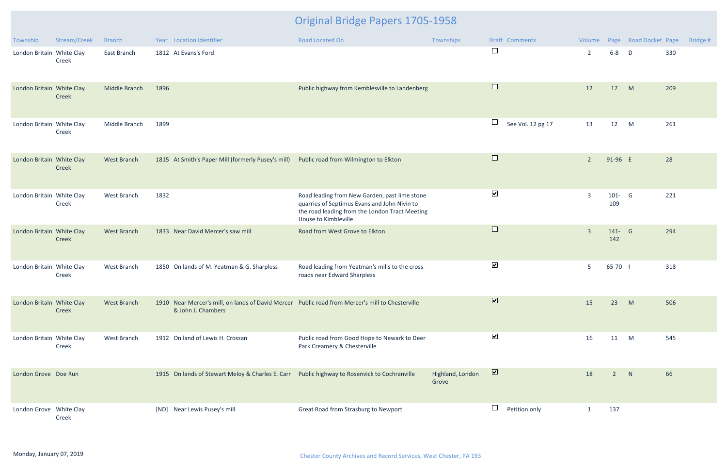| Township                  | Stream/Creek | <b>Branch</b>      | Year Location Identifier                                                                                               | Road Located On                                                                                                                                                         | Townships                 | Draft Comments              | Volume         |                  | Page Road Docket Page | Bridge # |
|---------------------------|--------------|--------------------|------------------------------------------------------------------------------------------------------------------------|-------------------------------------------------------------------------------------------------------------------------------------------------------------------------|---------------------------|-----------------------------|----------------|------------------|-----------------------|----------|
| London Britain White Clay | Creek        | East Branch        | 1812 At Evans's Ford                                                                                                   |                                                                                                                                                                         |                           | $\Box$                      | $\overline{2}$ | $6 - 8$          | D                     | 330      |
| London Britain White Clay | Creek        | Middle Branch      | 1896                                                                                                                   | Public highway from Kemblesville to Landenberg                                                                                                                          |                           | $\Box$                      | 12             | 17               | M                     | 209      |
| London Britain White Clay | Creek        | Middle Branch      | 1899                                                                                                                   |                                                                                                                                                                         |                           | $\Box$<br>See Vol. 12 pg 17 | 13             | 12               | M                     | 261      |
| London Britain White Clay | Creek        | <b>West Branch</b> | 1815 At Smith's Paper Mill (formerly Pusey's mill)                                                                     | Public road from Wilmington to Elkton                                                                                                                                   |                           | $\Box$                      | $\overline{2}$ | 91-96 E          |                       | 28       |
| London Britain White Clay | Creek        | West Branch        | 1832                                                                                                                   | Road leading from New Garden, past lime stone<br>quarries of Septimus Evans and John Nivin to<br>the road leading from the London Tract Meeting<br>House to Kimbleville |                           | $\blacktriangledown$        | $\overline{3}$ | $101 - G$<br>109 |                       | 221      |
| London Britain White Clay | Creek        | <b>West Branch</b> | 1833 Near David Mercer's saw mill                                                                                      | Road from West Grove to Elkton                                                                                                                                          |                           | $\Box$                      | $\overline{3}$ | 141- G<br>142    |                       | 294      |
| London Britain White Clay | Creek        | West Branch        | 1850 On lands of M. Yeatman & G. Sharpless                                                                             | Road leading from Yeatman's mills to the cross<br>roads near Edward Sharpless                                                                                           |                           | $\blacktriangledown$        | 5 <sup>5</sup> | 65-70            |                       | 318      |
| London Britain White Clay | Creek        | West Branch        | 1910 Near Mercer's mill, on lands of David Mercer Public road from Mercer's mill to Chesterville<br>& John J. Chambers |                                                                                                                                                                         |                           | $\overline{\mathbf{v}}$     | 15             | 23               | M                     | 506      |
| London Britain White Clay | Creek        | West Branch        | 1912 On land of Lewis H. Crossan                                                                                       | Public road from Good Hope to Newark to Deer<br>Park Creamery & Chesterville                                                                                            |                           | $\blacktriangledown$        | 16             | 11               | M                     | 545      |
| London Grove Doe Run      |              |                    | 1915 On lands of Stewart Meloy & Charles E. Carr Public highway to Rosenvick to Cochranville                           |                                                                                                                                                                         | Highland, London<br>Grove | $\overline{\mathbf{v}}$     | 18             | $2^{\circ}$      | N                     | 66       |
| London Grove White Clay   | Creek        |                    | [ND] Near Lewis Pusey's mill                                                                                           | Great Road from Strasburg to Newport                                                                                                                                    |                           | $\Box$<br>Petition only     | $\mathbf{1}$   | 137              |                       |          |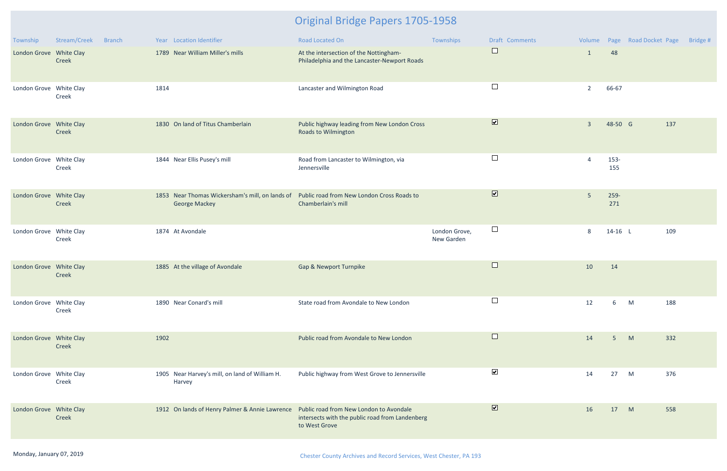| Township                | Stream/Creek | <b>Branch</b> |      | Year Location Identifier                                                               | Road Located On                                                                        | Townships                   | <b>Draft Comments</b>        |                |             | Volume Page Road Docket Page | Bridge # |
|-------------------------|--------------|---------------|------|----------------------------------------------------------------------------------------|----------------------------------------------------------------------------------------|-----------------------------|------------------------------|----------------|-------------|------------------------------|----------|
| London Grove White Clay | Creek        |               |      | 1789 Near William Miller's mills                                                       | At the intersection of the Nottingham-<br>Philadelphia and the Lancaster-Newport Roads |                             | $\sqcup$                     | $\mathbf{1}$   | 48          |                              |          |
| London Grove White Clay | Creek        |               | 1814 |                                                                                        | Lancaster and Wilmington Road                                                          |                             | $\Box$                       | $\overline{2}$ | 66-67       |                              |          |
| London Grove White Clay | Creek        |               |      | 1830 On land of Titus Chamberlain                                                      | Public highway leading from New London Cross<br><b>Roads to Wilmington</b>             |                             | $\boxed{\blacktriangledown}$ | $\overline{3}$ | 48-50 G     |                              | 137      |
| London Grove White Clay | Creek        |               |      | 1844 Near Ellis Pusey's mill                                                           | Road from Lancaster to Wilmington, via<br>Jennersville                                 |                             | $\Box$                       | $\overline{4}$ | 153-<br>155 |                              |          |
| London Grove White Clay | Creek        |               |      | 1853 Near Thomas Wickersham's mill, on lands of<br><b>George Mackey</b>                | Public road from New London Cross Roads to<br>Chamberlain's mill                       |                             | $\overline{\mathbf{v}}$      | 5              | 259-<br>271 |                              |          |
| London Grove White Clay | Creek        |               |      | 1874 At Avondale                                                                       |                                                                                        | London Grove,<br>New Garden | $\Box$                       | 8              | $14-16$ L   |                              | 109      |
| London Grove White Clay | Creek        |               |      | 1885 At the village of Avondale                                                        | Gap & Newport Turnpike                                                                 |                             | $\sqcup$                     | 10             | 14          |                              |          |
| London Grove White Clay | Creek        |               |      | 1890 Near Conard's mill                                                                | State road from Avondale to New London                                                 |                             |                              | 12             |             | M                            | 188      |
| London Grove White Clay | Creek        |               | 1902 |                                                                                        | Public road from Avondale to New London                                                |                             | $\Box$                       | 14             | 5           | M                            | 332      |
| London Grove White Clay | Creek        |               |      | 1905 Near Harvey's mill, on land of William H.<br>Harvey                               | Public highway from West Grove to Jennersville                                         |                             | $\blacktriangledown$         | 14             | 27          | M                            | 376      |
| London Grove White Clay | Creek        |               |      | 1912 On lands of Henry Palmer & Annie Lawrence Public road from New London to Avondale | intersects with the public road from Landenberg<br>to West Grove                       |                             | $\blacktriangledown$         | 16             | 17          | M                            | 558      |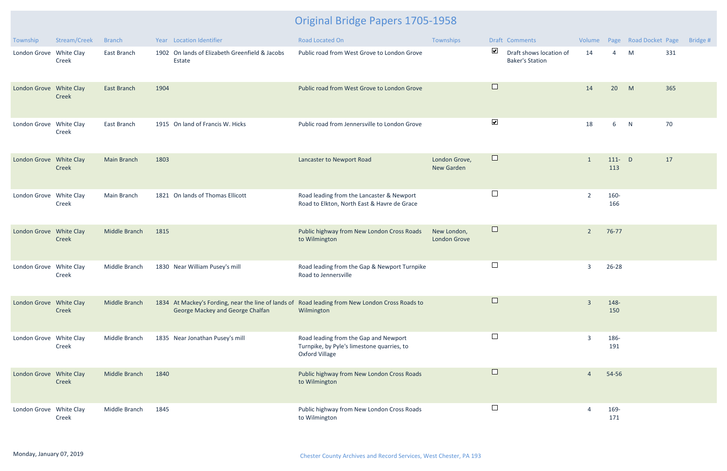| Township                | Stream/Creek | <b>Branch</b>      | Year Location Identifier                                                                                                            | Road Located On                                                                                       | Townships                          |                      | Draft Comments                                    | Volume         |                  | Page Road Docket Page |     | Bridge # |
|-------------------------|--------------|--------------------|-------------------------------------------------------------------------------------------------------------------------------------|-------------------------------------------------------------------------------------------------------|------------------------------------|----------------------|---------------------------------------------------|----------------|------------------|-----------------------|-----|----------|
| London Grove White Clay | Creek        | East Branch        | 1902 On lands of Elizabeth Greenfield & Jacobs<br>Estate                                                                            | Public road from West Grove to London Grove                                                           |                                    | $\blacktriangledown$ | Draft shows location of<br><b>Baker's Station</b> | 14             | $\overline{4}$   | M                     | 331 |          |
| London Grove White Clay | Creek        | <b>East Branch</b> | 1904                                                                                                                                | Public road from West Grove to London Grove                                                           |                                    | $\Box$               |                                                   | 14             | 20               | M                     | 365 |          |
| London Grove White Clay | Creek        | East Branch        | 1915 On land of Francis W. Hicks                                                                                                    | Public road from Jennersville to London Grove                                                         |                                    | $\blacktriangledown$ |                                                   | 18             | 6                | N                     | 70  |          |
| London Grove White Clay | Creek        | <b>Main Branch</b> | 1803                                                                                                                                | Lancaster to Newport Road                                                                             | London Grove,<br><b>New Garden</b> | $\Box$               |                                                   | $\overline{1}$ | $111 - D$<br>113 |                       | 17  |          |
| London Grove White Clay | Creek        | Main Branch        | 1821 On lands of Thomas Ellicott                                                                                                    | Road leading from the Lancaster & Newport<br>Road to Elkton, North East & Havre de Grace              |                                    | $\Box$               |                                                   | $\overline{2}$ | 160-<br>166      |                       |     |          |
| London Grove White Clay | Creek        | Middle Branch      | 1815                                                                                                                                | Public highway from New London Cross Roads<br>to Wilmington                                           | New London,<br><b>London Grove</b> | $\Box$               |                                                   | $\overline{2}$ | 76-77            |                       |     |          |
| London Grove White Clay | Creek        | Middle Branch      | 1830 Near William Pusey's mill                                                                                                      | Road leading from the Gap & Newport Turnpike<br>Road to Jennersville                                  |                                    | $\Box$               |                                                   | $\overline{3}$ | $26 - 28$        |                       |     |          |
| London Grove White Clay | Creek        | Middle Branch      | 1834 At Mackey's Fording, near the line of lands of Road leading from New London Cross Roads to<br>George Mackey and George Chalfan | Wilmington                                                                                            |                                    |                      |                                                   | $\overline{3}$ | 148-<br>150      |                       |     |          |
| London Grove White Clay | Creek        | Middle Branch      | 1835 Near Jonathan Pusey's mill                                                                                                     | Road leading from the Gap and Newport<br>Turnpike, by Pyle's limestone quarries, to<br>Oxford Village |                                    | $\Box$               |                                                   | 3              | 186-<br>191      |                       |     |          |
| London Grove White Clay | Creek        | Middle Branch      | 1840                                                                                                                                | Public highway from New London Cross Roads<br>to Wilmington                                           |                                    | $\Box$               |                                                   | $\overline{4}$ | 54-56            |                       |     |          |
| London Grove White Clay | Creek        | Middle Branch      | 1845                                                                                                                                | Public highway from New London Cross Roads<br>to Wilmington                                           |                                    | $\Box$               |                                                   | 4              | 169-<br>171      |                       |     |          |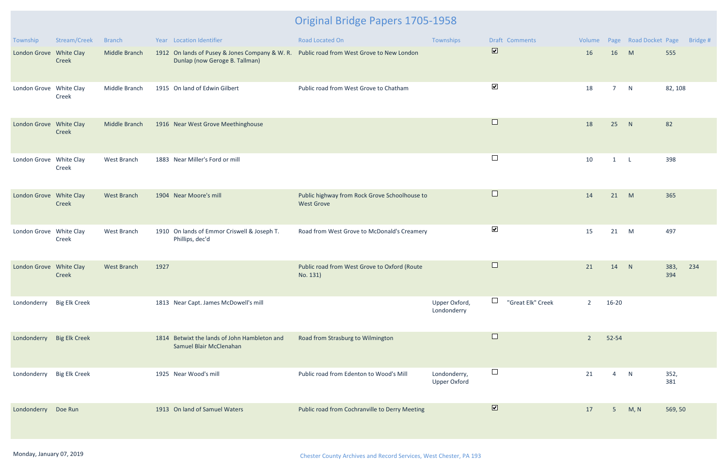| Township                  | Stream/Creek         | <b>Branch</b> | Year Location Identifier                                                                                                   | Road Located On                                                    | Townships                           | Draft Comments               | Volume         |                | Page Road Docket Page | Bridge #           |
|---------------------------|----------------------|---------------|----------------------------------------------------------------------------------------------------------------------------|--------------------------------------------------------------------|-------------------------------------|------------------------------|----------------|----------------|-----------------------|--------------------|
| London Grove White Clay   | Creek                | Middle Branch | 1912 On lands of Pusey & Jones Company & W. R. Public road from West Grove to New London<br>Dunlap (now Geroge B. Tallman) |                                                                    |                                     | $\overline{\mathbf{v}}$      | 16             | 16             | M                     | 555                |
| London Grove White Clay   | Creek                | Middle Branch | 1915 On land of Edwin Gilbert                                                                                              | Public road from West Grove to Chatham                             |                                     | $\blacktriangledown$         | 18             | 7 <sup>7</sup> | N                     | 82, 108            |
| London Grove White Clay   | Creek                | Middle Branch | 1916 Near West Grove Meethinghouse                                                                                         |                                                                    |                                     | $\Box$                       | 18             | 25             | N                     | 82                 |
| London Grove White Clay   | Creek                | West Branch   | 1883 Near Miller's Ford or mill                                                                                            |                                                                    |                                     | $\Box$                       | 10             | $1 \quad L$    |                       | 398                |
| London Grove White Clay   | Creek                | West Branch   | 1904 Near Moore's mill                                                                                                     | Public highway from Rock Grove Schoolhouse to<br><b>West Grove</b> |                                     | $\Box$                       | 14             | 21             | M                     | 365                |
| London Grove White Clay   | Creek                | West Branch   | 1910 On lands of Emmor Criswell & Joseph T.<br>Phillips, dec'd                                                             | Road from West Grove to McDonald's Creamery                        |                                     | $\blacktriangledown$         | 15             | 21             | M                     | 497                |
| London Grove White Clay   | Creek                | West Branch   | 1927                                                                                                                       | Public road from West Grove to Oxford (Route<br>No. 131)           |                                     | $\Box$                       | 21             | 14             | N                     | 383,<br>234<br>394 |
| Londonderry Big Elk Creek |                      |               | 1813 Near Capt. James McDowell's mill                                                                                      |                                                                    | Upper Oxford,<br>Londonderry        | "Great Elk" Creek            | 2              | $16 - 20$      |                       |                    |
| Londonderry Big Elk Creek |                      |               | 1814 Betwixt the lands of John Hambleton and<br>Samuel Blair McClenahan                                                    | Road from Strasburg to Wilmington                                  |                                     | $\Box$                       | $\overline{2}$ | 52-54          |                       |                    |
| Londonderry               | <b>Big Elk Creek</b> |               | 1925 Near Wood's mill                                                                                                      | Public road from Edenton to Wood's Mill                            | Londonderry,<br><b>Upper Oxford</b> | $\Box$                       | 21             | 4              | N                     | 352,<br>381        |
| Londonderry               | Doe Run              |               | 1913 On land of Samuel Waters                                                                                              | Public road from Cochranville to Derry Meeting                     |                                     | $\boxed{\blacktriangledown}$ | 17             | 5 <sub>1</sub> | M, N                  | 569, 50            |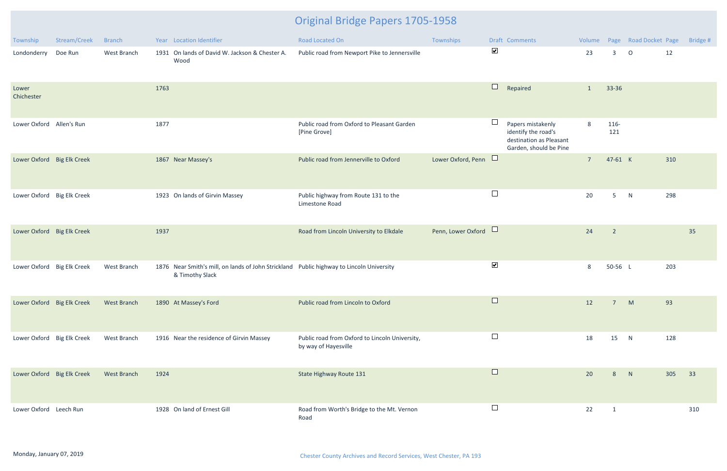| Township                   | Stream/Creek | <b>Branch</b>      | Year Location Identifier                                                                                    | Road Located On                                                        | Townships            |                      | Draft Comments                                                                                |                |                | Volume Page Road Docket Page |     | Bridge # |
|----------------------------|--------------|--------------------|-------------------------------------------------------------------------------------------------------------|------------------------------------------------------------------------|----------------------|----------------------|-----------------------------------------------------------------------------------------------|----------------|----------------|------------------------------|-----|----------|
| Londonderry                | Doe Run      | West Branch        | 1931 On lands of David W. Jackson & Chester A.<br>Wood                                                      | Public road from Newport Pike to Jennersville                          |                      | $\blacktriangledown$ |                                                                                               | 23             | 3              | $\circ$                      | 12  |          |
| Lower<br>Chichester        |              |                    | 1763                                                                                                        |                                                                        |                      | $\Box$               | Repaired                                                                                      | 1              | 33-36          |                              |     |          |
| Lower Oxford Allen's Run   |              |                    | 1877                                                                                                        | Public road from Oxford to Pleasant Garden<br>[Pine Grove]             |                      | $\Box$               | Papers mistakenly<br>identify the road's<br>destination as Pleasant<br>Garden, should be Pine | 8              | 116-<br>121    |                              |     |          |
| Lower Oxford Big Elk Creek |              |                    | 1867 Near Massey's                                                                                          | Public road from Jennerville to Oxford                                 | Lower Oxford, Penn □ |                      |                                                                                               | $\overline{7}$ | 47-61 K        |                              | 310 |          |
| Lower Oxford Big Elk Creek |              |                    | 1923 On lands of Girvin Massey                                                                              | Public highway from Route 131 to the<br>Limestone Road                 |                      | $\Box$               |                                                                                               | 20             | 5 <sub>5</sub> | N                            | 298 |          |
| Lower Oxford Big Elk Creek |              |                    | 1937                                                                                                        | Road from Lincoln University to Elkdale                                | Penn, Lower Oxford □ |                      |                                                                                               | 24             | $\overline{2}$ |                              |     | 35       |
| Lower Oxford Big Elk Creek |              | West Branch        | 1876 Near Smith's mill, on lands of John Strickland Public highway to Lincoln University<br>& Timothy Slack |                                                                        |                      | $\blacktriangledown$ |                                                                                               | 8              | 50-56 L        |                              | 203 |          |
| Lower Oxford Big Elk Creek |              | <b>West Branch</b> | 1890 At Massey's Ford                                                                                       | Public road from Lincoln to Oxford                                     |                      | $\Box$               |                                                                                               | 12             | 7              | M                            | 93  |          |
| Lower Oxford Big Elk Creek |              | West Branch        | 1916 Near the residence of Girvin Massey                                                                    | Public road from Oxford to Lincoln University,<br>by way of Hayesville |                      | $\Box$               |                                                                                               | 18             | 15             | N                            | 128 |          |
| Lower Oxford Big Elk Creek |              | <b>West Branch</b> | 1924                                                                                                        | State Highway Route 131                                                |                      | $\Box$               |                                                                                               | 20             | 8              | N                            | 305 | 33       |
| Lower Oxford Leech Run     |              |                    | 1928 On land of Ernest Gill                                                                                 | Road from Worth's Bridge to the Mt. Vernon<br>Road                     |                      | $\Box$               |                                                                                               | 22             | $\overline{1}$ |                              |     | 310      |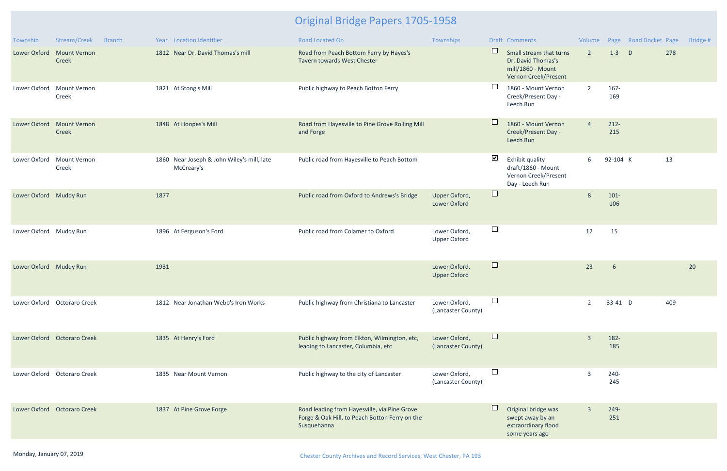| Township               | Stream/Creek                 | <b>Branch</b> |      | Year Location Identifier                                 | <b>Road Located On</b>                                                                                        | Townships                            |                      | Draft Comments                                                                             | Volume         |                | Page Road Docket Page |     | Bridge # |
|------------------------|------------------------------|---------------|------|----------------------------------------------------------|---------------------------------------------------------------------------------------------------------------|--------------------------------------|----------------------|--------------------------------------------------------------------------------------------|----------------|----------------|-----------------------|-----|----------|
| Lower Oxford           | <b>Mount Vernon</b><br>Creek |               |      | 1812 Near Dr. David Thomas's mill                        | Road from Peach Bottom Ferry by Hayes's<br>Tavern towards West Chester                                        |                                      | $\Box$               | Small stream that turns<br>Dr. David Thomas's<br>mill/1860 - Mount<br>Vernon Creek/Present | $\overline{2}$ | $1-3$          | $\mathsf{D}$          | 278 |          |
| Lower Oxford           | <b>Mount Vernon</b><br>Creek |               |      | 1821 At Stong's Mill                                     | Public highway to Peach Botton Ferry                                                                          |                                      | $\Box$               | 1860 - Mount Vernon<br>Creek/Present Day -<br>Leech Run                                    | $\overline{2}$ | 167-<br>169    |                       |     |          |
| Lower Oxford           | <b>Mount Vernon</b><br>Creek |               |      | 1848 At Hoopes's Mill                                    | Road from Hayesville to Pine Grove Rolling Mill<br>and Forge                                                  |                                      | $\Box$               | 1860 - Mount Vernon<br>Creek/Present Day -<br>Leech Run                                    | $\overline{4}$ | $212 -$<br>215 |                       |     |          |
| Lower Oxford           | <b>Mount Vernon</b><br>Creek |               |      | 1860 Near Joseph & John Wiley's mill, late<br>McCreary's | Public road from Hayesville to Peach Bottom                                                                   |                                      | $\blacktriangledown$ | Exhibit quality<br>draft/1860 - Mount<br>Vernon Creek/Present<br>Day - Leech Run           | 6              | 92-104 K       |                       | 13  |          |
| Lower Oxford Muddy Run |                              |               | 1877 |                                                          | Public road from Oxford to Andrews's Bridge                                                                   | Upper Oxford,<br>Lower Oxford        | $\Box$               |                                                                                            | 8              | $101 -$<br>106 |                       |     |          |
| Lower Oxford Muddy Run |                              |               |      | 1896 At Ferguson's Ford                                  | Public road from Colamer to Oxford                                                                            | Lower Oxford,<br><b>Upper Oxford</b> | $\Box$               |                                                                                            | 12             | 15             |                       |     |          |
| Lower Oxford Muddy Run |                              |               | 1931 |                                                          |                                                                                                               | Lower Oxford,<br><b>Upper Oxford</b> | $\Box$               |                                                                                            | 23             | 6              |                       |     | 20       |
|                        | Lower Oxford Octoraro Creek  |               |      | 1812 Near Jonathan Webb's Iron Works                     | Public highway from Christiana to Lancaster                                                                   | Lower Oxford,<br>(Lancaster County)  | $\Box$               |                                                                                            | $\overline{2}$ | 33-41 D        |                       | 409 |          |
|                        | Lower Oxford Octoraro Creek  |               |      | 1835 At Henry's Ford                                     | Public highway from Elkton, Wilmington, etc,<br>leading to Lancaster, Columbia, etc.                          | Lower Oxford,<br>(Lancaster County)  | $\Box$               |                                                                                            | $\overline{3}$ | 182-<br>185    |                       |     |          |
|                        | Lower Oxford Octoraro Creek  |               |      | 1835 Near Mount Vernon                                   | Public highway to the city of Lancaster                                                                       | Lower Oxford,<br>(Lancaster County)  | $\Box$               |                                                                                            | $\overline{3}$ | 240-<br>245    |                       |     |          |
|                        | Lower Oxford Octoraro Creek  |               |      | 1837 At Pine Grove Forge                                 | Road leading from Hayesville, via Pine Grove<br>Forge & Oak Hill, to Peach Botton Ferry on the<br>Susquehanna |                                      | $\Box$               | Original bridge was<br>swept away by an<br>extraordinary flood<br>some years ago           | $\overline{3}$ | 249-<br>251    |                       |     |          |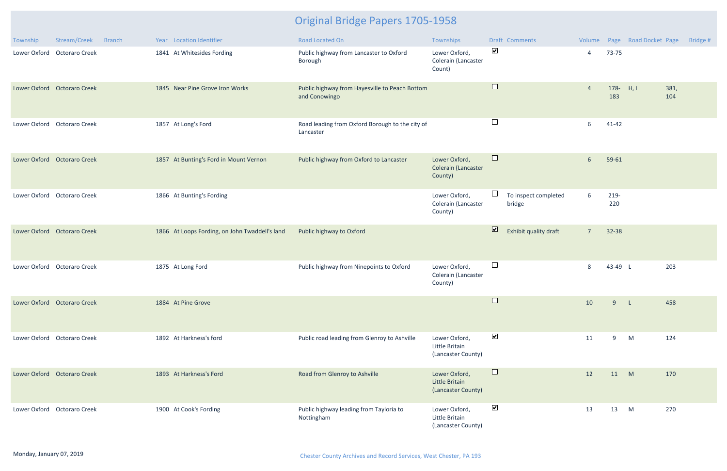| Township | Stream/Creek<br><b>Branch</b> | Year Location Identifier                       | Road Located On                                                 | Townships                                              | Draft Comments                                   | Volume         |                    | Page Road Docket Page | Bridge # |
|----------|-------------------------------|------------------------------------------------|-----------------------------------------------------------------|--------------------------------------------------------|--------------------------------------------------|----------------|--------------------|-----------------------|----------|
|          | Lower Oxford Octoraro Creek   | 1841 At Whitesides Fording                     | Public highway from Lancaster to Oxford<br>Borough              | Lower Oxford,<br>Colerain (Lancaster<br>Count)         | $\blacktriangledown$                             | $\overline{4}$ | 73-75              |                       |          |
|          | Lower Oxford Octoraro Creek   | 1845 Near Pine Grove Iron Works                | Public highway from Hayesville to Peach Bottom<br>and Conowingo |                                                        | $\Box$                                           | $\overline{4}$ | 178- $H, I$<br>183 | 381,<br>104           |          |
|          | Lower Oxford Octoraro Creek   | 1857 At Long's Ford                            | Road leading from Oxford Borough to the city of<br>Lancaster    |                                                        | $\Box$                                           | 6              | $41 - 42$          |                       |          |
|          | Lower Oxford Octoraro Creek   | 1857 At Bunting's Ford in Mount Vernon         | Public highway from Oxford to Lancaster                         | Lower Oxford,<br><b>Colerain (Lancaster</b><br>County) | $\Box$                                           | 6              | 59-61              |                       |          |
|          | Lower Oxford Octoraro Creek   | 1866 At Bunting's Fording                      |                                                                 | Lower Oxford,<br>Colerain (Lancaster<br>County)        | $\Box$<br>To inspect completed<br>bridge         | 6              | 219-<br>220        |                       |          |
|          | Lower Oxford Octoraro Creek   | 1866 At Loops Fording, on John Twaddell's land | Public highway to Oxford                                        |                                                        | $\overline{\mathbf{v}}$<br>Exhibit quality draft | $\overline{7}$ | 32-38              |                       |          |
|          | Lower Oxford Octoraro Creek   | 1875 At Long Ford                              | Public highway from Ninepoints to Oxford                        | Lower Oxford,<br>Colerain (Lancaster<br>County)        | $\Box$                                           | 8              | 43-49 L            | 203                   |          |
|          | Lower Oxford Octoraro Creek   | 1884 At Pine Grove                             |                                                                 |                                                        |                                                  | 10             | 9                  | 458<br>L              |          |
|          | Lower Oxford Octoraro Creek   | 1892 At Harkness's ford                        | Public road leading from Glenroy to Ashville                    | Lower Oxford,<br>Little Britain<br>(Lancaster County)  | $\blacktriangledown$                             | 11             | 9                  | 124<br>M              |          |
|          | Lower Oxford Octoraro Creek   | 1893 At Harkness's Ford                        | Road from Glenroy to Ashville                                   | Lower Oxford,<br>Little Britain<br>(Lancaster County)  | $\Box$                                           | 12             | 11 M               | 170                   |          |
|          | Lower Oxford Octoraro Creek   | 1900 At Cook's Fording                         | Public highway leading from Tayloria to<br>Nottingham           | Lower Oxford,<br>Little Britain<br>(Lancaster County)  | $\blacktriangledown$                             | 13             | 13                 | 270<br>M              |          |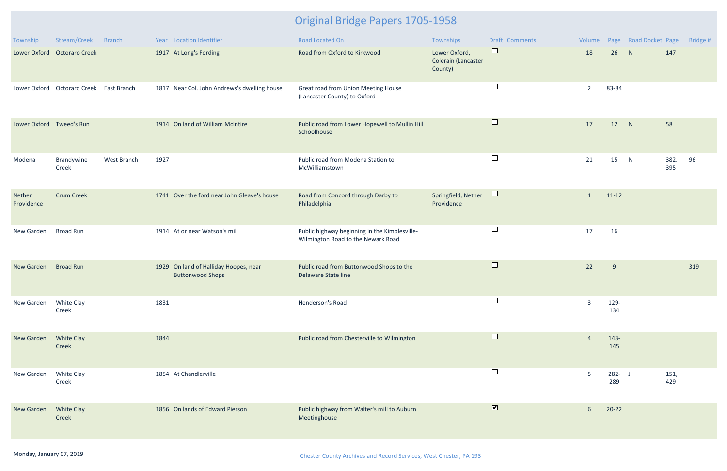| Township                 | Stream/Creek                            | Branch      | Year Location Identifier                                         | <b>Road Located On</b>                                                              | Townships                                       | Draft Comments | Volume         |                  | Page Road Docket Page |             | Bridge # |
|--------------------------|-----------------------------------------|-------------|------------------------------------------------------------------|-------------------------------------------------------------------------------------|-------------------------------------------------|----------------|----------------|------------------|-----------------------|-------------|----------|
|                          | Lower Oxford Octoraro Creek             |             | 1917 At Long's Fording                                           | Road from Oxford to Kirkwood                                                        | Lower Oxford,<br>Colerain (Lancaster<br>County) | $\Box$         | 18             | 26               | N                     | 147         |          |
|                          | Lower Oxford Octoraro Creek East Branch |             | 1817 Near Col. John Andrews's dwelling house                     | Great road from Union Meeting House<br>(Lancaster County) to Oxford                 |                                                 | $\Box$         | $\overline{2}$ | 83-84            |                       |             |          |
| Lower Oxford Tweed's Run |                                         |             | 1914 On land of William McIntire                                 | Public road from Lower Hopewell to Mullin Hill<br>Schoolhouse                       |                                                 | $\Box$         | 17             | 12               | N                     | 58          |          |
| Modena                   | Brandywine<br>Creek                     | West Branch | 1927                                                             | Public road from Modena Station to<br>McWilliamstown                                |                                                 | $\Box$         | 21             | 15               | N                     | 382,<br>395 | 96       |
| Nether<br>Providence     | <b>Crum Creek</b>                       |             | 1741 Over the ford near John Gleave's house                      | Road from Concord through Darby to<br>Philadelphia                                  | Springfield, Nether<br>Providence               | $\Box$         | $\mathbf{1}$   | $11 - 12$        |                       |             |          |
| New Garden               | <b>Broad Run</b>                        |             | 1914 At or near Watson's mill                                    | Public highway beginning in the Kimblesville-<br>Wilmington Road to the Newark Road |                                                 | $\Box$         | 17             | 16               |                       |             |          |
| New Garden               | <b>Broad Run</b>                        |             | 1929 On land of Halliday Hoopes, near<br><b>Buttonwood Shops</b> | Public road from Buttonwood Shops to the<br>Delaware State line                     |                                                 | $\Box$         | 22             | $\overline{9}$   |                       |             | 319      |
| New Garden               | White Clay<br>Creek                     |             | 1831                                                             | Henderson's Road                                                                    |                                                 | $\Box$         | 3              | 129-<br>134      |                       |             |          |
| New Garden               | <b>White Clay</b><br>Creek              |             | 1844                                                             | Public road from Chesterville to Wilmington                                         |                                                 | $\Box$         | $\overline{4}$ | $143 -$<br>145   |                       |             |          |
| New Garden               | White Clay<br>Creek                     |             | 1854 At Chandlerville                                            |                                                                                     |                                                 | $\Box$         | 5              | $282 - J$<br>289 |                       | 151,<br>429 |          |
| New Garden               | <b>White Clay</b><br>Creek              |             | 1856 On lands of Edward Pierson                                  | Public highway from Walter's mill to Auburn<br>Meetinghouse                         |                                                 | $\blacksquare$ | 6              | $20-22$          |                       |             |          |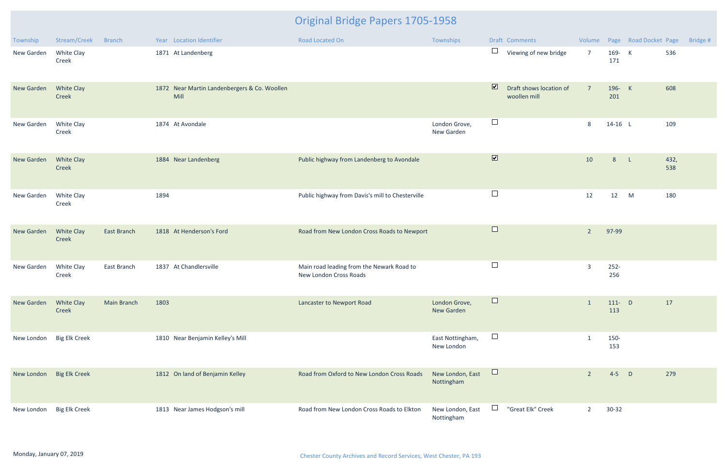| Township   | Stream/Creek                      | <b>Branch</b> | Year Location Identifier                             | Road Located On                                                     | Townships                          |                         | Draft Comments                          |                |                  | Volume Page Road Docket Page |             | Bridge # |
|------------|-----------------------------------|---------------|------------------------------------------------------|---------------------------------------------------------------------|------------------------------------|-------------------------|-----------------------------------------|----------------|------------------|------------------------------|-------------|----------|
| New Garden | White Clay<br>Creek               |               | 1871 At Landenberg                                   |                                                                     |                                    | $\Box$                  | Viewing of new bridge                   | $\overline{7}$ | 169- K<br>171    |                              | 536         |          |
| New Garden | <b>White Clay</b><br>Creek        |               | 1872 Near Martin Landenbergers & Co. Woollen<br>Mill |                                                                     |                                    | $\overline{\mathbf{v}}$ | Draft shows location of<br>woollen mill | $\overline{7}$ | 196- K<br>201    |                              | 608         |          |
| New Garden | White Clay<br>Creek               |               | 1874 At Avondale                                     |                                                                     | London Grove,<br>New Garden        | $\Box$                  |                                         | 8              | $14-16$ L        |                              | 109         |          |
| New Garden | <b>White Clay</b><br>Creek        |               | 1884 Near Landenberg                                 | Public highway from Landenberg to Avondale                          |                                    | $\overline{\mathbf{v}}$ |                                         | 10             | 8 <sup>°</sup>   | $\mathsf{L}$                 | 432,<br>538 |          |
| New Garden | White Clay<br>Creek               |               | 1894                                                 | Public highway from Davis's mill to Chesterville                    |                                    | $\Box$                  |                                         | 12             | 12               | M                            | 180         |          |
| New Garden | <b>White Clay</b><br>Creek        | East Branch   | 1818 At Henderson's Ford                             | Road from New London Cross Roads to Newport                         |                                    | $\Box$                  |                                         | $\overline{2}$ | 97-99            |                              |             |          |
| New Garden | White Clay<br>Creek               | East Branch   | 1837 At Chandlersville                               | Main road leading from the Newark Road to<br>New London Cross Roads |                                    | $\Box$                  |                                         | $\overline{3}$ | $252 -$<br>256   |                              |             |          |
| New Garden | <b>White Clay</b><br><b>Creek</b> | Main Branch   | 1803                                                 | Lancaster to Newport Road                                           | London Grove,<br><b>New Garden</b> |                         |                                         |                | $111 - D$<br>113 |                              | 17          |          |
| New London | <b>Big Elk Creek</b>              |               | 1810 Near Benjamin Kelley's Mill                     |                                                                     | East Nottingham,<br>New London     | $\Box$                  |                                         |                | 150-<br>153      |                              |             |          |
| New London | <b>Big Elk Creek</b>              |               | 1812 On land of Benjamin Kelley                      | Road from Oxford to New London Cross Roads                          | New London, East<br>Nottingham     | $\Box$                  |                                         | $\overline{2}$ | $4-5$ D          |                              | 279         |          |
| New London | <b>Big Elk Creek</b>              |               | 1813 Near James Hodgson's mill                       | Road from New London Cross Roads to Elkton                          | New London, East<br>Nottingham     | $\Box$                  | "Great Elk" Creek                       | $\overline{2}$ | $30 - 32$        |                              |             |          |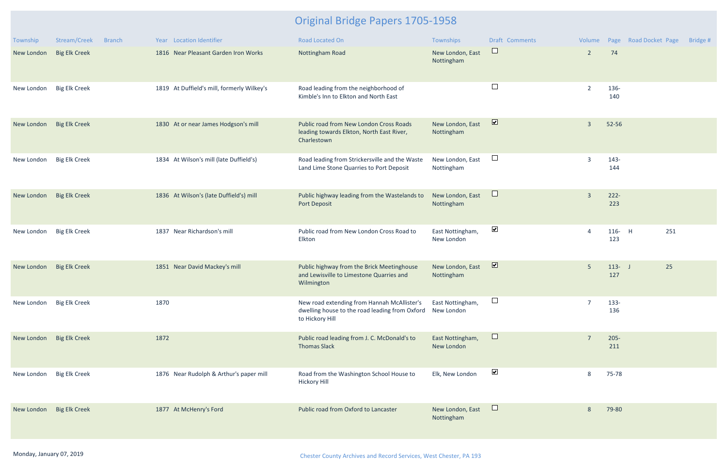| Township                 | Stream/Creek<br><b>Branch</b> | Year Location Identifier                   | <b>Road Located On</b>                                                                                                      | Townships                      | <b>Draft Comments</b>   | Volume         |                        | Page Road Docket Page | Bridge # |
|--------------------------|-------------------------------|--------------------------------------------|-----------------------------------------------------------------------------------------------------------------------------|--------------------------------|-------------------------|----------------|------------------------|-----------------------|----------|
| New London               | <b>Big Elk Creek</b>          | 1816 Near Pleasant Garden Iron Works       | Nottingham Road                                                                                                             | New London, East<br>Nottingham | $\sqcup$ .              | $\overline{2}$ | 74                     |                       |          |
| New London               | <b>Big Elk Creek</b>          | 1819 At Duffield's mill, formerly Wilkey's | Road leading from the neighborhood of<br>Kimble's Inn to Elkton and North East                                              |                                | $\Box$                  | $\overline{2}$ | 136-<br>140            |                       |          |
| New London               | <b>Big Elk Creek</b>          | 1830 At or near James Hodgson's mill       | Public road from New London Cross Roads<br>leading towards Elkton, North East River,<br>Charlestown                         | New London, East<br>Nottingham | $\overline{\mathbf{v}}$ | $\overline{3}$ | 52-56                  |                       |          |
| New London               | <b>Big Elk Creek</b>          | 1834 At Wilson's mill (late Duffield's)    | Road leading from Strickersville and the Waste<br>Land Lime Stone Quarries to Port Deposit                                  | New London, East<br>Nottingham | $\Box$                  | $\overline{3}$ | $143 -$<br>144         |                       |          |
| New London               | <b>Big Elk Creek</b>          | 1836 At Wilson's (late Duffield's) mill    | Public highway leading from the Wastelands to<br>Port Deposit                                                               | New London, East<br>Nottingham | Ц                       | $\overline{3}$ | $222 -$<br>223         |                       |          |
| New London               | <b>Big Elk Creek</b>          | 1837 Near Richardson's mill                | Public road from New London Cross Road to<br>Elkton                                                                         | East Nottingham,<br>New London | $\blacktriangledown$    |                | $116 -$<br>$-H$<br>123 | 251                   |          |
| New London               | <b>Big Elk Creek</b>          | Near David Mackey's mill<br>1851           | Public highway from the Brick Meetinghouse<br>and Lewisville to Limestone Quarries and<br>Wilmington                        | New London, East<br>Nottingham | $\overline{\mathbf{v}}$ | 5 <sup>5</sup> | $113 - J$<br>127       | 25                    |          |
| New London Big Elk Creek |                               | 1870                                       | New road extending from Hannah McAllister's<br>dwelling house to the road leading from Oxford New London<br>to Hickory Hill | East Nottingham,               |                         |                | 133-<br>136            |                       |          |
| New London               | <b>Big Elk Creek</b>          | 1872                                       | Public road leading from J. C. McDonald's to<br><b>Thomas Slack</b>                                                         | East Nottingham,<br>New London | $\Box$                  | -7             | $205 -$<br>211         |                       |          |
| New London               | <b>Big Elk Creek</b>          | 1876 Near Rudolph & Arthur's paper mill    | Road from the Washington School House to<br><b>Hickory Hill</b>                                                             | Elk, New London                | $\blacktriangledown$    | 8              | 75-78                  |                       |          |
| New London               | <b>Big Elk Creek</b>          | 1877 At McHenry's Ford                     | Public road from Oxford to Lancaster                                                                                        | New London, East<br>Nottingham | $\sqcup$                | 8              | 79-80                  |                       |          |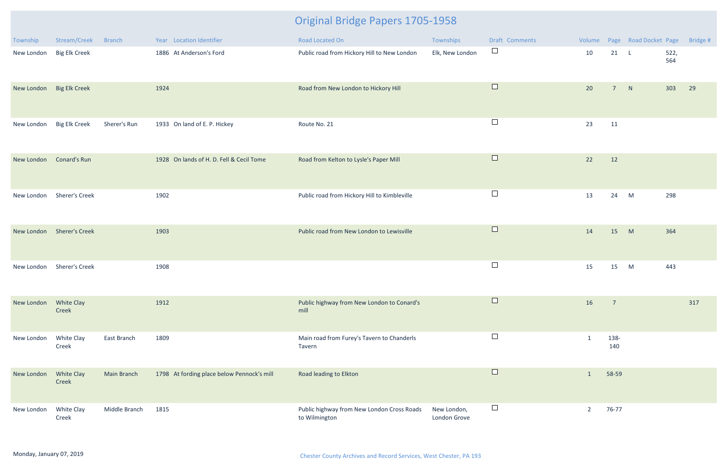| Township   | Stream/Creek               | <b>Branch</b>      | Year Location Identifier                   | Road Located On                                             | Townships                   | Draft Comments |                |                | Volume Page Road Docket Page |             | Bridge # |
|------------|----------------------------|--------------------|--------------------------------------------|-------------------------------------------------------------|-----------------------------|----------------|----------------|----------------|------------------------------|-------------|----------|
| New London | <b>Big Elk Creek</b>       |                    | 1886 At Anderson's Ford                    | Public road from Hickory Hill to New London                 | Elk, New London             | $\Box$         | 10             | 21 L           |                              | 522,<br>564 |          |
| New London | <b>Big Elk Creek</b>       |                    | 1924                                       | Road from New London to Hickory Hill                        |                             | $\Box$         | 20             | $\overline{7}$ | N                            | 303         | 29       |
| New London | <b>Big Elk Creek</b>       | Sherer's Run       | 1933 On land of E. P. Hickey               | Route No. 21                                                |                             | $\Box$         | 23             | 11             |                              |             |          |
| New London | <b>Conard's Run</b>        |                    | 1928 On lands of H. D. Fell & Cecil Tome   | Road from Kelton to Lysle's Paper Mill                      |                             | $\Box$         | 22             | 12             |                              |             |          |
| New London | <b>Sherer's Creek</b>      |                    | 1902                                       | Public road from Hickory Hill to Kimbleville                |                             | $\Box$         | 13             | 24             | M                            | 298         |          |
|            | New London Sherer's Creek  |                    | 1903                                       | Public road from New London to Lewisville                   |                             | $\Box$         | 14             | 15             | M                            | 364         |          |
| New London | <b>Sherer's Creek</b>      |                    | 1908                                       |                                                             |                             | $\Box$         | 15             | 15             | M                            | 443         |          |
| New London | White Clay<br>Creek        |                    | 1912                                       | Public highway from New London to Conard's<br>mill          |                             | $\Box$         | 16             | $\overline{7}$ |                              |             | 317      |
| New London | White Clay<br>Creek        | East Branch        | 1809                                       | Main road from Furey's Tavern to Chanderls<br>Tavern        |                             | $\Box$         |                | 138-<br>140    |                              |             |          |
| New London | <b>White Clay</b><br>Creek | <b>Main Branch</b> | 1798 At fording place below Pennock's mill | Road leading to Elkton                                      |                             | $\Box$         | $\mathbf{1}$   | 58-59          |                              |             |          |
| New London | White Clay<br>Creek        | Middle Branch      | 1815                                       | Public highway from New London Cross Roads<br>to Wilmington | New London,<br>London Grove | $\Box$         | $\overline{2}$ | 76-77          |                              |             |          |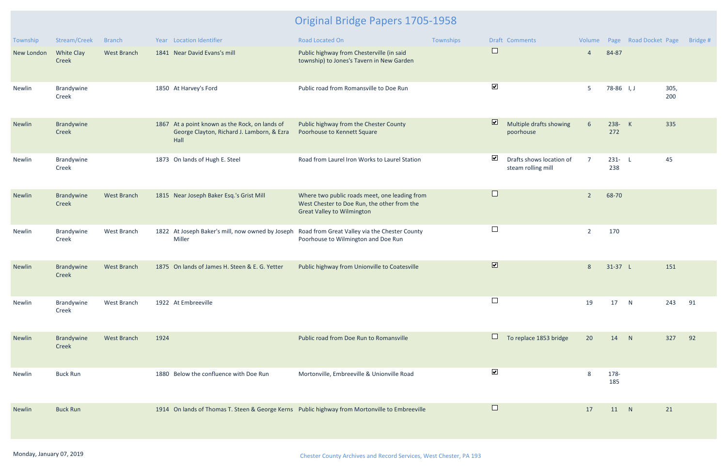| Township   | Stream/Creek        | <b>Branch</b>      |      | Year Location Identifier                                                                             | Road Located On                                                                                                                   | Townships |                         | Draft Comments                                 | Volume          |                  | Page Road Docket Page |             | Bridge # |
|------------|---------------------|--------------------|------|------------------------------------------------------------------------------------------------------|-----------------------------------------------------------------------------------------------------------------------------------|-----------|-------------------------|------------------------------------------------|-----------------|------------------|-----------------------|-------------|----------|
| New London | White Clay<br>Creek | <b>West Branch</b> |      | 1841 Near David Evans's mill                                                                         | Public highway from Chesterville (in said<br>township) to Jones's Tavern in New Garden                                            |           | $\Box$                  |                                                | $\overline{4}$  | 84-87            |                       |             |          |
| Newlin     | Brandywine<br>Creek |                    |      | 1850 At Harvey's Ford                                                                                | Public road from Romansville to Doe Run                                                                                           |           | $\blacktriangledown$    |                                                | 5               | 78-86 I, J       |                       | 305,<br>200 |          |
| Newlin     | Brandywine<br>Creek |                    |      | 1867 At a point known as the Rock, on lands of<br>George Clayton, Richard J. Lamborn, & Ezra<br>Hall | Public highway from the Chester County<br>Poorhouse to Kennett Square                                                             |           | $\overline{\mathbf{v}}$ | Multiple drafts showing<br>poorhouse           | $6\overline{6}$ | 238- K<br>272    |                       | 335         |          |
| Newlin     | Brandywine<br>Creek |                    |      | 1873 On lands of Hugh E. Steel                                                                       | Road from Laurel Iron Works to Laurel Station                                                                                     |           | $\blacktriangledown$    | Drafts shows location of<br>steam rolling mill | $\overline{7}$  | $231 - L$<br>238 |                       | 45          |          |
| Newlin     | Brandywine<br>Creek | <b>West Branch</b> |      | 1815 Near Joseph Baker Esq.'s Grist Mill                                                             | Where two public roads meet, one leading from<br>West Chester to Doe Run, the other from the<br><b>Great Valley to Wilmington</b> |           | $\Box$                  |                                                | $\overline{2}$  | 68-70            |                       |             |          |
| Newlin     | Brandywine<br>Creek | West Branch        |      | 1822 At Joseph Baker's mill, now owned by Joseph<br>Miller                                           | Road from Great Valley via the Chester County<br>Poorhouse to Wilmington and Doe Run                                              |           | $\Box$                  |                                                | $\overline{2}$  | 170              |                       |             |          |
| Newlin     | Brandywine<br>Creek | <b>West Branch</b> |      | 1875 On lands of James H. Steen & E. G. Yetter                                                       | Public highway from Unionville to Coatesville                                                                                     |           | $\overline{\mathbf{v}}$ |                                                | $\,8\,$         | $31-37$ L        |                       | 151         |          |
| Newlin     | Brandywine<br>Creek | West Branch        |      | 1922 At Embreeville                                                                                  |                                                                                                                                   |           |                         |                                                | 19              | 17               | N                     | 243         | 91       |
| Newlin     | Brandywine<br>Creek | <b>West Branch</b> | 1924 |                                                                                                      | Public road from Doe Run to Romansville                                                                                           |           |                         | To replace 1853 bridge                         | 20              | 14               | N                     | 327         | 92       |
| Newlin     | <b>Buck Run</b>     |                    |      | 1880 Below the confluence with Doe Run                                                               | Mortonville, Embreeville & Unionville Road                                                                                        |           | $\blacktriangledown$    |                                                | 8               | 178-<br>185      |                       |             |          |
| Newlin     | <b>Buck Run</b>     |                    |      |                                                                                                      | 1914 On lands of Thomas T. Steen & George Kerns Public highway from Mortonville to Embreeville                                    |           | $\Box$                  |                                                | 17              | 11 N             |                       | 21          |          |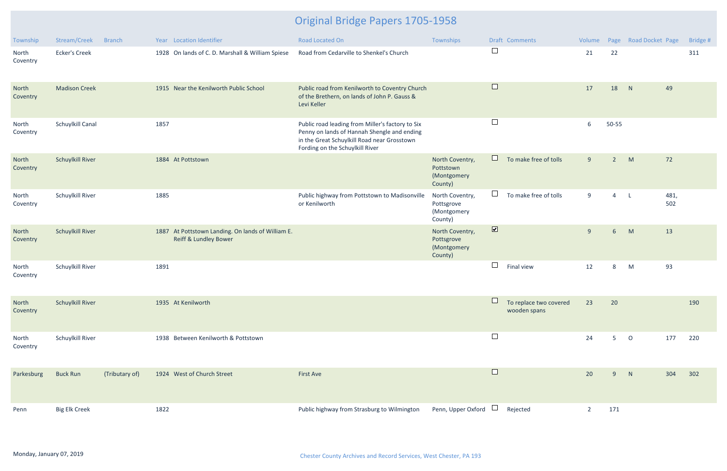| Township          | Stream/Creek            | <b>Branch</b>  |      | Year Location Identifier                                                              | <b>Road Located On</b>                                                                                                                                                            | Townships                                               |                          | <b>Draft Comments</b>                  | Volume         |                | Page Road Docket Page |             | Bridge # |
|-------------------|-------------------------|----------------|------|---------------------------------------------------------------------------------------|-----------------------------------------------------------------------------------------------------------------------------------------------------------------------------------|---------------------------------------------------------|--------------------------|----------------------------------------|----------------|----------------|-----------------------|-------------|----------|
| North<br>Coventry | <b>Ecker's Creek</b>    |                |      | 1928 On lands of C. D. Marshall & William Spiese                                      | Road from Cedarville to Shenkel's Church                                                                                                                                          |                                                         | $\Box$                   |                                        | 21             | 22             |                       |             | 311      |
| North<br>Coventry | <b>Madison Creek</b>    |                |      | 1915 Near the Kenilworth Public School                                                | Public road from Kenilworth to Coventry Church<br>of the Brethern, on lands of John P. Gauss &<br>Levi Keller                                                                     |                                                         | $\Box$                   |                                        | 17             | 18             | N                     | 49          |          |
| North<br>Coventry | Schuylkill Canal        |                | 1857 |                                                                                       | Public road leading from Miller's factory to Six<br>Penny on lands of Hannah Shengle and ending<br>in the Great Schuylkill Road near Grosstown<br>Fording on the Schuylkill River |                                                         | $\overline{\phantom{a}}$ |                                        | 6              | 50-55          |                       |             |          |
| North<br>Coventry | <b>Schuylkill River</b> |                |      | 1884 At Pottstown                                                                     |                                                                                                                                                                                   | North Coventry,<br>Pottstown<br>(Montgomery<br>County)  | $\Box$                   | To make free of tolls                  | 9              | $2^{\circ}$    | M                     | 72          |          |
| North<br>Coventry | <b>Schuylkill River</b> |                | 1885 |                                                                                       | Public highway from Pottstown to Madisonville<br>or Kenilworth                                                                                                                    | North Coventry,<br>Pottsgrove<br>(Montgomery<br>County) | $\Box$                   | To make free of tolls                  | 9              | $\overline{4}$ | L.                    | 481,<br>502 |          |
| North<br>Coventry | <b>Schuylkill River</b> |                |      | 1887 At Pottstown Landing. On lands of William E.<br><b>Reiff &amp; Lundley Bower</b> |                                                                                                                                                                                   | North Coventry,<br>Pottsgrove<br>(Montgomery<br>County) | $\overline{\mathbf{v}}$  |                                        | 9              | 6 <sup>1</sup> | M                     | 13          |          |
| North<br>Coventry | Schuylkill River        |                | 1891 |                                                                                       |                                                                                                                                                                                   |                                                         | $\Box$                   | Final view                             | 12             | 8              | M                     | 93          |          |
| North<br>Coventry | <b>Schuylkill River</b> |                |      | 1935 At Kenilworth                                                                    |                                                                                                                                                                                   |                                                         |                          | To replace two covered<br>wooden spans | 23             | 20             |                       |             | 190      |
| North<br>Coventry | Schuylkill River        |                |      | 1938 Between Kenilworth & Pottstown                                                   |                                                                                                                                                                                   |                                                         | $\Box$                   |                                        | 24             | 5 <sub>1</sub> | $\circ$               | 177         | 220      |
| Parkesburg        | <b>Buck Run</b>         | (Tributary of) |      | 1924 West of Church Street                                                            | <b>First Ave</b>                                                                                                                                                                  |                                                         | $\Box$                   |                                        | 20             | 9              | N                     | 304         | 302      |
| Penn              | <b>Big Elk Creek</b>    |                | 1822 |                                                                                       | Public highway from Strasburg to Wilmington                                                                                                                                       | Penn, Upper Oxford $\Box$                               |                          | Rejected                               | $\overline{2}$ | 171            |                       |             |          |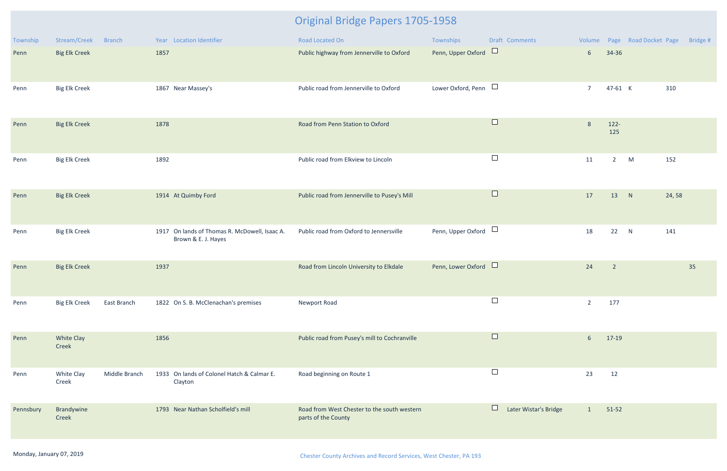| Township  | Stream/Creek         | <b>Branch</b> |      | Year Location Identifier                                             | Road Located On                                                    | Townships                 |        | <b>Draft Comments</b> |                 |                            | Volume Page Road Docket Page |       | Bridge # |
|-----------|----------------------|---------------|------|----------------------------------------------------------------------|--------------------------------------------------------------------|---------------------------|--------|-----------------------|-----------------|----------------------------|------------------------------|-------|----------|
| Penn      | <b>Big Elk Creek</b> |               | 1857 |                                                                      | Public highway from Jennerville to Oxford                          | Penn, Upper Oxford        | $\Box$ |                       | 6 <sup>1</sup>  | 34-36                      |                              |       |          |
| Penn      | <b>Big Elk Creek</b> |               |      | 1867 Near Massey's                                                   | Public road from Jennerville to Oxford                             | Lower Oxford, Penn $\Box$ |        |                       | $\overline{7}$  | 47-61 K                    |                              | 310   |          |
| Penn      | <b>Big Elk Creek</b> |               | 1878 |                                                                      | Road from Penn Station to Oxford                                   |                           | $\Box$ |                       | 8               | $122 -$<br>125             |                              |       |          |
| Penn      | <b>Big Elk Creek</b> |               | 1892 |                                                                      | Public road from Elkview to Lincoln                                |                           | $\Box$ |                       | 11              | $2^{\circ}$                | M                            | 152   |          |
| Penn      | <b>Big Elk Creek</b> |               |      | 1914 At Quimby Ford                                                  | Public road from Jennerville to Pusey's Mill                       |                           | $\Box$ |                       | 17              | 13                         | N                            | 24,58 |          |
| Penn      | <b>Big Elk Creek</b> |               |      | 1917 On lands of Thomas R. McDowell, Isaac A.<br>Brown & E. J. Hayes | Public road from Oxford to Jennersville                            | Penn, Upper Oxford $\Box$ |        |                       | 18              | 22 N                       |                              | 141   |          |
| Penn      | <b>Big Elk Creek</b> |               | 1937 |                                                                      | Road from Lincoln University to Elkdale                            | Penn, Lower Oxford        |        |                       | 24              | $\overline{\phantom{a}}$ 2 |                              |       | 35       |
| Penn      | <b>Big Elk Creek</b> | East Branch   |      | 1822 On S. B. McClenachan's premises                                 | Newport Road                                                       |                           | $\Box$ |                       | $\overline{2}$  | 177                        |                              |       |          |
| Penn      | White Clay<br>Creek  |               | 1856 |                                                                      | Public road from Pusey's mill to Cochranville                      |                           | $\Box$ |                       | $6\overline{6}$ | 17-19                      |                              |       |          |
| Penn      | White Clay<br>Creek  | Middle Branch |      | 1933 On lands of Colonel Hatch & Calmar E.<br>Clayton                | Road beginning on Route 1                                          |                           | $\Box$ |                       | 23              | 12                         |                              |       |          |
| Pennsbury | Brandywine<br>Creek  |               |      | 1793 Near Nathan Scholfield's mill                                   | Road from West Chester to the south western<br>parts of the County |                           |        | Later Wistar's Bridge | $\mathbf{1}$    | $51-52$                    |                              |       |          |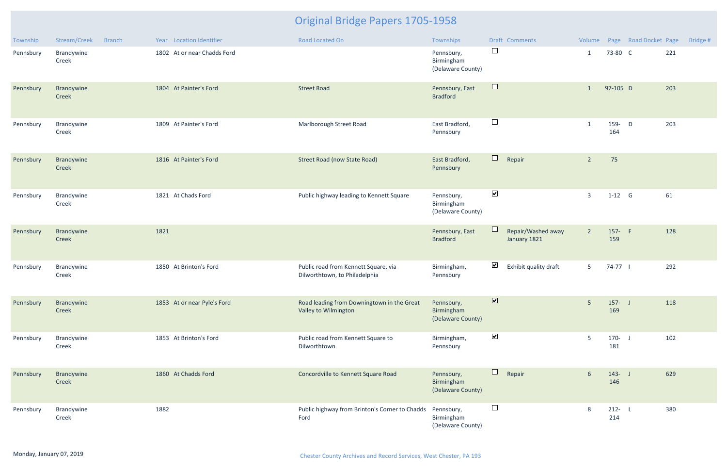| Township  | Stream/Creek        | <b>Branch</b> | Year Location Identifier    | <b>Road Located On</b>                                                | Townships                                     |                              | <b>Draft Comments</b>              |                 |                  | Volume Page Road Docket Page |     | Bridge # |
|-----------|---------------------|---------------|-----------------------------|-----------------------------------------------------------------------|-----------------------------------------------|------------------------------|------------------------------------|-----------------|------------------|------------------------------|-----|----------|
| Pennsbury | Brandywine<br>Creek |               | 1802 At or near Chadds Ford |                                                                       | Pennsbury,<br>Birmingham<br>(Delaware County) | $\Box$                       |                                    | $\mathbf{1}$    | 73-80 C          |                              | 221 |          |
| Pennsbury | Brandywine<br>Creek |               | 1804 At Painter's Ford      | <b>Street Road</b>                                                    | Pennsbury, East<br><b>Bradford</b>            | $\Box$                       |                                    | 1               | 97-105 D         |                              | 203 |          |
| Pennsbury | Brandywine<br>Creek |               | 1809 At Painter's Ford      | Marlborough Street Road                                               | East Bradford,<br>Pennsbury                   | $\Box$                       |                                    | 1               | 159- D<br>164    |                              | 203 |          |
| Pennsbury | Brandywine<br>Creek |               | 1816 At Painter's Ford      | <b>Street Road (now State Road)</b>                                   | East Bradford,<br>Pennsbury                   | $\Box$                       | Repair                             | $\overline{2}$  | 75               |                              |     |          |
| Pennsbury | Brandywine<br>Creek |               | 1821 At Chads Ford          | Public highway leading to Kennett Square                              | Pennsbury,<br>Birmingham<br>(Delaware County) | $\blacktriangledown$         |                                    | $\overline{3}$  | $1-12$ G         |                              | 61  |          |
| Pennsbury | Brandywine<br>Creek |               | 1821                        |                                                                       | Pennsbury, East<br><b>Bradford</b>            |                              | Repair/Washed away<br>January 1821 | $2^{\circ}$     | 157- F<br>159    |                              | 128 |          |
| Pennsbury | Brandywine<br>Creek |               | 1850 At Brinton's Ford      | Public road from Kennett Square, via<br>Dilworthtown, to Philadelphia | Birmingham,<br>Pennsbury                      | $\blacktriangledown$         | Exhibit quality draft              | 5 <sup>5</sup>  | 74-77            |                              | 292 |          |
| Pennsbury | Brandywine<br>Creek |               | 1853 At or near Pyle's Ford | Road leading from Downingtown in the Great<br>Valley to Wilmington    | Pennsbury,<br>Birmingham<br>(Delaware County) | $\boxed{\blacktriangledown}$ |                                    | 5 <sup>5</sup>  | $157 - J$<br>169 |                              | 118 |          |
| Pennsbury | Brandywine<br>Creek |               | 1853 At Brinton's Ford      | Public road from Kennett Square to<br>Dilworthtown                    | Birmingham,<br>Pennsbury                      | $\blacktriangledown$         |                                    | 5               | $170 - J$<br>181 |                              | 102 |          |
| Pennsbury | Brandywine<br>Creek |               | 1860 At Chadds Ford         | Concordville to Kennett Square Road                                   | Pennsbury,<br>Birmingham<br>(Delaware County) | $\Box$                       | Repair                             | $6\overline{6}$ | $143 - J$<br>146 |                              | 629 |          |
| Pennsbury | Brandywine<br>Creek |               | 1882                        | Public highway from Brinton's Corner to Chadds<br>Ford                | Pennsbury,<br>Birmingham<br>(Delaware County) | $\Box$                       |                                    | 8               | $212 - L$<br>214 |                              | 380 |          |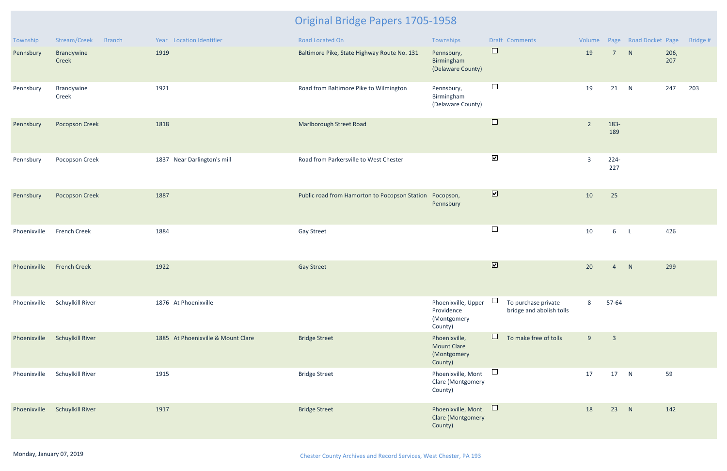| Township     | Stream/Creek<br><b>Branch</b> | Year Location Identifier           | Road Located On                               | Townships                                                     | Draft Comments                                  |                |                         | Volume Page Road Docket Page |             | Bridge # |
|--------------|-------------------------------|------------------------------------|-----------------------------------------------|---------------------------------------------------------------|-------------------------------------------------|----------------|-------------------------|------------------------------|-------------|----------|
| Pennsbury    | Brandywine<br>Creek           | 1919                               | Baltimore Pike, State Highway Route No. 131   | Pennsbury,<br>Birmingham<br>(Delaware County)                 | $\Box$                                          | 19             | $\overline{7}$          | N                            | 206,<br>207 |          |
| Pennsbury    | Brandywine<br>Creek           | 1921                               | Road from Baltimore Pike to Wilmington        | Pennsbury,<br>Birmingham<br>(Delaware County)                 | $\Box$                                          | 19             | 21                      | N                            | 247         | 203      |
| Pennsbury    | <b>Pocopson Creek</b>         | 1818                               | <b>Marlborough Street Road</b>                |                                                               | $\Box$                                          | $\overline{2}$ | 183-<br>189             |                              |             |          |
| Pennsbury    | Pocopson Creek                | 1837 Near Darlington's mill        | Road from Parkersville to West Chester        |                                                               | $\blacktriangledown$                            | $\overline{3}$ | $224-$<br>227           |                              |             |          |
| Pennsbury    | <b>Pocopson Creek</b>         | 1887                               | Public road from Hamorton to Pocopson Station | Pocopson,<br>Pennsbury                                        | $\overline{\mathbf{v}}$                         | 10             | 25                      |                              |             |          |
| Phoenixville | <b>French Creek</b>           | 1884                               | <b>Gay Street</b>                             |                                                               | $\Box$                                          | 10             | 6                       | $\mathsf{L}$                 | 426         |          |
| Phoenixville | <b>French Creek</b>           | 1922                               | <b>Gay Street</b>                             |                                                               | $\overline{\mathbf{v}}$                         | 20             | $\overline{4}$          | N                            | 299         |          |
| Phoenixville | Schuylkill River              | 1876 At Phoenixville               |                                               | Phoenixville, Upper<br>Providence<br>(Montgomery<br>County)   | To purchase private<br>bridge and abolish tolls | 8              | 57-64                   |                              |             |          |
| Phoenixville | <b>Schuylkill River</b>       | 1885 At Phoenixville & Mount Clare | <b>Bridge Street</b>                          | Phoenixville,<br><b>Mount Clare</b><br>(Montgomery<br>County) | $\Box$<br>To make free of tolls                 | 9              | $\overline{\mathbf{3}}$ |                              |             |          |
| Phoenixville | Schuylkill River              | 1915                               | <b>Bridge Street</b>                          | Phoenixville, Mont<br>Clare (Montgomery<br>County)            | $\Box$                                          | 17             | 17                      | N                            | 59          |          |
| Phoenixville | <b>Schuylkill River</b>       | 1917                               | <b>Bridge Street</b>                          | Phoenixville, Mont<br><b>Clare (Montgomery</b><br>County)     | $\Box$                                          | 18             | 23                      | N                            | 142         |          |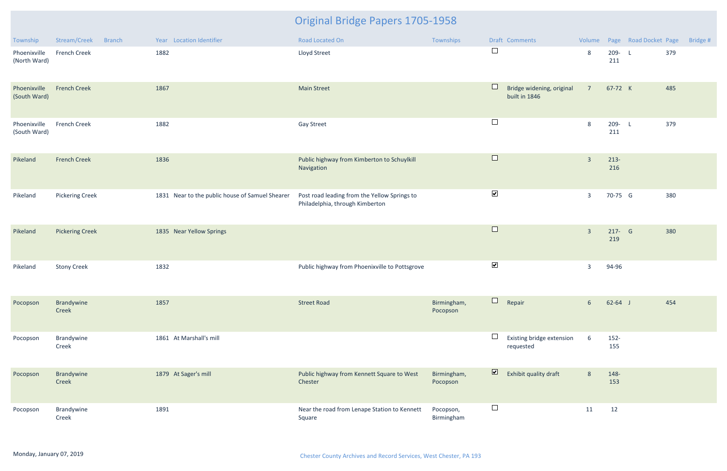| Township                     | Stream/Creek           | <b>Branch</b> | Year Location Identifier                        | Road Located On                                                                 | Townships               |                               | Draft Comments                             |                         |                  | Volume Page Road Docket Page |     | Bridge # |
|------------------------------|------------------------|---------------|-------------------------------------------------|---------------------------------------------------------------------------------|-------------------------|-------------------------------|--------------------------------------------|-------------------------|------------------|------------------------------|-----|----------|
| Phoenixville<br>(North Ward) | French Creek           |               | 1882                                            | Lloyd Street                                                                    |                         | $\Box$                        |                                            | 8                       | 209-L<br>211     |                              | 379 |          |
| Phoenixville<br>(South Ward) | <b>French Creek</b>    |               | 1867                                            | <b>Main Street</b>                                                              |                         | H                             | Bridge widening, original<br>built in 1846 | 7 <sup>7</sup>          | 67-72 K          |                              | 485 |          |
| Phoenixville<br>(South Ward) | <b>French Creek</b>    |               | 1882                                            | <b>Gay Street</b>                                                               |                         | $\Box$                        |                                            | 8                       | 209- L<br>211    |                              | 379 |          |
| Pikeland                     | <b>French Creek</b>    |               | 1836                                            | Public highway from Kimberton to Schuylkill<br>Navigation                       |                         | $\Box$                        |                                            | $\overline{3}$          | $213-$<br>216    |                              |     |          |
| Pikeland                     | <b>Pickering Creek</b> |               | 1831 Near to the public house of Samuel Shearer | Post road leading from the Yellow Springs to<br>Philadelphia, through Kimberton |                         | $\blacktriangledown$          |                                            | $\overline{3}$          | 70-75 G          |                              | 380 |          |
| Pikeland                     | <b>Pickering Creek</b> |               | 1835 Near Yellow Springs                        |                                                                                 |                         | $\Box$                        |                                            | $\overline{\mathbf{3}}$ | $217 - G$<br>219 |                              | 380 |          |
| Pikeland                     | <b>Stony Creek</b>     |               | 1832                                            | Public highway from Phoenixville to Pottsgrove                                  |                         | $\blacktriangledown$          |                                            | $\overline{3}$          | 94-96            |                              |     |          |
| Pocopson                     | Brandywine<br>Creek    |               | 1857                                            | <b>Street Road</b>                                                              | Birmingham,<br>Pocopson | $\overline{\phantom{a}}$<br>ப | Repair                                     | 6 <sup>1</sup>          | $62 - 64$ J      |                              | 454 |          |
| Pocopson                     | Brandywine<br>Creek    |               | 1861 At Marshall's mill                         |                                                                                 |                         | $\mathbf{L}$                  | Existing bridge extension<br>requested     | 6                       | $152 -$<br>155   |                              |     |          |
| Pocopson                     | Brandywine<br>Creek    |               | 1879 At Sager's mill                            | Public highway from Kennett Square to West<br>Chester                           | Birmingham,<br>Pocopson | $\overline{\mathbf{v}}$       | Exhibit quality draft                      | 8                       | 148-<br>153      |                              |     |          |
| Pocopson                     | Brandywine<br>Creek    |               | 1891                                            | Near the road from Lenape Station to Kennett<br>Square                          | Pocopson,<br>Birmingham | $\Box$                        |                                            | 11                      | 12               |                              |     |          |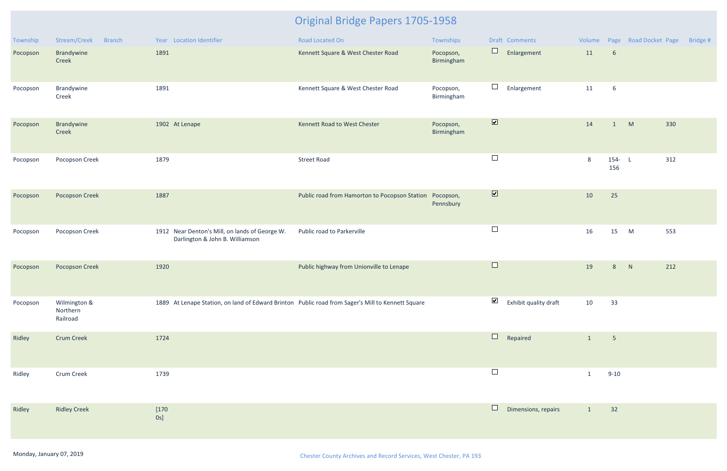| Township | Stream/Creek<br><b>Branch</b>        | Year Location Identifier                                                                          | Road Located On                                         | Townships               | Draft Comments                                 | Volume       |                  | Page Road Docket Page | Bridge # |
|----------|--------------------------------------|---------------------------------------------------------------------------------------------------|---------------------------------------------------------|-------------------------|------------------------------------------------|--------------|------------------|-----------------------|----------|
| Pocopson | Brandywine<br>Creek                  | 1891                                                                                              | Kennett Square & West Chester Road                      | Pocopson,<br>Birmingham | $\Box$<br>Enlargement                          | 11           | $6\phantom{1}6$  |                       |          |
| Pocopson | Brandywine<br>Creek                  | 1891                                                                                              | Kennett Square & West Chester Road                      | Pocopson,<br>Birmingham | $\Box$<br>Enlargement                          | 11           | 6                |                       |          |
| Pocopson | Brandywine<br>Creek                  | 1902 At Lenape                                                                                    | Kennett Road to West Chester                            | Pocopson,<br>Birmingham | $\blacksquare$                                 | 14           | 1                | M<br>330              |          |
| Pocopson | Pocopson Creek                       | 1879                                                                                              | <b>Street Road</b>                                      |                         | $\Box$                                         | 8            | $154 - L$<br>156 | 312                   |          |
| Pocopson | <b>Pocopson Creek</b>                | 1887                                                                                              | Public road from Hamorton to Pocopson Station Pocopson, | Pennsbury               | $\overline{\mathbf{v}}$                        | 10           | 25               |                       |          |
| Pocopson | Pocopson Creek                       | 1912 Near Denton's Mill, on lands of George W.<br>Darlington & John B. Williamson                 | Public road to Parkerville                              |                         | $\Box$                                         | 16           | 15               | M<br>553              |          |
| Pocopson | <b>Pocopson Creek</b>                | 1920                                                                                              | Public highway from Unionville to Lenape                |                         | $\Box$                                         | 19           | 8                | N<br>212              |          |
| Pocopson | Wilmington &<br>Northern<br>Railroad | 1889 At Lenape Station, on land of Edward Brinton Public road from Sager's Mill to Kennett Square |                                                         |                         | $\blacktriangleright$<br>Exhibit quality draft | 10           | 33               |                       |          |
| Ridley   | <b>Crum Creek</b>                    | 1724                                                                                              |                                                         |                         | $\Box$<br>Repaired                             | $\mathbf{1}$ | $5\phantom{.0}$  |                       |          |
| Ridley   | Crum Creek                           | 1739                                                                                              |                                                         |                         | $\Box$                                         | $\mathbf{1}$ | $9 - 10$         |                       |          |
| Ridley   | <b>Ridley Creek</b>                  | $[170$<br>$0s$ ]                                                                                  |                                                         |                         | $\Box$<br>Dimensions, repairs                  | $\mathbf{1}$ | 32               |                       |          |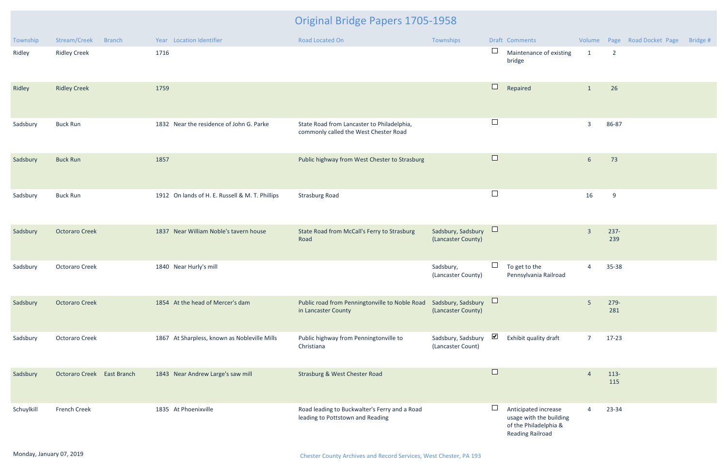| Township   | Stream/Creek<br><b>Branch</b> | Year Location Identifier                        | Road Located On                                                                     | Townships                                | Draft Comments                                                                                      |                         |                | Volume Page Road Docket Page | Bridge # |
|------------|-------------------------------|-------------------------------------------------|-------------------------------------------------------------------------------------|------------------------------------------|-----------------------------------------------------------------------------------------------------|-------------------------|----------------|------------------------------|----------|
| Ridley     | <b>Ridley Creek</b>           | 1716                                            |                                                                                     |                                          | Maintenance of existing<br>bridge                                                                   | $\mathbf{1}$            | $\overline{2}$ |                              |          |
| Ridley     | <b>Ridley Creek</b>           | 1759                                            |                                                                                     |                                          | $\Box$<br>Repaired                                                                                  | $\mathbf{1}$            | 26             |                              |          |
| Sadsbury   | <b>Buck Run</b>               | 1832 Near the residence of John G. Parke        | State Road from Lancaster to Philadelphia,<br>commonly called the West Chester Road |                                          | $\Box$                                                                                              | $\overline{3}$          | 86-87          |                              |          |
| Sadsbury   | <b>Buck Run</b>               | 1857                                            | Public highway from West Chester to Strasburg                                       |                                          | $\Box$                                                                                              | $6\overline{6}$         | 73             |                              |          |
| Sadsbury   | <b>Buck Run</b>               | 1912 On lands of H. E. Russell & M. T. Phillips | <b>Strasburg Road</b>                                                               |                                          | $\Box$                                                                                              | 16                      | 9              |                              |          |
| Sadsbury   | <b>Octoraro Creek</b>         | 1837 Near William Noble's tavern house          | State Road from McCall's Ferry to Strasburg<br>Road                                 | Sadsbury, Sadsbury<br>(Lancaster County) |                                                                                                     | $\overline{\mathbf{3}}$ | $237 -$<br>239 |                              |          |
| Sadsbury   | <b>Octoraro Creek</b>         | 1840 Near Hurly's mill                          |                                                                                     | Sadsbury,<br>(Lancaster County)          | ш<br>To get to the<br>Pennsylvania Railroad                                                         | $\overline{4}$          | 35-38          |                              |          |
| Sadsbury   | <b>Octoraro Creek</b>         | 1854 At the head of Mercer's dam                | Public road from Penningtonville to Noble Road<br>in Lancaster County               | Sadsbury, Sadsbury<br>(Lancaster County) | $\Box$                                                                                              | 5                       | 279-<br>281    |                              |          |
| Sadsbury   | <b>Octoraro Creek</b>         | 1867 At Sharpless, known as Nobleville Mills    | Public highway from Penningtonville to<br>Christiana                                | Sadsbury, Sadsbury<br>(Lancaster Count)  | ⊻<br>Exhibit quality draft                                                                          | $\overline{7}$          | $17-23$        |                              |          |
| Sadsbury   | Octoraro Creek East Branch    | 1843 Near Andrew Large's saw mill               | <b>Strasburg &amp; West Chester Road</b>                                            |                                          | $\Box$                                                                                              | $\overline{4}$          | 113-<br>115    |                              |          |
| Schuylkill | French Creek                  | 1835 At Phoenixville                            | Road leading to Buckwalter's Ferry and a Road<br>leading to Pottstown and Reading   |                                          | Anticipated increase<br>usage with the building<br>of the Philadelphia &<br><b>Reading Railroad</b> | 4                       | 23-34          |                              |          |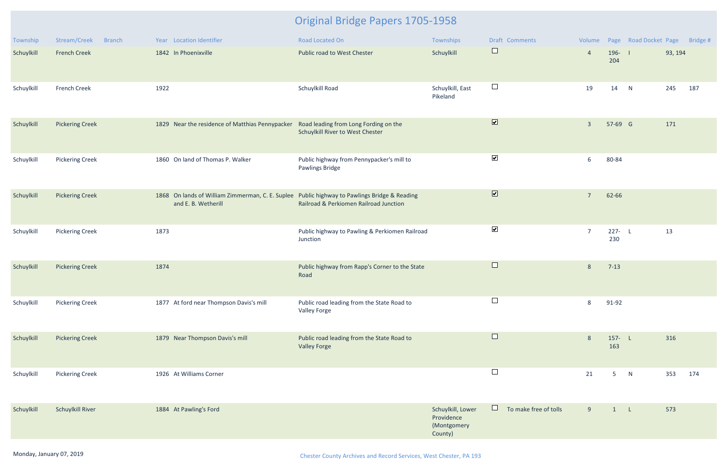| Township   | Stream/Creek<br><b>Branch</b> | Year Location Identifier                                                                                            | <b>Road Located On</b>                                            | Townships                                                 | Draft Comments                  |                |                  | Volume Page Road Docket Page Bridge # |         |     |
|------------|-------------------------------|---------------------------------------------------------------------------------------------------------------------|-------------------------------------------------------------------|-----------------------------------------------------------|---------------------------------|----------------|------------------|---------------------------------------|---------|-----|
| Schuylkill | <b>French Creek</b>           | 1842 In Phoenixville                                                                                                | Public road to West Chester                                       | Schuylkill                                                | $\Box$                          | $\overline{4}$ | $196 - 1$<br>204 |                                       | 93, 194 |     |
| Schuylkill | <b>French Creek</b>           | 1922                                                                                                                | Schuylkill Road                                                   | Schuylkill, East<br>Pikeland                              | $\Box$                          | 19             | 14               | N                                     | 245     | 187 |
| Schuylkill | <b>Pickering Creek</b>        | 1829 Near the residence of Matthias Pennypacker Road leading from Long Fording on the                               | Schuylkill River to West Chester                                  |                                                           | $\overline{\mathbf{v}}$         | $\overline{3}$ | 57-69 G          |                                       | 171     |     |
| Schuylkill | <b>Pickering Creek</b>        | 1860 On land of Thomas P. Walker                                                                                    | Public highway from Pennypacker's mill to<br>Pawlings Bridge      |                                                           | $\blacktriangleright$           | 6              | 80-84            |                                       |         |     |
| Schuylkill | <b>Pickering Creek</b>        | 1868 On lands of William Zimmerman, C. E. Suplee Public highway to Pawlings Bridge & Reading<br>and E. B. Wetherill | Railroad & Perkiomen Railroad Junction                            |                                                           | $\overline{\mathbf{v}}$         | $\overline{7}$ | 62-66            |                                       |         |     |
| Schuylkill | <b>Pickering Creek</b>        | 1873                                                                                                                | Public highway to Pawling & Perkiomen Railroad<br>Junction        |                                                           | $\blacktriangledown$            | $\overline{7}$ | $227 - L$<br>230 |                                       | 13      |     |
| Schuylkill | <b>Pickering Creek</b>        | 1874                                                                                                                | Public highway from Rapp's Corner to the State<br>Road            |                                                           | $\Box$                          | 8              | $7 - 13$         |                                       |         |     |
| Schuylkill | <b>Pickering Creek</b>        | 1877 At ford near Thompson Davis's mill                                                                             | Public road leading from the State Road to<br><b>Valley Forge</b> |                                                           | $\sqcup$                        | 8              | 91-92            |                                       |         |     |
| Schuylkill | <b>Pickering Creek</b>        | 1879 Near Thompson Davis's mill                                                                                     | Public road leading from the State Road to<br><b>Valley Forge</b> |                                                           | $\Box$                          | 8              | $157 - L$<br>163 |                                       | 316     |     |
| Schuylkill | <b>Pickering Creek</b>        | 1926 At Williams Corner                                                                                             |                                                                   |                                                           | $\Box$                          | 21             | 5 <sub>1</sub>   | N                                     | 353     | 174 |
| Schuylkill | <b>Schuylkill River</b>       | 1884 At Pawling's Ford                                                                                              |                                                                   | Schuylkill, Lower<br>Providence<br>(Montgomery<br>County) | $\Box$<br>To make free of tolls | 9              | $\mathbf{1}$     | $\mathsf{L}$                          | 573     |     |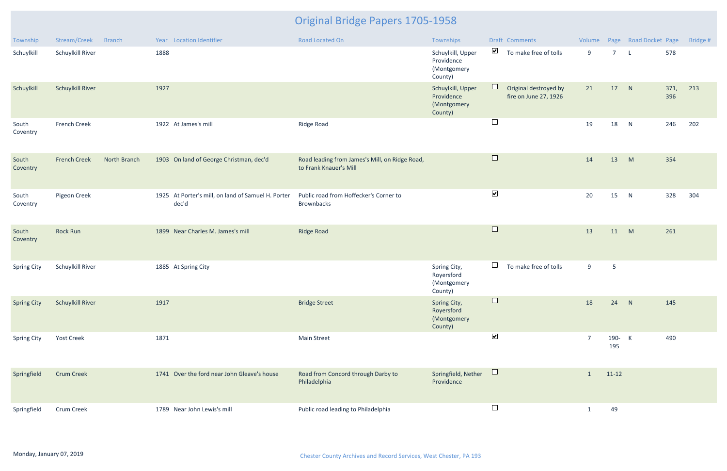| Township           | Stream/Creek            | <b>Branch</b> | Year Location Identifier                                    | Road Located On                                                          | Townships                                                 |                          | Draft Comments                                 | Volume         |                 | Page Road Docket Page |             | Bridge # |
|--------------------|-------------------------|---------------|-------------------------------------------------------------|--------------------------------------------------------------------------|-----------------------------------------------------------|--------------------------|------------------------------------------------|----------------|-----------------|-----------------------|-------------|----------|
| Schuylkill         | Schuylkill River        |               | 1888                                                        |                                                                          | Schuylkill, Upper<br>Providence<br>(Montgomery<br>County) | $\blacktriangledown$     | To make free of tolls                          | 9              | $\overline{7}$  | $\mathsf{L}$          | 578         |          |
| Schuylkill         | <b>Schuylkill River</b> |               | 1927                                                        |                                                                          | Schuylkill, Upper<br>Providence<br>(Montgomery<br>County) | ⊔                        | Original destroyed by<br>fire on June 27, 1926 | 21             | 17              | N                     | 371,<br>396 | 213      |
| South<br>Coventry  | <b>French Creek</b>     |               | 1922 At James's mill                                        | Ridge Road                                                               |                                                           | $\Box$                   |                                                | 19             | 18              | N                     | 246         | 202      |
| South<br>Coventry  | <b>French Creek</b>     | North Branch  | 1903 On land of George Christman, dec'd                     | Road leading from James's Mill, on Ridge Road,<br>to Frank Knauer's Mill |                                                           | $\Box$                   |                                                | 14             | 13              | M                     | 354         |          |
| South<br>Coventry  | Pigeon Creek            |               | 1925 At Porter's mill, on land of Samuel H. Porter<br>dec'd | Public road from Hoffecker's Corner to<br><b>Brownbacks</b>              |                                                           | $\blacktriangledown$     |                                                | 20             | 15              | N                     | 328         | 304      |
| South<br>Coventry  | <b>Rock Run</b>         |               | 1899 Near Charles M. James's mill                           | <b>Ridge Road</b>                                                        |                                                           | $\Box$                   |                                                | 13             | 11              | M                     | 261         |          |
| <b>Spring City</b> | Schuylkill River        |               | 1885 At Spring City                                         |                                                                          | Spring City,<br>Royersford<br>(Montgomery<br>County)      | $\Box$                   | To make free of tolls                          | 9              | $5\phantom{.0}$ |                       |             |          |
| <b>Spring City</b> | <b>Schuylkill River</b> |               | 1917                                                        | <b>Bridge Street</b>                                                     | Spring City,<br>Royersford<br>(Montgomery<br>County)      |                          |                                                | 18             | 24              | N                     | 145         |          |
| <b>Spring City</b> | <b>Yost Creek</b>       |               | 1871                                                        | <b>Main Street</b>                                                       |                                                           | $\blacktriangledown$     |                                                | $\overline{7}$ | 190- K<br>195   |                       | 490         |          |
| Springfield        | <b>Crum Creek</b>       |               | 1741 Over the ford near John Gleave's house                 | Road from Concord through Darby to<br>Philadelphia                       | Springfield, Nether<br>Providence                         | $\Box$                   |                                                | $\mathbf{1}$   | $11-12$         |                       |             |          |
| Springfield        | Crum Creek              |               | 1789 Near John Lewis's mill                                 | Public road leading to Philadelphia                                      |                                                           | $\overline{\phantom{a}}$ |                                                | $\mathbf{1}$   | 49              |                       |             |          |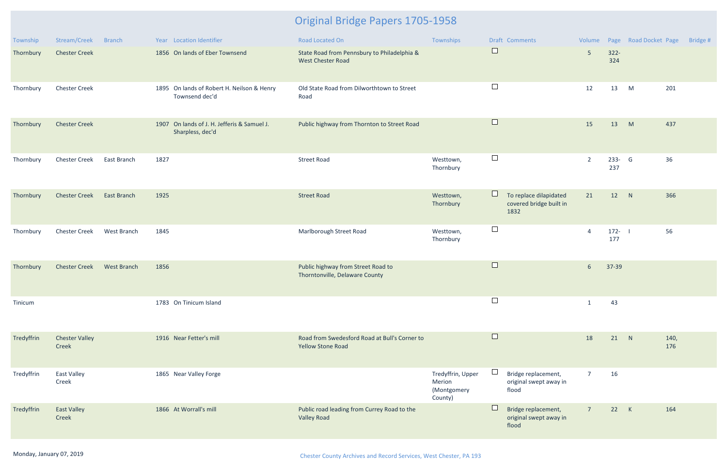| Township   | Stream/Creek                   | <b>Branch</b> | Year Location Identifier                                        | Road Located On                                                           | Townships                                             |        | Draft Comments                                            | Volume          |                | Page Road Docket Page |             | Bridge # |
|------------|--------------------------------|---------------|-----------------------------------------------------------------|---------------------------------------------------------------------------|-------------------------------------------------------|--------|-----------------------------------------------------------|-----------------|----------------|-----------------------|-------------|----------|
| Thornbury  | <b>Chester Creek</b>           |               | 1856 On lands of Eber Townsend                                  | State Road from Pennsbury to Philadelphia &<br><b>West Chester Road</b>   |                                                       | $\Box$ |                                                           | $5\phantom{.}$  | $322 -$<br>324 |                       |             |          |
| Thornbury  | <b>Chester Creek</b>           |               | 1895 On lands of Robert H. Neilson & Henry<br>Townsend dec'd    | Old State Road from Dilworthtown to Street<br>Road                        |                                                       | $\Box$ |                                                           | 12              | 13             | M                     | 201         |          |
| Thornbury  | <b>Chester Creek</b>           |               | 1907 On lands of J. H. Jefferis & Samuel J.<br>Sharpless, dec'd | Public highway from Thornton to Street Road                               |                                                       | $\Box$ |                                                           | 15              | 13             | M                     | 437         |          |
| Thornbury  | <b>Chester Creek</b>           | East Branch   | 1827                                                            | <b>Street Road</b>                                                        | Westtown,<br>Thornbury                                | $\Box$ |                                                           | $\overline{2}$  | 233- G<br>237  |                       | 36          |          |
| Thornbury  | <b>Chester Creek</b>           | East Branch   | 1925                                                            | <b>Street Road</b>                                                        | Westtown,<br>Thornbury                                | $\Box$ | To replace dilapidated<br>covered bridge built in<br>1832 | 21              | 12             | N                     | 366         |          |
| Thornbury  | <b>Chester Creek</b>           | West Branch   | 1845                                                            | Marlborough Street Road                                                   | Westtown,<br>Thornbury                                | $\Box$ |                                                           | $\overline{4}$  | $172 -$<br>177 |                       | 56          |          |
| Thornbury  | <b>Chester Creek</b>           | West Branch   | 1856                                                            | Public highway from Street Road to<br>Thorntonville, Delaware County      |                                                       | $\Box$ |                                                           | 6 <sup>1</sup>  | 37-39          |                       |             |          |
| Tinicum    |                                |               | 1783 On Tinicum Island                                          |                                                                           |                                                       | $\Box$ |                                                           |                 | 43             |                       |             |          |
| Tredyffrin | <b>Chester Valley</b><br>Creek |               | 1916 Near Fetter's mill                                         | Road from Swedesford Road at Bull's Corner to<br><b>Yellow Stone Road</b> |                                                       | $\Box$ |                                                           | 18              | 21 N           |                       | 140,<br>176 |          |
| Tredyffrin | <b>East Valley</b><br>Creek    |               | 1865 Near Valley Forge                                          |                                                                           | Tredyffrin, Upper<br>Merion<br>(Montgomery<br>County) | $\Box$ | Bridge replacement,<br>original swept away in<br>flood    | $\overline{7}$  | 16             |                       |             |          |
| Tredyffrin | <b>East Valley</b><br>Creek    |               | 1866 At Worrall's mill                                          | Public road leading from Currey Road to the<br><b>Valley Road</b>         |                                                       | $\Box$ | Bridge replacement,<br>original swept away in<br>flood    | $7\overline{ }$ | 22             | K                     | 164         |          |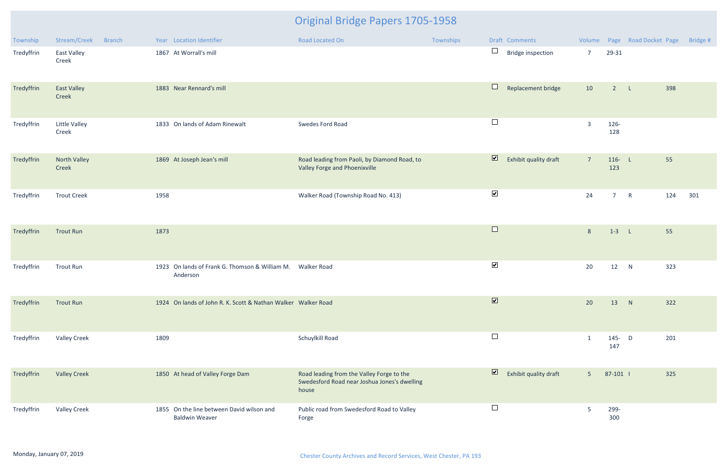| Township   | Stream/Creek                  | <b>Branch</b> |      | Year Location Identifier                                               | Road Located On                                                                                    | Townships |                         | Draft Comments           |                |                  | Volume Page Road Docket Page | Bridge # |
|------------|-------------------------------|---------------|------|------------------------------------------------------------------------|----------------------------------------------------------------------------------------------------|-----------|-------------------------|--------------------------|----------------|------------------|------------------------------|----------|
| Tredyffrin | East Valley<br>Creek          |               |      | 1867 At Worrall's mill                                                 |                                                                                                    |           | $\Box$                  | <b>Bridge inspection</b> | $\overline{7}$ | 29-31            |                              |          |
| Tredyffrin | <b>East Valley</b><br>Creek   |               |      | 1883 Near Rennard's mill                                               |                                                                                                    |           | $\Box$                  | Replacement bridge       | 10             | $2^{\circ}$      | 398<br>$\mathbb{Z}$          |          |
| Tredyffrin | <b>Little Valley</b><br>Creek |               |      | 1833 On lands of Adam Rinewalt                                         | Swedes Ford Road                                                                                   |           | $\Box$                  |                          | $\overline{3}$ | 126-<br>128      |                              |          |
| Tredyffrin | North Valley<br>Creek         |               |      | 1869 At Joseph Jean's mill                                             | Road leading from Paoli, by Diamond Road, to<br>Valley Forge and Phoenixville                      |           | $\overline{\mathbf{v}}$ | Exhibit quality draft    | $\overline{7}$ | $116 - L$<br>123 | 55                           |          |
| Tredyffrin | <b>Trout Creek</b>            |               | 1958 |                                                                        | Walker Road (Township Road No. 413)                                                                |           | $\blacktriangledown$    |                          | 24             | 7 <sup>7</sup>   | $\mathsf{R}$<br>124          | 301      |
| Tredyffrin | <b>Trout Run</b>              |               | 1873 |                                                                        |                                                                                                    |           | $\Box$                  |                          | $8\phantom{1}$ | $1-3$ L          | 55                           |          |
| Tredyffrin | <b>Trout Run</b>              |               |      | 1923 On lands of Frank G. Thomson & William M. Walker Road<br>Anderson |                                                                                                    |           | $\blacktriangledown$    |                          | 20             | 12               | 323<br>N                     |          |
| Tredyffrin | <b>Trout Run</b>              |               |      | 1924 On lands of John R. K. Scott & Nathan Walker Walker Road          |                                                                                                    |           | $\overline{\mathbf{v}}$ |                          | 20             | 13               | 322<br>N                     |          |
| Tredyffrin | <b>Valley Creek</b>           |               | 1809 |                                                                        | Schuylkill Road                                                                                    |           | $\Box$                  |                          | $\mathbf{1}$   | 145- D<br>147    | 201                          |          |
| Tredyffrin | <b>Valley Creek</b>           |               |      | 1850 At head of Valley Forge Dam                                       | Road leading from the Valley Forge to the<br>Swedesford Road near Joshua Jones's dwelling<br>house |           | $\overline{\mathbf{v}}$ | Exhibit quality draft    | 5 <sup>1</sup> | 87-101           | 325                          |          |
| Tredyffrin | <b>Valley Creek</b>           |               |      | 1855 On the line between David wilson and<br><b>Baldwin Weaver</b>     | Public road from Swedesford Road to Valley<br>Forge                                                |           | $\Box$                  |                          | 5              | 299-<br>300      |                              |          |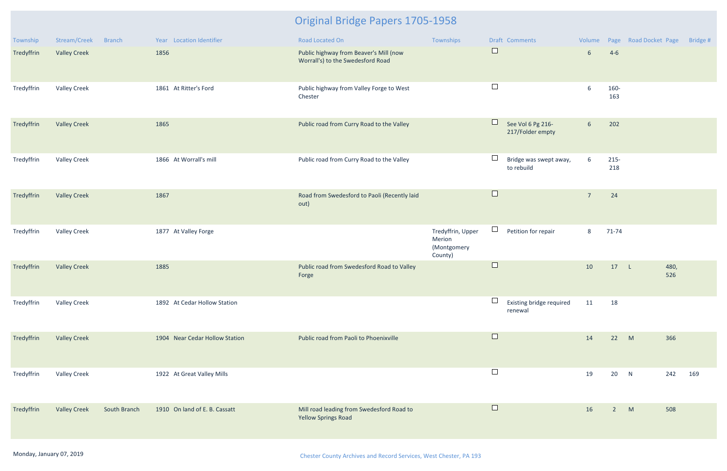| Township   | Stream/Creek        | <b>Branch</b> | Year Location Identifier       | Road Located On                                                             | Townships                                             | Draft Comments                                  |                 |                | Volume Page Road Docket Page | Bridge # |
|------------|---------------------|---------------|--------------------------------|-----------------------------------------------------------------------------|-------------------------------------------------------|-------------------------------------------------|-----------------|----------------|------------------------------|----------|
| Tredyffrin | <b>Valley Creek</b> |               | 1856                           | Public highway from Beaver's Mill (now<br>Worrall's) to the Swedesford Road |                                                       | $\Box$                                          | $6\overline{6}$ | $4-6$          |                              |          |
| Tredyffrin | <b>Valley Creek</b> |               | 1861 At Ritter's Ford          | Public highway from Valley Forge to West<br>Chester                         |                                                       | $\Box$                                          | 6               | 160-<br>163    |                              |          |
| Tredyffrin | <b>Valley Creek</b> |               | 1865                           | Public road from Curry Road to the Valley                                   |                                                       | $\Box$<br>See Vol 6 Pg 216-<br>217/Folder empty | $6\overline{6}$ | 202            |                              |          |
| Tredyffrin | <b>Valley Creek</b> |               | 1866 At Worrall's mill         | Public road from Curry Road to the Valley                                   |                                                       | Bridge was swept away,<br>to rebuild            | 6               | $215 -$<br>218 |                              |          |
| Tredyffrin | <b>Valley Creek</b> |               | 1867                           | Road from Swedesford to Paoli (Recently laid<br>out)                        |                                                       | $\Box$                                          | $\overline{7}$  | 24             |                              |          |
| Tredyffrin | <b>Valley Creek</b> |               | 1877 At Valley Forge           |                                                                             | Tredyffrin, Upper<br>Merion<br>(Montgomery<br>County) | ⊔<br>Petition for repair                        | 8               | $71 - 74$      |                              |          |
| Tredyffrin | <b>Valley Creek</b> |               | 1885                           | Public road from Swedesford Road to Valley<br>Forge                         |                                                       | $\Box$                                          | 10              | 17             | 480,<br>$\mathsf{L}$<br>526  |          |
| Tredyffrin | <b>Valley Creek</b> |               | 1892 At Cedar Hollow Station   |                                                                             |                                                       | $\Box$<br>Existing bridge required<br>renewal   | 11              | 18             |                              |          |
| Tredyffrin | <b>Valley Creek</b> |               | 1904 Near Cedar Hollow Station | Public road from Paoli to Phoenixville                                      |                                                       | $\Box$                                          | 14              | 22             | 366<br>M                     |          |
| Tredyffrin | <b>Valley Creek</b> |               | 1922 At Great Valley Mills     |                                                                             |                                                       | $\Box$                                          | 19              | 20 N           | 242                          | 169      |
| Tredyffrin | <b>Valley Creek</b> | South Branch  | 1910 On land of E. B. Cassatt  | Mill road leading from Swedesford Road to<br><b>Yellow Springs Road</b>     |                                                       | $\Box$                                          | 16              | $2^{\circ}$    | 508<br>M                     |          |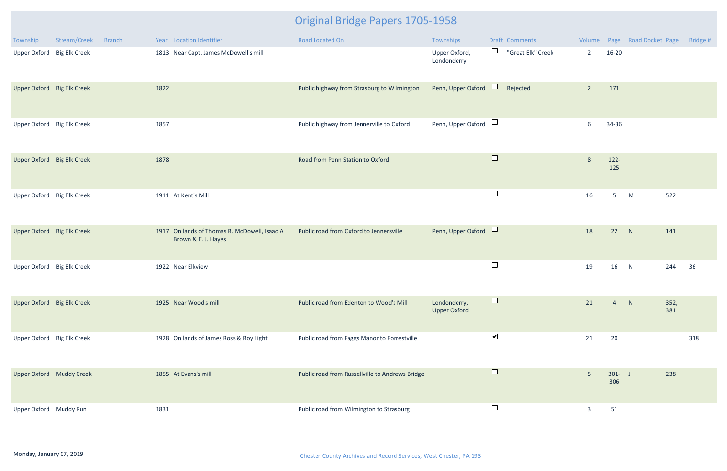| Township                   | Stream/Creek | <b>Branch</b> |      | Year Location Identifier                                             | Road Located On                                 | Townships                           |                      | Draft Comments    |                |                   | Volume Page Road Docket Page |             | Bridge # |
|----------------------------|--------------|---------------|------|----------------------------------------------------------------------|-------------------------------------------------|-------------------------------------|----------------------|-------------------|----------------|-------------------|------------------------------|-------------|----------|
| Upper Oxford Big Elk Creek |              |               |      | 1813 Near Capt. James McDowell's mill                                |                                                 | Upper Oxford,<br>Londonderry        | $\Box$               | "Great Elk" Creek | $2^{\circ}$    | $16 - 20$         |                              |             |          |
| Upper Oxford Big Elk Creek |              |               | 1822 |                                                                      | Public highway from Strasburg to Wilmington     | Penn, Upper Oxford                  | $\Box$               | Rejected          | $\overline{2}$ | 171               |                              |             |          |
| Upper Oxford Big Elk Creek |              |               | 1857 |                                                                      | Public highway from Jennerville to Oxford       | Penn, Upper Oxford $\Box$           |                      |                   | 6              | 34-36             |                              |             |          |
| Upper Oxford Big Elk Creek |              |               | 1878 |                                                                      | Road from Penn Station to Oxford                |                                     | $\Box$               |                   | 8              | $122 -$<br>125    |                              |             |          |
| Upper Oxford Big Elk Creek |              |               |      | 1911 At Kent's Mill                                                  |                                                 |                                     | $\Box$               |                   | 16             | 5 <sup>5</sup>    | M                            | 522         |          |
| Upper Oxford Big Elk Creek |              |               |      | 1917 On lands of Thomas R. McDowell, Isaac A.<br>Brown & E. J. Hayes | Public road from Oxford to Jennersville         | Penn, Upper Oxford                  |                      |                   | 18             | 22                | N                            | 141         |          |
| Upper Oxford Big Elk Creek |              |               |      | 1922 Near Elkview                                                    |                                                 |                                     | $\Box$               |                   | 19             | 16                | N                            | 244         | 36       |
| Upper Oxford Big Elk Creek |              |               |      | 1925 Near Wood's mill                                                | Public road from Edenton to Wood's Mill         | Londonderry,<br><b>Upper Oxford</b> | $\Box$               |                   | 21             | $\overline{4}$    | N                            | 352,<br>381 |          |
| Upper Oxford Big Elk Creek |              |               |      | 1928 On lands of James Ross & Roy Light                              | Public road from Faggs Manor to Forrestville    |                                     | $\blacktriangledown$ |                   | 21             | 20                |                              |             | 318      |
| Upper Oxford Muddy Creek   |              |               |      | 1855 At Evans's mill                                                 | Public road from Russellville to Andrews Bridge |                                     | $\Box$               |                   | $5\phantom{.}$ | $301 -  J$<br>306 |                              | 238         |          |
| Upper Oxford Muddy Run     |              |               | 1831 |                                                                      | Public road from Wilmington to Strasburg        |                                     | $\Box$               |                   | $\overline{3}$ | 51                |                              |             |          |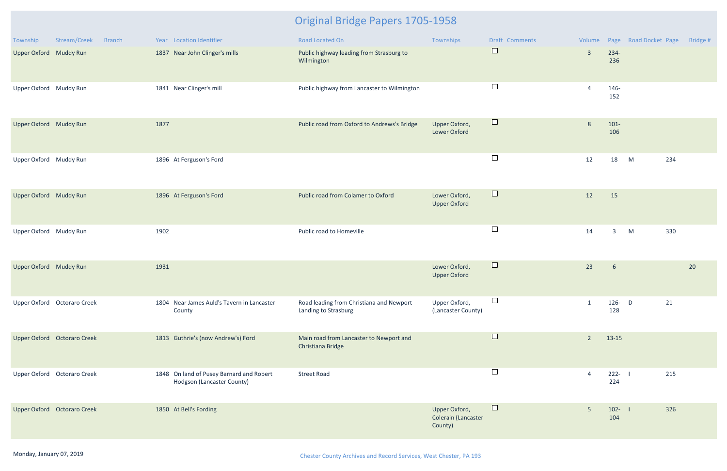| Township               | Stream/Creek<br><b>Branch</b> | Year Location Identifier                                               | Road Located On                                                  | Townships                                       | Draft Comments |                |                  | Volume Page Road Docket Page | Bridge # |
|------------------------|-------------------------------|------------------------------------------------------------------------|------------------------------------------------------------------|-------------------------------------------------|----------------|----------------|------------------|------------------------------|----------|
| Upper Oxford Muddy Run |                               | 1837 Near John Clinger's mills                                         | Public highway leading from Strasburg to<br>Wilmington           |                                                 | $\Box$         | $\overline{3}$ | $234-$<br>236    |                              |          |
| Upper Oxford Muddy Run |                               | 1841 Near Clinger's mill                                               | Public highway from Lancaster to Wilmington                      |                                                 | $\Box$         | 4              | 146-<br>152      |                              |          |
| Upper Oxford Muddy Run |                               | 1877                                                                   | Public road from Oxford to Andrews's Bridge                      | Upper Oxford,<br><b>Lower Oxford</b>            | $\Box$         | 8              | $101 -$<br>106   |                              |          |
| Upper Oxford Muddy Run |                               | 1896 At Ferguson's Ford                                                |                                                                  |                                                 | $\Box$         | 12             | 18               | M<br>234                     |          |
| Upper Oxford Muddy Run |                               | 1896 At Ferguson's Ford                                                | Public road from Colamer to Oxford                               | Lower Oxford,<br><b>Upper Oxford</b>            | $\Box$         | 12             | 15               |                              |          |
| Upper Oxford Muddy Run |                               | 1902                                                                   | Public road to Homeville                                         |                                                 | $\Box$         | 14             | $\overline{3}$   | M<br>330                     |          |
| Upper Oxford Muddy Run |                               | 1931                                                                   |                                                                  | Lower Oxford,<br><b>Upper Oxford</b>            | $\Box$         | 23             | 6                |                              | 20       |
|                        | Upper Oxford Octoraro Creek   | 1804 Near James Auld's Tavern in Lancaster<br>County                   | Road leading from Christiana and Newport<br>Landing to Strasburg | Upper Oxford,<br>(Lancaster County)             | $\Box$         | $\mathbf{1}$   | $126 - D$<br>128 | 21                           |          |
|                        | Upper Oxford Octoraro Creek   | 1813 Guthrie's (now Andrew's) Ford                                     | Main road from Lancaster to Newport and<br>Christiana Bridge     |                                                 | $\Box$         | $\overline{2}$ | 13-15            |                              |          |
|                        | Upper Oxford Octoraro Creek   | 1848 On land of Pusey Barnard and Robert<br>Hodgson (Lancaster County) | <b>Street Road</b>                                               |                                                 | $\Box$         | 4              | $222 - 1$<br>224 | 215                          |          |
|                        | Upper Oxford Octoraro Creek   | 1850 At Bell's Fording                                                 |                                                                  | Upper Oxford,<br>Colerain (Lancaster<br>County) | $\Box$         | $5\phantom{.}$ | $102 - 1$<br>104 | 326                          |          |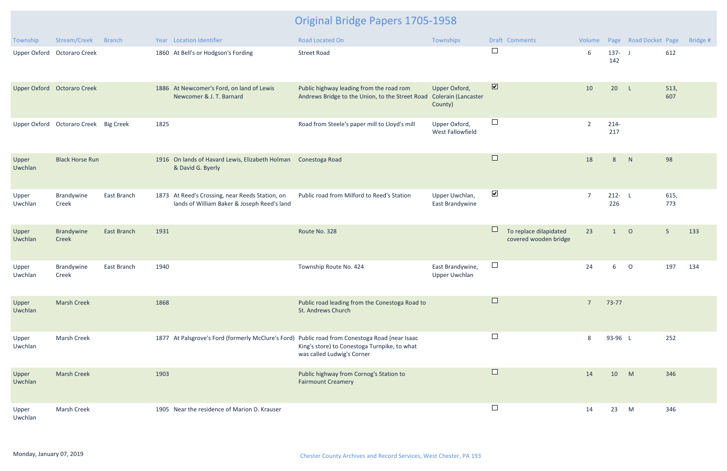| Township            | Stream/Creek                | <b>Branch</b> |      | Year Location Identifier                                                                       | Road Located On                                                                                                                                                              | Townships                                       |                         | Draft Comments                                  | Volume         |                  | Page Road Docket Page |                | Bridge # |
|---------------------|-----------------------------|---------------|------|------------------------------------------------------------------------------------------------|------------------------------------------------------------------------------------------------------------------------------------------------------------------------------|-------------------------------------------------|-------------------------|-------------------------------------------------|----------------|------------------|-----------------------|----------------|----------|
| <b>Upper Oxford</b> | <b>Octoraro Creek</b>       |               |      | 1860 At Bell's or Hodgson's Fording                                                            | <b>Street Road</b>                                                                                                                                                           |                                                 | $\Box$                  |                                                 | 6              | $137 - J$<br>142 |                       | 612            |          |
|                     | Upper Oxford Octoraro Creek |               |      | 1886 At Newcomer's Ford, on land of Lewis<br>Newcomer & J. T. Barnard                          | Public highway leading from the road rom<br>Andrews Bridge to the Union, to the Street Road                                                                                  | Upper Oxford,<br>Colerain (Lancaster<br>County) | $\overline{\mathbf{v}}$ |                                                 | 10             | 20               | $-L$                  | 513,<br>607    |          |
| <b>Upper Oxford</b> | Octoraro Creek Big Creek    |               | 1825 |                                                                                                | Road from Steele's paper mill to Lloyd's mill                                                                                                                                | Upper Oxford,<br>West Fallowfield               | $\Box$                  |                                                 | $\overline{2}$ | $214 -$<br>217   |                       |                |          |
| Upper<br>Uwchlan    | <b>Black Horse Run</b>      |               |      | 1916 On lands of Havard Lewis, Elizabeth Holman<br>& David G. Byerly                           | Conestoga Road                                                                                                                                                               |                                                 | $\Box$                  |                                                 | 18             | 8                | N                     | 98             |          |
| Upper<br>Uwchlan    | Brandywine<br>Creek         | East Branch   |      | 1873 At Reed's Crossing, near Reeds Station, on<br>lands of William Baker & Joseph Reed's land | Public road from Milford to Reed's Station                                                                                                                                   | Upper Uwchlan,<br>East Brandywine               | $\blacktriangledown$    |                                                 | $\overline{7}$ | $212 - L$<br>226 |                       | 615,<br>773    |          |
| Upper<br>Uwchlan    | Brandywine<br>Creek         | East Branch   | 1931 |                                                                                                | Route No. 328                                                                                                                                                                |                                                 | $\Box$                  | To replace dilapidated<br>covered wooden bridge | 23             | $\mathbf{1}$     | $\circ$               | 5 <sup>5</sup> | 133      |
| Upper<br>Uwchlan    | Brandywine<br>Creek         | East Branch   | 1940 |                                                                                                | Township Route No. 424                                                                                                                                                       | East Brandywine,<br><b>Upper Uwchlan</b>        | $\Box$                  |                                                 | 24             | 6                | $\circ$               | 197            | 134      |
| Upper<br>Uwchlan    | <b>Marsh Creek</b>          |               | 1868 |                                                                                                | Public road leading from the Conestoga Road to<br>St. Andrews Church                                                                                                         |                                                 |                         |                                                 | $\overline{7}$ | 73-77            |                       |                |          |
| Upper<br>Uwchlan    | <b>Marsh Creek</b>          |               |      |                                                                                                | 1877 At Palsgrove's Ford (formerly McClure's Ford) Public road from Conestoga Road (near Isaac<br>King's store) to Conestoga Turnpike, to what<br>was called Ludwig's Corner |                                                 | $\Box$                  |                                                 | 8              | 93-96 L          |                       | 252            |          |
| Upper<br>Uwchlan    | <b>Marsh Creek</b>          |               | 1903 |                                                                                                | Public highway from Cornog's Station to<br><b>Fairmount Creamery</b>                                                                                                         |                                                 | $\Box$                  |                                                 | 14             | 10               | M                     | 346            |          |
| Upper<br>Uwchlan    | Marsh Creek                 |               |      | 1905 Near the residence of Marion D. Krauser                                                   |                                                                                                                                                                              |                                                 | $\Box$                  |                                                 | 14             | 23               | M                     | 346            |          |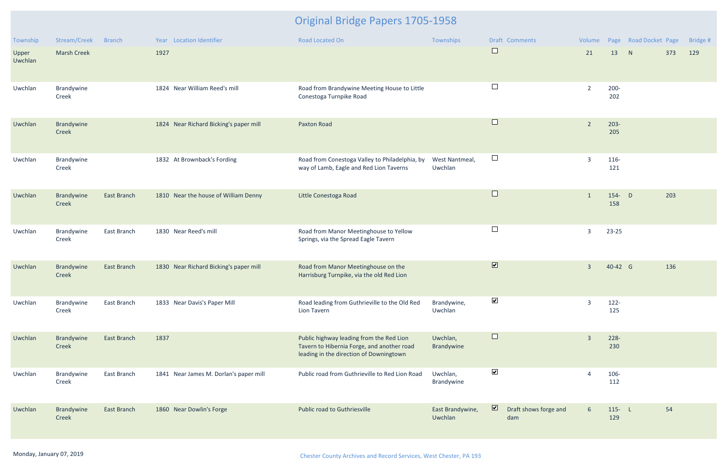| Township         | Stream/Creek        | <b>Branch</b>      | Year Location Identifier               | <b>Road Located On</b>                                                                                                            | Townships                   | <b>Draft Comments</b>                                   | Volume         |                  | Page Road Docket Page |     | Bridge # |
|------------------|---------------------|--------------------|----------------------------------------|-----------------------------------------------------------------------------------------------------------------------------------|-----------------------------|---------------------------------------------------------|----------------|------------------|-----------------------|-----|----------|
| Upper<br>Uwchlan | <b>Marsh Creek</b>  |                    | 1927                                   |                                                                                                                                   |                             | $\Box$                                                  | 21             | 13               | N                     | 373 | 129      |
| Uwchlan          | Brandywine<br>Creek |                    | 1824 Near William Reed's mill          | Road from Brandywine Meeting House to Little<br>Conestoga Turnpike Road                                                           |                             | $\Box$                                                  | $\overline{2}$ | $200 -$<br>202   |                       |     |          |
| Uwchlan          | Brandywine<br>Creek |                    | 1824 Near Richard Bicking's paper mill | <b>Paxton Road</b>                                                                                                                |                             | $\Box$                                                  | $\overline{2}$ | $203 -$<br>205   |                       |     |          |
| Uwchlan          | Brandywine<br>Creek |                    | 1832 At Brownback's Fording            | Road from Conestoga Valley to Philadelphia, by<br>way of Lamb, Eagle and Red Lion Taverns                                         | West Nantmeal,<br>Uwchlan   | $\Box$                                                  | $\overline{3}$ | 116-<br>121      |                       |     |          |
| Uwchlan          | Brandywine<br>Creek | East Branch        | 1810 Near the house of William Denny   | Little Conestoga Road                                                                                                             |                             | $\Box$                                                  | 1              | $154 - D$<br>158 |                       | 203 |          |
| Uwchlan          | Brandywine<br>Creek | East Branch        | 1830 Near Reed's mill                  | Road from Manor Meetinghouse to Yellow<br>Springs, via the Spread Eagle Tavern                                                    |                             | $\Box$                                                  | $\overline{3}$ | 23-25            |                       |     |          |
| Uwchlan          | Brandywine<br>Creek | East Branch        | 1830 Near Richard Bicking's paper mill | Road from Manor Meetinghouse on the<br>Harrisburg Turnpike, via the old Red Lion                                                  |                             | $\overline{\mathbf{v}}$                                 | $\overline{3}$ | 40-42 G          |                       | 136 |          |
| Uwchlan          | Brandywine<br>Creek | East Branch        | 1833 Near Davis's Paper Mill           | Road leading from Guthrieville to the Old Red<br><b>Lion Tavern</b>                                                               | Brandywine,<br>Uwchlan      | $\blacktriangledown$                                    | $\overline{3}$ | $122 -$<br>125   |                       |     |          |
| Uwchlan          | Brandywine<br>Creek | <b>East Branch</b> | 1837                                   | Public highway leading from the Red Lion<br>Tavern to Hibernia Forge, and another road<br>leading in the direction of Downingtown | Uwchlan,<br>Brandywine      | $\Box$                                                  | $\overline{3}$ | $228 -$<br>230   |                       |     |          |
| Uwchlan          | Brandywine<br>Creek | East Branch        | 1841 Near James M. Dorlan's paper mill | Public road from Guthrieville to Red Lion Road                                                                                    | Uwchlan,<br>Brandywine      | $\blacktriangledown$                                    | $\overline{A}$ | 106-<br>112      |                       |     |          |
| Uwchlan          | Brandywine<br>Creek | East Branch        | 1860 Near Dowlin's Forge               | Public road to Guthriesville                                                                                                      | East Brandywine,<br>Uwchlan | $\overline{\mathbf{z}}$<br>Draft shows forge and<br>dam | 6              | $115 - L$<br>129 |                       | 54  |          |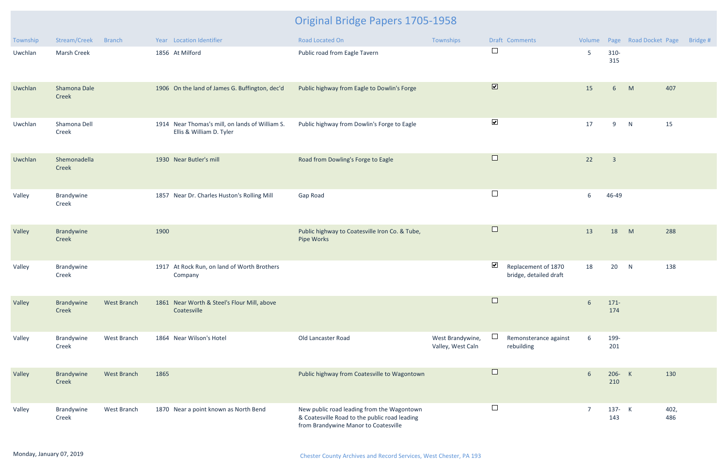| Township | Stream/Creek          | <b>Branch</b>      |      | Year Location Identifier                                                    | <b>Road Located On</b>                                                                                                              | Townships                             |                      | Draft Comments                                | Volume         |                         | Page Road Docket Page | Bridge #    |
|----------|-----------------------|--------------------|------|-----------------------------------------------------------------------------|-------------------------------------------------------------------------------------------------------------------------------------|---------------------------------------|----------------------|-----------------------------------------------|----------------|-------------------------|-----------------------|-------------|
| Uwchlan  | <b>Marsh Creek</b>    |                    |      | 1856 At Milford                                                             | Public road from Eagle Tavern                                                                                                       |                                       | $\Box$               |                                               | 5              | $310 -$<br>315          |                       |             |
| Uwchlan  | Shamona Dale<br>Creek |                    |      | 1906 On the land of James G. Buffington, dec'd                              | Public highway from Eagle to Dowlin's Forge                                                                                         |                                       | $\blacksquare$       |                                               | 15             | 6 <sup>1</sup>          | M                     | 407         |
| Uwchlan  | Shamona Dell<br>Creek |                    |      | 1914 Near Thomas's mill, on lands of William S.<br>Ellis & William D. Tyler | Public highway from Dowlin's Forge to Eagle                                                                                         |                                       | $\blacktriangledown$ |                                               | 17             | 9                       | N                     | 15          |
| Uwchlan  | Shemonadella<br>Creek |                    |      | 1930 Near Butler's mill                                                     | Road from Dowling's Forge to Eagle                                                                                                  |                                       | $\Box$               |                                               | 22             | $\overline{\mathbf{3}}$ |                       |             |
| Valley   | Brandywine<br>Creek   |                    |      | 1857 Near Dr. Charles Huston's Rolling Mill                                 | Gap Road                                                                                                                            |                                       | $\Box$               |                                               | 6              | 46-49                   |                       |             |
| Valley   | Brandywine<br>Creek   |                    | 1900 |                                                                             | Public highway to Coatesville Iron Co. & Tube,<br>Pipe Works                                                                        |                                       | $\Box$               |                                               | 13             | 18                      | M                     | 288         |
| Valley   | Brandywine<br>Creek   |                    |      | 1917 At Rock Run, on land of Worth Brothers<br>Company                      |                                                                                                                                     |                                       | $\blacktriangledown$ | Replacement of 1870<br>bridge, detailed draft | 18             | 20                      | N                     | 138         |
| Valley   | Brandywine<br>Creek   | <b>West Branch</b> |      | 1861 Near Worth & Steel's Flour Mill, above<br>Coatesville                  |                                                                                                                                     |                                       |                      |                                               | $6\phantom{1}$ | $171 -$<br>174          |                       |             |
| Valley   | Brandywine<br>Creek   | West Branch        |      | 1864 Near Wilson's Hotel                                                    | Old Lancaster Road                                                                                                                  | West Brandywine,<br>Valley, West Caln |                      | Remonsterance against<br>rebuilding           | 6              | 199-<br>201             |                       |             |
| Valley   | Brandywine<br>Creek   | West Branch        | 1865 |                                                                             | Public highway from Coatesville to Wagontown                                                                                        |                                       | $\Box$               |                                               | 6              | 206- K<br>210           |                       | 130         |
| Valley   | Brandywine<br>Creek   | West Branch        |      | 1870 Near a point known as North Bend                                       | New public road leading from the Wagontown<br>& Coatesville Road to the public road leading<br>from Brandywine Manor to Coatesville |                                       | $\Box$               |                                               | $\overline{7}$ | 137- K<br>143           |                       | 402,<br>486 |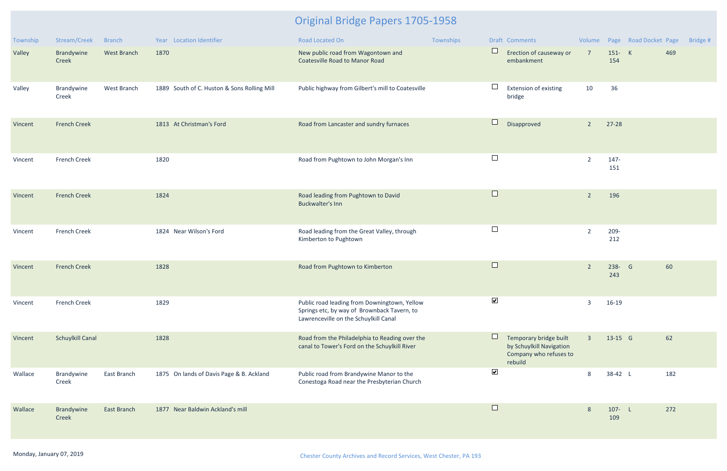| Township | Stream/Creek            | <b>Branch</b>      | Year Location Identifier                    | Road Located On                                                                                                                      | Townships |                      | Draft Comments                                                                          |                |                  | Volume Page Road Docket Page |     | Bridge # |
|----------|-------------------------|--------------------|---------------------------------------------|--------------------------------------------------------------------------------------------------------------------------------------|-----------|----------------------|-----------------------------------------------------------------------------------------|----------------|------------------|------------------------------|-----|----------|
| Valley   | Brandywine<br>Creek     | <b>West Branch</b> | 1870                                        | New public road from Wagontown and<br><b>Coatesville Road to Manor Road</b>                                                          |           | $\Box$               | Erection of causeway or<br>embankment                                                   | $\overline{7}$ | 151- K<br>154    |                              | 469 |          |
| Valley   | Brandywine<br>Creek     | West Branch        | 1889 South of C. Huston & Sons Rolling Mill | Public highway from Gilbert's mill to Coatesville                                                                                    |           |                      | <b>Extension of existing</b><br>bridge                                                  | 10             | 36               |                              |     |          |
| Vincent  | <b>French Creek</b>     |                    | 1813 At Christman's Ford                    | Road from Lancaster and sundry furnaces                                                                                              |           | $\Box$               | Disapproved                                                                             | $\overline{2}$ | $27-28$          |                              |     |          |
| Vincent  | <b>French Creek</b>     |                    | 1820                                        | Road from Pughtown to John Morgan's Inn                                                                                              |           | $\Box$               |                                                                                         | $\overline{2}$ | $147 -$<br>151   |                              |     |          |
| Vincent  | <b>French Creek</b>     |                    | 1824                                        | Road leading from Pughtown to David<br><b>Buckwalter's Inn</b>                                                                       |           | $\Box$               |                                                                                         | $\overline{2}$ | 196              |                              |     |          |
| Vincent  | <b>French Creek</b>     |                    | 1824 Near Wilson's Ford                     | Road leading from the Great Valley, through<br>Kimberton to Pughtown                                                                 |           |                      |                                                                                         | $\overline{2}$ | $209 -$<br>212   |                              |     |          |
| Vincent  | <b>French Creek</b>     |                    | 1828                                        | Road from Pughtown to Kimberton                                                                                                      |           | $\Box$               |                                                                                         | $\overline{2}$ | 238- G<br>243    |                              | 60  |          |
| Vincent  | <b>French Creek</b>     |                    | 1829                                        | Public road leading from Downingtown, Yellow<br>Springs etc, by way of Brownback Tavern, to<br>Lawrenceville on the Schuylkill Canal |           | $\blacktriangledown$ |                                                                                         | $\overline{3}$ | 16-19            |                              |     |          |
| Vincent  | <b>Schuylkill Canal</b> |                    | 1828                                        | Road from the Philadelphia to Reading over the<br>canal to Tower's Ford on the Schuylkill River                                      |           |                      | Temporary bridge built<br>by Schuylkill Navigation<br>Company who refuses to<br>rebuild | $\overline{3}$ | 13-15 G          |                              | 62  |          |
| Wallace  | Brandywine<br>Creek     | East Branch        | 1875 On lands of Davis Page & B. Ackland    | Public road from Brandywine Manor to the<br>Conestoga Road near the Presbyterian Church                                              |           | $\blacktriangledown$ |                                                                                         | 8              | 38-42 L          |                              | 182 |          |
| Wallace  | Brandywine<br>Creek     | East Branch        | 1877 Near Baldwin Ackland's mill            |                                                                                                                                      |           | $\Box$               |                                                                                         | 8              | $107 - L$<br>109 |                              | 272 |          |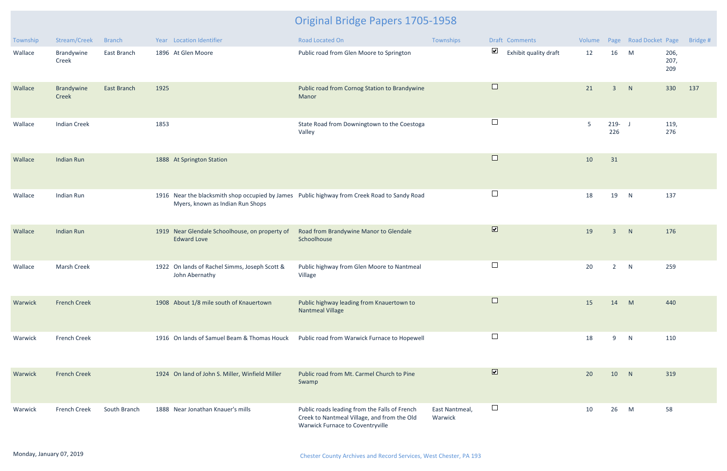| Township | Stream/Creek        | <b>Branch</b>      | Year Location Identifier                                                                                                         | Road Located On                                                                                                                  | Townships                 | Draft Comments                                | Volume |                  | Page Road Docket Page |                     | Bridge # |
|----------|---------------------|--------------------|----------------------------------------------------------------------------------------------------------------------------------|----------------------------------------------------------------------------------------------------------------------------------|---------------------------|-----------------------------------------------|--------|------------------|-----------------------|---------------------|----------|
| Wallace  | Brandywine<br>Creek | East Branch        | 1896 At Glen Moore                                                                                                               | Public road from Glen Moore to Springton                                                                                         |                           | $\blacktriangledown$<br>Exhibit quality draft | 12     | 16               | M                     | 206,<br>207,<br>209 |          |
| Wallace  | Brandywine<br>Creek | <b>East Branch</b> | 1925                                                                                                                             | Public road from Cornog Station to Brandywine<br>Manor                                                                           |                           | $\Box$                                        | 21     | $\overline{3}$   | N                     | 330                 | 137      |
| Wallace  | <b>Indian Creek</b> |                    | 1853                                                                                                                             | State Road from Downingtown to the Coestoga<br>Valley                                                                            |                           | $\Box$                                        | 5      | $219 - J$<br>226 |                       | 119,<br>276         |          |
| Wallace  | <b>Indian Run</b>   |                    | 1888 At Springton Station                                                                                                        |                                                                                                                                  |                           | $\Box$                                        | 10     | 31               |                       |                     |          |
| Wallace  | Indian Run          |                    | 1916 Near the blacksmith shop occupied by James Public highway from Creek Road to Sandy Road<br>Myers, known as Indian Run Shops |                                                                                                                                  |                           | $\Box$                                        | 18     | 19               | N                     | 137                 |          |
| Wallace  | <b>Indian Run</b>   |                    | 1919 Near Glendale Schoolhouse, on property of<br><b>Edward Love</b>                                                             | Road from Brandywine Manor to Glendale<br>Schoolhouse                                                                            |                           | $\boxed{\blacktriangledown}$                  | 19     | $\overline{3}$   | N                     | 176                 |          |
| Wallace  | <b>Marsh Creek</b>  |                    | 1922 On lands of Rachel Simms, Joseph Scott &<br>John Abernathy                                                                  | Public highway from Glen Moore to Nantmeal<br>Village                                                                            |                           | $\Box$                                        | 20     | $2^{\circ}$      | N                     | 259                 |          |
| Warwick  | <b>French Creek</b> |                    | 1908 About 1/8 mile south of Knauertown                                                                                          | Public highway leading from Knauertown to<br><b>Nantmeal Village</b>                                                             |                           |                                               | 15     | 14               | M                     | 440                 |          |
| Warwick  | <b>French Creek</b> |                    | 1916 On lands of Samuel Beam & Thomas Houck                                                                                      | Public road from Warwick Furnace to Hopewell                                                                                     |                           | $\Box$                                        | 18     | 9                | N                     | 110                 |          |
| Warwick  | <b>French Creek</b> |                    | 1924 On land of John S. Miller, Winfield Miller                                                                                  | Public road from Mt. Carmel Church to Pine<br>Swamp                                                                              |                           | $\overline{\mathbf{v}}$                       | 20     | 10               | N                     | 319                 |          |
| Warwick  | <b>French Creek</b> | South Branch       | 1888 Near Jonathan Knauer's mills                                                                                                | Public roads leading from the Falls of French<br>Creek to Nantmeal Village, and from the Old<br>Warwick Furnace to Coventryville | East Nantmeal,<br>Warwick | $\Box$                                        | 10     | 26               | M                     | 58                  |          |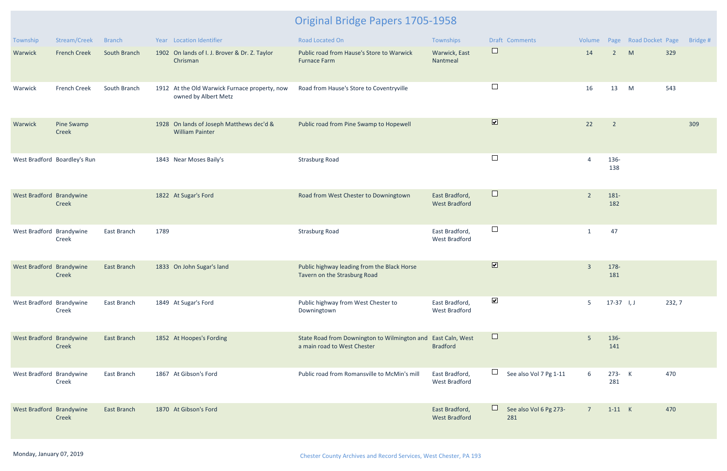| Township                 | Stream/Creek                 | <b>Branch</b> | Year Location Identifier                                              | <b>Road Located On</b>                                                      | Townships                              | <b>Draft Comments</b>            | Volume         |                | Page Road Docket Page |        | Bridge # |
|--------------------------|------------------------------|---------------|-----------------------------------------------------------------------|-----------------------------------------------------------------------------|----------------------------------------|----------------------------------|----------------|----------------|-----------------------|--------|----------|
| Warwick                  | <b>French Creek</b>          | South Branch  | 1902 On lands of I. J. Brover & Dr. Z. Taylor<br>Chrisman             | Public road from Hause's Store to Warwick<br><b>Furnace Farm</b>            | Warwick, East<br>Nantmeal              | $\Box$                           | 14             | $2^{\circ}$    | M                     | 329    |          |
| Warwick                  | <b>French Creek</b>          | South Branch  | 1912 At the Old Warwick Furnace property, now<br>owned by Albert Metz | Road from Hause's Store to Coventryville                                    |                                        | $\Box$                           | 16             | 13             | M                     | 543    |          |
| Warwick                  | Pine Swamp<br>Creek          |               | 1928 On lands of Joseph Matthews dec'd &<br><b>William Painter</b>    | Public road from Pine Swamp to Hopewell                                     |                                        | $\boxed{\blacktriangledown}$     | 22             | $\overline{2}$ |                       |        | 309      |
|                          | West Bradford Boardley's Run |               | 1843 Near Moses Baily's                                               | <b>Strasburg Road</b>                                                       |                                        | $\Box$                           |                | 136-<br>138    |                       |        |          |
| West Bradford Brandywine | Creek                        |               | 1822 At Sugar's Ford                                                  | Road from West Chester to Downingtown                                       | East Bradford,<br><b>West Bradford</b> | $\Box$                           | $\overline{2}$ | 181-<br>182    |                       |        |          |
| West Bradford Brandywine | Creek                        | East Branch   | 1789                                                                  | <b>Strasburg Road</b>                                                       | East Bradford,<br><b>West Bradford</b> | $\Box$                           | -1             | 47             |                       |        |          |
| West Bradford Brandywine | Creek                        | East Branch   | 1833 On John Sugar's land                                             | Public highway leading from the Black Horse<br>Tavern on the Strasburg Road |                                        | $\overline{\mathbf{v}}$          | $\overline{3}$ | 178-<br>181    |                       |        |          |
| West Bradford Brandywine | Creek                        | East Branch   | 1849 At Sugar's Ford                                                  | Public highway from West Chester to<br>Downingtown                          | East Bradford,<br><b>West Bradford</b> | $\blacktriangledown$             | 5              | $17-37$ I, J   |                       | 232, 7 |          |
| West Bradford Brandywine | Creek                        | East Branch   | 1852 At Hoopes's Fording                                              | State Road from Downington to Wilmington and<br>a main road to West Chester | East Caln, West<br><b>Bradford</b>     | $\Box$                           | -5             | 136-<br>141    |                       |        |          |
| West Bradford Brandywine | Creek                        | East Branch   | 1867 At Gibson's Ford                                                 | Public road from Romansville to McMin's mill                                | East Bradford,<br><b>West Bradford</b> | $\Box$<br>See also Vol 7 Pg 1-11 | 6              | 273- K<br>281  |                       | 470    |          |
| West Bradford Brandywine | Creek                        | East Branch   | 1870 At Gibson's Ford                                                 |                                                                             | East Bradford,<br><b>West Bradford</b> | See also Vol 6 Pg 273-<br>281    | $7^{\circ}$    | $1-11$ K       |                       | 470    |          |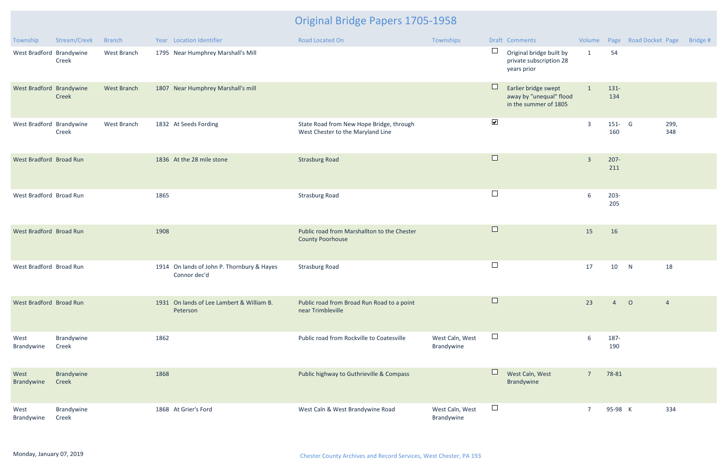| Township                 | Stream/Creek        | <b>Branch</b>      |      | Year Location Identifier                                   | Road Located On                                                               | Townships                     |                      | Draft Comments                                                           |                |                  | Volume Page Road Docket Page |                | Bridge # |
|--------------------------|---------------------|--------------------|------|------------------------------------------------------------|-------------------------------------------------------------------------------|-------------------------------|----------------------|--------------------------------------------------------------------------|----------------|------------------|------------------------------|----------------|----------|
| West Bradford Brandywine | Creek               | West Branch        |      | 1795 Near Humphrey Marshall's Mill                         |                                                                               |                               | $\Box$               | Original bridge built by<br>private subscription 28<br>years prior       | $\mathbf{1}$   | 54               |                              |                |          |
| West Bradford Brandywine | Creek               | <b>West Branch</b> |      | 1807 Near Humphrey Marshall's mill                         |                                                                               |                               | $\Box$               | Earlier bridge swept<br>away by "unequal" flood<br>in the summer of 1805 |                | $131 -$<br>134   |                              |                |          |
| West Bradford Brandywine | Creek               | West Branch        |      | 1832 At Seeds Fording                                      | State Road from New Hope Bridge, through<br>West Chester to the Maryland Line |                               | $\blacktriangledown$ |                                                                          | $\overline{3}$ | $151 - G$<br>160 |                              | 299,<br>348    |          |
| West Bradford Broad Run  |                     |                    |      | 1836 At the 28 mile stone                                  | <b>Strasburg Road</b>                                                         |                               | $\Box$               |                                                                          | $\overline{3}$ | $207 -$<br>211   |                              |                |          |
| West Bradford Broad Run  |                     |                    | 1865 |                                                            | <b>Strasburg Road</b>                                                         |                               | $\Box$               |                                                                          | 6              | $203 -$<br>205   |                              |                |          |
| West Bradford Broad Run  |                     |                    | 1908 |                                                            | Public road from Marshallton to the Chester<br><b>County Poorhouse</b>        |                               | $\Box$               |                                                                          | 15             | 16               |                              |                |          |
| West Bradford Broad Run  |                     |                    |      | 1914 On lands of John P. Thornbury & Hayes<br>Connor dec'd | <b>Strasburg Road</b>                                                         |                               | $\Box$               |                                                                          | 17             | 10               | N                            | 18             |          |
| West Bradford Broad Run  |                     |                    |      | 1931 On lands of Lee Lambert & William B.<br>Peterson      | Public road from Broad Run Road to a point<br>near Trimbleville               |                               | $\Box$               |                                                                          | 23             | $\overline{4}$   | $\overline{O}$               | $\overline{4}$ |          |
| West<br>Brandywine       | Brandywine<br>Creek |                    | 1862 |                                                            | Public road from Rockville to Coatesville                                     | West Caln, West<br>Brandywine | $\Box$               |                                                                          | 6              | 187-<br>190      |                              |                |          |
| West<br>Brandywine       | Brandywine<br>Creek |                    | 1868 |                                                            | Public highway to Guthrieville & Compass                                      |                               |                      | West Caln, West<br>Brandywine                                            | $7^{\circ}$    | 78-81            |                              |                |          |
| West<br>Brandywine       | Brandywine<br>Creek |                    |      | 1868 At Grier's Ford                                       | West Caln & West Brandywine Road                                              | West Caln, West<br>Brandywine | $\Box$               |                                                                          | $\overline{7}$ | 95-98 K          |                              | 334            |          |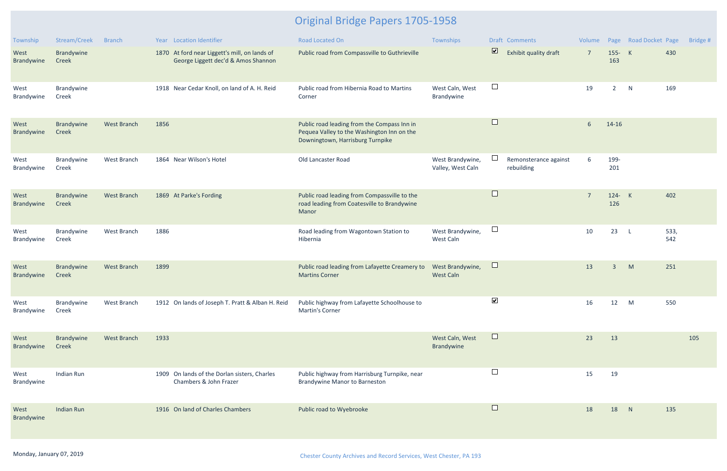| Township           | Stream/Creek        | <b>Branch</b>      | Year Location Identifier                                                             | <b>Road Located On</b>                                                                                                        | Townships                             |                         | Draft Comments                      | Volume          |                | Page Road Docket Page |             | Bridge # |
|--------------------|---------------------|--------------------|--------------------------------------------------------------------------------------|-------------------------------------------------------------------------------------------------------------------------------|---------------------------------------|-------------------------|-------------------------------------|-----------------|----------------|-----------------------|-------------|----------|
| West<br>Brandywine | Brandywine<br>Creek |                    | 1870 At ford near Liggett's mill, on lands of<br>George Liggett dec'd & Amos Shannon | Public road from Compassville to Guthrieville                                                                                 |                                       | $\overline{\mathbf{z}}$ | Exhibit quality draft               | $\overline{7}$  | 155- K<br>163  |                       | 430         |          |
| West<br>Brandywine | Brandywine<br>Creek |                    | 1918 Near Cedar Knoll, on land of A. H. Reid                                         | Public road from Hibernia Road to Martins<br>Corner                                                                           | West Caln, West<br>Brandywine         | $\Box$                  |                                     | 19              | $\overline{2}$ | N                     | 169         |          |
| West<br>Brandywine | Brandywine<br>Creek | <b>West Branch</b> | 1856                                                                                 | Public road leading from the Compass Inn in<br>Pequea Valley to the Washington Inn on the<br>Downingtown, Harrisburg Turnpike |                                       | $\Box$                  |                                     | $6\phantom{1}6$ | 14-16          |                       |             |          |
| West<br>Brandywine | Brandywine<br>Creek | West Branch        | 1864 Near Wilson's Hotel                                                             | Old Lancaster Road                                                                                                            | West Brandywine,<br>Valley, West Caln |                         | Remonsterance against<br>rebuilding | 6               | 199-<br>201    |                       |             |          |
| West<br>Brandywine | Brandywine<br>Creek | West Branch        | 1869 At Parke's Fording                                                              | Public road leading from Compassville to the<br>road leading from Coatesville to Brandywine<br>Manor                          |                                       | $\Box$                  |                                     | $\overline{7}$  | 124- K<br>126  |                       | 402         |          |
| West<br>Brandywine | Brandywine<br>Creek | West Branch        | 1886                                                                                 | Road leading from Wagontown Station to<br>Hibernia                                                                            | West Brandywine,<br>West Caln         | $\Box$                  |                                     | 10              | 23             | $\mathsf{L}$          | 533,<br>542 |          |
| West<br>Brandywine | Brandywine<br>Creek | <b>West Branch</b> | 1899                                                                                 | Public road leading from Lafayette Creamery to<br><b>Martins Corner</b>                                                       | West Brandywine,<br><b>West Caln</b>  | $\Box$                  |                                     | 13              | $\overline{3}$ | M                     | 251         |          |
| West<br>Brandywine | Brandywine<br>Creek | West Branch        | 1912 On lands of Joseph T. Pratt & Alban H. Reid                                     | Public highway from Lafayette Schoolhouse to<br>Martin's Corner                                                               |                                       | $\blacktriangledown$    |                                     | 16              | 12             | M                     | 550         |          |
| West<br>Brandywine | Brandywine<br>Creek | <b>West Branch</b> | 1933                                                                                 |                                                                                                                               | West Caln, West<br>Brandywine         | $\Box$                  |                                     | 23              | 13             |                       |             | 105      |
| West<br>Brandywine | Indian Run          |                    | 1909 On lands of the Dorlan sisters, Charles<br>Chambers & John Frazer               | Public highway from Harrisburg Turnpike, near<br><b>Brandywine Manor to Barneston</b>                                         |                                       | $\Box$                  |                                     | 15              | 19             |                       |             |          |
| West<br>Brandywine | <b>Indian Run</b>   |                    | 1916 On land of Charles Chambers                                                     | Public road to Wyebrooke                                                                                                      |                                       | $\Box$                  |                                     | 18              | 18             | N                     | 135         |          |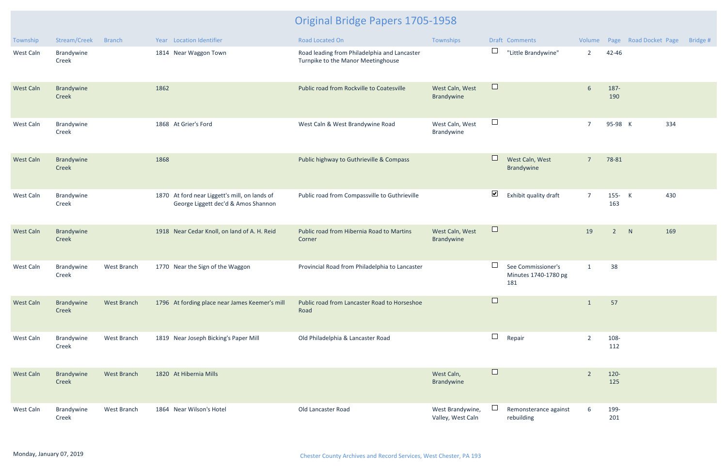| Township         | Stream/Creek        | <b>Branch</b>      |      | Year Location Identifier                                                             | <b>Road Located On</b>                                                             | Townships                             |                      | Draft Comments                                    | Volume         |                | Page Road Docket Page | Bridge # |
|------------------|---------------------|--------------------|------|--------------------------------------------------------------------------------------|------------------------------------------------------------------------------------|---------------------------------------|----------------------|---------------------------------------------------|----------------|----------------|-----------------------|----------|
| West Caln        | Brandywine<br>Creek |                    |      | 1814 Near Waggon Town                                                                | Road leading from Philadelphia and Lancaster<br>Turnpike to the Manor Meetinghouse |                                       | $\Box$               | "Little Brandywine"                               | $\overline{2}$ | 42-46          |                       |          |
| <b>West Caln</b> | Brandywine<br>Creek |                    | 1862 |                                                                                      | Public road from Rockville to Coatesville                                          | West Caln, West<br>Brandywine         | $\Box$               |                                                   | $6\phantom{1}$ | 187-<br>190    |                       |          |
| West Caln        | Brandywine<br>Creek |                    |      | 1868 At Grier's Ford                                                                 | West Caln & West Brandywine Road                                                   | West Caln, West<br>Brandywine         | $\Box$               |                                                   | $\overline{7}$ | 95-98 K        | 334                   |          |
| <b>West Caln</b> | Brandywine<br>Creek |                    | 1868 |                                                                                      | Public highway to Guthrieville & Compass                                           |                                       | $\Box$               | West Caln, West<br><b>Brandywine</b>              | $\overline{7}$ | 78-81          |                       |          |
| West Caln        | Brandywine<br>Creek |                    |      | 1870 At ford near Liggett's mill, on lands of<br>George Liggett dec'd & Amos Shannon | Public road from Compassville to Guthrieville                                      |                                       | $\blacktriangledown$ | Exhibit quality draft                             | $\overline{7}$ | $155 -$<br>163 | K<br>430              |          |
| <b>West Caln</b> | Brandywine<br>Creek |                    |      | 1918 Near Cedar Knoll, on land of A. H. Reid                                         | Public road from Hibernia Road to Martins<br>Corner                                | West Caln, West<br>Brandywine         | $\Box$               |                                                   | 19             | $2^{\circ}$    | N<br>169              |          |
| <b>West Caln</b> | Brandywine<br>Creek | West Branch        |      | 1770 Near the Sign of the Waggon                                                     | Provincial Road from Philadelphia to Lancaster                                     |                                       | $\Box$               | See Commissioner's<br>Minutes 1740-1780 pg<br>181 | $\mathbf{1}$   | 38             |                       |          |
| <b>West Caln</b> | Brandywine<br>Creek | <b>West Branch</b> |      | 1796 At fording place near James Keemer's mill                                       | Public road from Lancaster Road to Horseshoe<br>Road                               |                                       |                      |                                                   |                | 57             |                       |          |
| West Caln        | Brandywine<br>Creek | West Branch        |      | 1819 Near Joseph Bicking's Paper Mill                                                | Old Philadelphia & Lancaster Road                                                  |                                       | $\Box$               | Repair                                            | $\overline{2}$ | 108-<br>112    |                       |          |
| <b>West Caln</b> | Brandywine<br>Creek | West Branch        |      | 1820 At Hibernia Mills                                                               |                                                                                    | West Caln,<br>Brandywine              | $\Box$               |                                                   | $\overline{2}$ | $120 -$<br>125 |                       |          |
| West Caln        | Brandywine<br>Creek | West Branch        |      | 1864 Near Wilson's Hotel                                                             | Old Lancaster Road                                                                 | West Brandywine,<br>Valley, West Caln |                      | Remonsterance against<br>rebuilding               | 6              | 199-<br>201    |                       |          |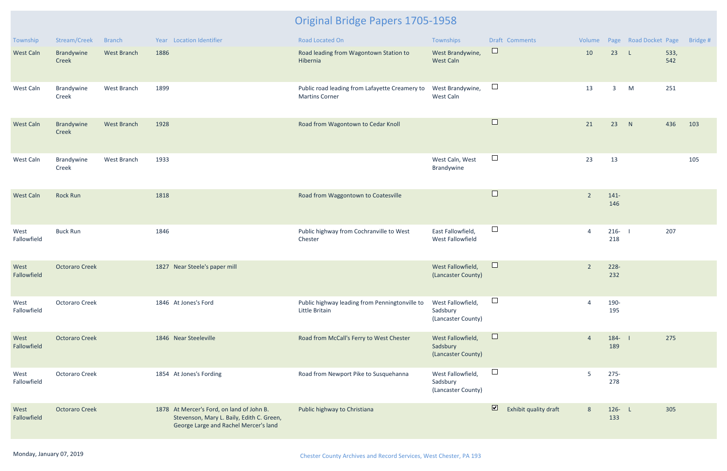| Township            | Stream/Creek          | <b>Branch</b>      | Year Location Identifier                                                                                                        | <b>Road Located On</b>                                                  | Townships                                           | Draft Comments                                   | Volume         |                  | Page Road Docket Page |             | Bridge # |
|---------------------|-----------------------|--------------------|---------------------------------------------------------------------------------------------------------------------------------|-------------------------------------------------------------------------|-----------------------------------------------------|--------------------------------------------------|----------------|------------------|-----------------------|-------------|----------|
| West Caln           | Brandywine<br>Creek   | <b>West Branch</b> | 1886                                                                                                                            | Road leading from Wagontown Station to<br>Hibernia                      | West Brandywine,<br><b>West Caln</b>                | $\Box$                                           | 10             | 23               | $\mathsf{L}$          | 533,<br>542 |          |
| West Caln           | Brandywine<br>Creek   | West Branch        | 1899                                                                                                                            | Public road leading from Lafayette Creamery to<br><b>Martins Corner</b> | West Brandywine,<br>West Caln                       | $\Box$                                           | 13             | $\mathbf{3}$     | M                     | 251         |          |
| West Caln           | Brandywine<br>Creek   | <b>West Branch</b> | 1928                                                                                                                            | Road from Wagontown to Cedar Knoll                                      |                                                     | $\Box$                                           | 21             | 23               | N                     | 436         | 103      |
| West Caln           | Brandywine<br>Creek   | West Branch        | 1933                                                                                                                            |                                                                         | West Caln, West<br>Brandywine                       | $\Box$                                           | 23             | 13               |                       |             | 105      |
| <b>West Caln</b>    | <b>Rock Run</b>       |                    | 1818                                                                                                                            | Road from Waggontown to Coatesville                                     |                                                     | $\Box$                                           | $\overline{2}$ | $141 -$<br>146   |                       |             |          |
| West<br>Fallowfield | <b>Buck Run</b>       |                    | 1846                                                                                                                            | Public highway from Cochranville to West<br>Chester                     | East Fallowfield,<br>West Fallowfield               | $\Box$                                           | $\overline{4}$ | $216 - 1$<br>218 |                       | 207         |          |
| West<br>Fallowfield | <b>Octoraro Creek</b> |                    | 1827 Near Steele's paper mill                                                                                                   |                                                                         | West Fallowfield,<br>(Lancaster County)             | $\Box$                                           | $\overline{2}$ | $228 -$<br>232   |                       |             |          |
| West<br>Fallowfield | <b>Octoraro Creek</b> |                    | 1846 At Jones's Ford                                                                                                            | Public highway leading from Penningtonville to<br>Little Britain        | West Fallowfield,<br>Sadsbury<br>(Lancaster County) | $\Box$                                           |                | 190-<br>195      |                       |             |          |
| West<br>Fallowfield | <b>Octoraro Creek</b> |                    | 1846 Near Steeleville                                                                                                           | Road from McCall's Ferry to West Chester                                | West Fallowfield,<br>Sadsbury<br>(Lancaster County) | $\Box$                                           | $\overline{4}$ | $184 - 1$<br>189 |                       | 275         |          |
| West<br>Fallowfield | <b>Octoraro Creek</b> |                    | 1854 At Jones's Fording                                                                                                         | Road from Newport Pike to Susquehanna                                   | West Fallowfield,<br>Sadsbury<br>(Lancaster County) | $\Box$                                           | 5              | $275 -$<br>278   |                       |             |          |
| West<br>Fallowfield | <b>Octoraro Creek</b> |                    | 1878 At Mercer's Ford, on land of John B.<br>Stevenson, Mary L. Baily, Edith C. Green,<br>George Large and Rachel Mercer's land | Public highway to Christiana                                            |                                                     | $\overline{\mathbf{z}}$<br>Exhibit quality draft | 8              | 126- L<br>133    |                       | 305         |          |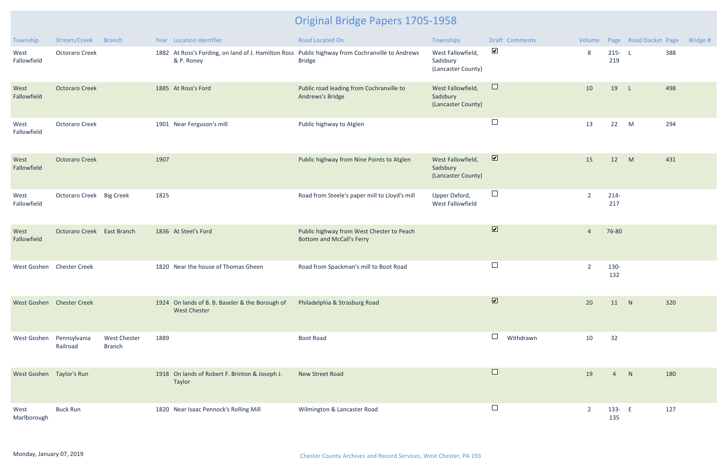| Township                 | Stream/Creek               | <b>Branch</b>                        |      | Year Location Identifier                                               | <b>Road Located On</b>                                                                                           | Townships                                           | Draft Comments               |           |                |                  | Volume Page Road Docket Page |     | Bridge # |
|--------------------------|----------------------------|--------------------------------------|------|------------------------------------------------------------------------|------------------------------------------------------------------------------------------------------------------|-----------------------------------------------------|------------------------------|-----------|----------------|------------------|------------------------------|-----|----------|
| West<br>Fallowfield      | <b>Octoraro Creek</b>      |                                      |      | & P. Roney                                                             | 1882 At Ross's Fording, on land of J. Hamilton Ross Public highway from Cochranville to Andrews<br><b>Bridge</b> | West Fallowfield,<br>Sadsbury<br>(Lancaster County) | $\blacktriangledown$         |           | 8              | $215 - L$<br>219 |                              | 388 |          |
| West<br>Fallowfield      | <b>Octoraro Creek</b>      |                                      |      | 1885 At Ross's Ford                                                    | Public road leading from Cochranville to<br>Andrews's Bridge                                                     | West Fallowfield,<br>Sadsbury<br>(Lancaster County) | $\Box$                       |           | 10             | 19               | - Li                         | 498 |          |
| West<br>Fallowfield      | <b>Octoraro Creek</b>      |                                      |      | 1901 Near Ferguson's mill                                              | Public highway to Atglen                                                                                         |                                                     | $\Box$                       |           | 13             | 22               | M                            | 294 |          |
| West<br>Fallowfield      | <b>Octoraro Creek</b>      |                                      | 1907 |                                                                        | Public highway from Nine Points to Atglen                                                                        | West Fallowfield,<br>Sadsbury<br>(Lancaster County) | $\blacksquare$               |           | 15             | 12               | M                            | 431 |          |
| West<br>Fallowfield      | Octoraro Creek Big Creek   |                                      | 1825 |                                                                        | Road from Steele's paper mill to Lloyd's mill                                                                    | Upper Oxford,<br>West Fallowfield                   | $\Box$                       |           | $\overline{2}$ | $214-$<br>217    |                              |     |          |
| West<br>Fallowfield      | Octoraro Creek East Branch |                                      |      | 1836 At Steel's Ford                                                   | Public highway from West Chester to Peach<br><b>Bottom and McCall's Ferry</b>                                    |                                                     | $\boxed{\blacktriangledown}$ |           | $\overline{4}$ | 76-80            |                              |     |          |
|                          | West Goshen Chester Creek  |                                      |      | 1820 Near the house of Thomas Gheen                                    | Road from Spackman's mill to Boot Road                                                                           |                                                     | $\Box$                       |           | $\overline{2}$ | 130-<br>132      |                              |     |          |
|                          | West Goshen Chester Creek  |                                      |      | 1924 On lands of B. B. Baseler & the Borough of<br><b>West Chester</b> | Philadelphia & Strasburg Road                                                                                    |                                                     | $\overline{\mathbf{v}}$      |           | 20             | 11 N             |                              | 320 |          |
| West Goshen              | Pennsylvania<br>Railroad   | <b>West Chester</b><br><b>Branch</b> | 1889 |                                                                        | <b>Boot Road</b>                                                                                                 |                                                     | $\Box$                       | Withdrawn | 10             | 32               |                              |     |          |
| West Goshen Taylor's Run |                            |                                      |      | 1918 On lands of Robert F. Brinton & Joseph J.<br><b>Taylor</b>        | <b>New Street Road</b>                                                                                           |                                                     | $\Box$                       |           | 19             | 4                | N                            | 180 |          |
| West<br>Marlborough      | <b>Buck Run</b>            |                                      |      | 1820 Near Isaac Pennock's Rolling Mill                                 | Wilmington & Lancaster Road                                                                                      |                                                     | $\Box$                       |           | 2              | 133- E<br>135    |                              | 127 |          |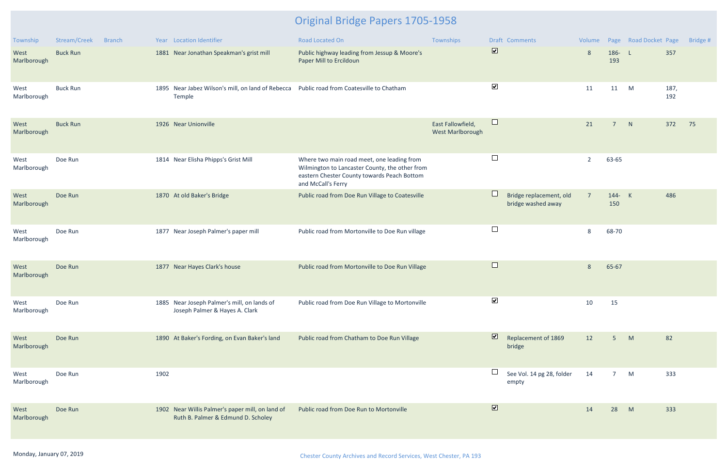| Township            | Stream/Creek    | <b>Branch</b> |      | Year Location Identifier                                                               | Road Located On                                                                                                                                                   | Townships                                    |                              | <b>Draft Comments</b>                         | Volume         |                | Page Road Docket Page |             | Bridge # |
|---------------------|-----------------|---------------|------|----------------------------------------------------------------------------------------|-------------------------------------------------------------------------------------------------------------------------------------------------------------------|----------------------------------------------|------------------------------|-----------------------------------------------|----------------|----------------|-----------------------|-------------|----------|
| West<br>Marlborough | <b>Buck Run</b> |               |      | 1881 Near Jonathan Speakman's grist mill                                               | Public highway leading from Jessup & Moore's<br>Paper Mill to Ercildoun                                                                                           |                                              | $\boxed{\blacktriangledown}$ |                                               | 8              | 186- L<br>193  |                       | 357         |          |
| West<br>Marlborough | <b>Buck Run</b> |               |      | 1895 Near Jabez Wilson's mill, on land of Rebecca<br>Temple                            | Public road from Coatesville to Chatham                                                                                                                           |                                              | $\blacktriangledown$         |                                               | 11             | 11             | M                     | 187,<br>192 |          |
| West<br>Marlborough | <b>Buck Run</b> |               |      | 1926 Near Unionville                                                                   |                                                                                                                                                                   | East Fallowfield,<br><b>West Marlborough</b> | $\Box$                       |                                               | 21             | $\overline{7}$ | N                     | 372         | 75       |
| West<br>Marlborough | Doe Run         |               |      | 1814 Near Elisha Phipps's Grist Mill                                                   | Where two main road meet, one leading from<br>Wilmington to Lancaster County, the other from<br>eastern Chester County towards Peach Bottom<br>and McCall's Ferry |                                              |                              |                                               | $\overline{2}$ | 63-65          |                       |             |          |
| West<br>Marlborough | Doe Run         |               |      | 1870 At old Baker's Bridge                                                             | Public road from Doe Run Village to Coatesville                                                                                                                   |                                              | $\Box$                       | Bridge replacement, old<br>bridge washed away | $\overline{7}$ | 144- K<br>150  |                       | 486         |          |
| West<br>Marlborough | Doe Run         |               |      | 1877 Near Joseph Palmer's paper mill                                                   | Public road from Mortonville to Doe Run village                                                                                                                   |                                              | $\Box$                       |                                               | 8              | 68-70          |                       |             |          |
| West<br>Marlborough | Doe Run         |               |      | 1877 Near Hayes Clark's house                                                          | Public road from Mortonville to Doe Run Village                                                                                                                   |                                              | $\Box$                       |                                               | 8              | 65-67          |                       |             |          |
| West<br>Marlborough | Doe Run         |               |      | 1885 Near Joseph Palmer's mill, on lands of<br>Joseph Palmer & Hayes A. Clark          | Public road from Doe Run Village to Mortonville                                                                                                                   |                                              | $\blacktriangledown$         |                                               | 10             | 15             |                       |             |          |
| West<br>Marlborough | Doe Run         |               |      | 1890 At Baker's Fording, on Evan Baker's land                                          | Public road from Chatham to Doe Run Village                                                                                                                       |                                              | $\overline{\mathbf{v}}$      | Replacement of 1869<br>bridge                 | 12             | 5              | M                     | 82          |          |
| West<br>Marlborough | Doe Run         |               | 1902 |                                                                                        |                                                                                                                                                                   |                                              |                              | See Vol. 14 pg 28, folder<br>empty            | 14             | $\overline{7}$ | M                     | 333         |          |
| West<br>Marlborough | Doe Run         |               |      | 1902 Near Willis Palmer's paper mill, on land of<br>Ruth B. Palmer & Edmund D. Scholey | Public road from Doe Run to Mortonville                                                                                                                           |                                              | $\boxed{\blacktriangledown}$ |                                               | 14             | 28             | M                     | 333         |          |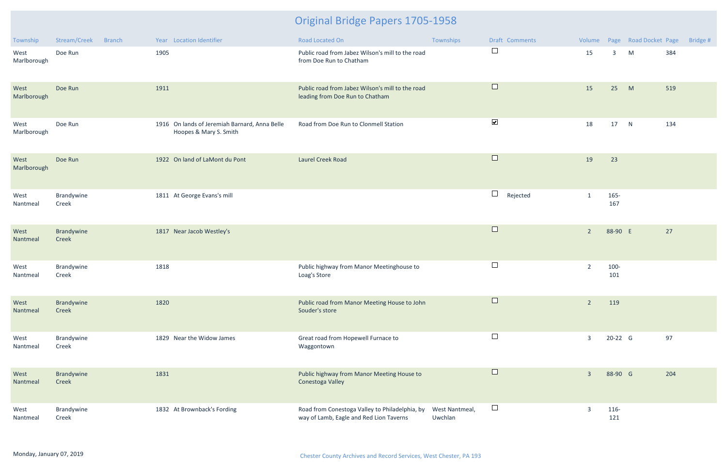| <b>Township</b>     | Stream/Creek        | <b>Branch</b> | Year Location Identifier                                                | Road Located On                                                                           | Townships                 | Draft Comments       |                |             | Volume Page Road Docket Page | Bridge # |
|---------------------|---------------------|---------------|-------------------------------------------------------------------------|-------------------------------------------------------------------------------------------|---------------------------|----------------------|----------------|-------------|------------------------------|----------|
| West<br>Marlborough | Doe Run             |               | 1905                                                                    | Public road from Jabez Wilson's mill to the road<br>from Doe Run to Chatham               |                           | $\Box$               | 15             | 3           | M                            | 384      |
| West<br>Marlborough | Doe Run             |               | 1911                                                                    | Public road from Jabez Wilson's mill to the road<br>leading from Doe Run to Chatham       |                           | $\Box$               | 15             | 25          | M                            | 519      |
| West<br>Marlborough | Doe Run             |               | 1916 On lands of Jeremiah Barnard, Anna Belle<br>Hoopes & Mary S. Smith | Road from Doe Run to Clonmell Station                                                     |                           | $\blacktriangledown$ | 18             | 17          | N                            | 134      |
| West<br>Marlborough | Doe Run             |               | 1922 On land of LaMont du Pont                                          | <b>Laurel Creek Road</b>                                                                  |                           | $\Box$               | 19             | 23          |                              |          |
| West<br>Nantmeal    | Brandywine<br>Creek |               | 1811 At George Evans's mill                                             |                                                                                           |                           | $\Box$<br>Rejected   | $\mathbf{1}$   | 165-<br>167 |                              |          |
| West<br>Nantmeal    | Brandywine<br>Creek |               | 1817 Near Jacob Westley's                                               |                                                                                           |                           | $\Box$               | $2^{\circ}$    | 88-90 E     |                              | 27       |
| West<br>Nantmeal    | Brandywine<br>Creek |               | 1818                                                                    | Public highway from Manor Meetinghouse to<br>Loag's Store                                 |                           | $\Box$               | $\overline{2}$ | 100-<br>101 |                              |          |
| West<br>Nantmeal    | Brandywine<br>Creek |               | 1820                                                                    | Public road from Manor Meeting House to John<br>Souder's store                            |                           | $\Box$               | $\overline{2}$ | 119         |                              |          |
| West<br>Nantmeal    | Brandywine<br>Creek |               | 1829 Near the Widow James                                               | Great road from Hopewell Furnace to<br>Waggontown                                         |                           | $\Box$               | $\mathbf{3}$   | 20-22 G     |                              | 97       |
| West<br>Nantmeal    | Brandywine<br>Creek |               | 1831                                                                    | Public highway from Manor Meeting House to<br>Conestoga Valley                            |                           | $\Box$               | $\overline{3}$ | 88-90 G     |                              | 204      |
| West<br>Nantmeal    | Brandywine<br>Creek |               | 1832 At Brownback's Fording                                             | Road from Conestoga Valley to Philadelphia, by<br>way of Lamb, Eagle and Red Lion Taverns | West Nantmeal,<br>Uwchlan | $\Box$               | $\overline{3}$ | 116-<br>121 |                              |          |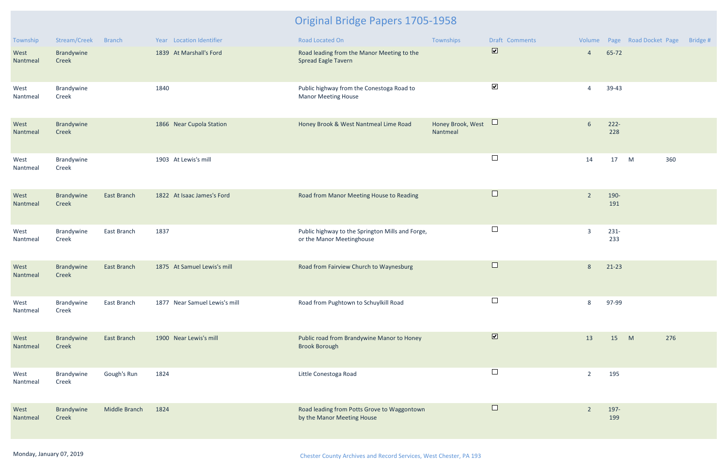| Township         | Stream/Creek               | <b>Branch</b>      | Year Location Identifier      | Road Located On                                                               | Townships                     | Draft Comments          |                |                | Volume Page Road Docket Page | Bridge # |
|------------------|----------------------------|--------------------|-------------------------------|-------------------------------------------------------------------------------|-------------------------------|-------------------------|----------------|----------------|------------------------------|----------|
| West<br>Nantmeal | Brandywine<br>Creek        |                    | 1839 At Marshall's Ford       | Road leading from the Manor Meeting to the<br><b>Spread Eagle Tavern</b>      |                               | $\overline{\mathbf{v}}$ | $\overline{4}$ | 65-72          |                              |          |
| West<br>Nantmeal | Brandywine<br>Creek        |                    | 1840                          | Public highway from the Conestoga Road to<br><b>Manor Meeting House</b>       |                               | $\blacktriangledown$    | $\overline{4}$ | 39-43          |                              |          |
| West<br>Nantmeal | Brandywine<br>Creek        |                    | 1866 Near Cupola Station      | Honey Brook & West Nantmeal Lime Road                                         | Honey Brook, West<br>Nantmeal | $\Box$                  | 6              | $222 -$<br>228 |                              |          |
| West<br>Nantmeal | Brandywine<br>Creek        |                    | 1903 At Lewis's mill          |                                                                               |                               | $\Box$                  | 14             | 17             | M<br>360                     |          |
| West<br>Nantmeal | <b>Brandywine</b><br>Creek | <b>East Branch</b> | 1822 At Isaac James's Ford    | Road from Manor Meeting House to Reading                                      |                               | $\Box$                  | $\overline{2}$ | 190-<br>191    |                              |          |
| West<br>Nantmeal | Brandywine<br>Creek        | East Branch        | 1837                          | Public highway to the Springton Mills and Forge,<br>or the Manor Meetinghouse |                               | $\Box$                  | $\overline{3}$ | $231 -$<br>233 |                              |          |
| West<br>Nantmeal | Brandywine<br>Creek        | <b>East Branch</b> | 1875 At Samuel Lewis's mill   | Road from Fairview Church to Waynesburg                                       |                               | $\Box$                  | 8              | $21-23$        |                              |          |
| West<br>Nantmeal | Brandywine<br>Creek        | East Branch        | 1877 Near Samuel Lewis's mill | Road from Pughtown to Schuylkill Road                                         |                               | $\Box$                  | 8              | 97-99          |                              |          |
| West<br>Nantmeal | Brandywine<br>Creek        | <b>East Branch</b> | 1900 Near Lewis's mill        | Public road from Brandywine Manor to Honey<br><b>Brook Borough</b>            |                               | $\overline{\mathbf{v}}$ | 13             | 15             | 276<br>M                     |          |
| West<br>Nantmeal | Brandywine<br>Creek        | Gough's Run        | 1824                          | Little Conestoga Road                                                         |                               | $\Box$                  | $\overline{2}$ | 195            |                              |          |
| West<br>Nantmeal | Brandywine<br>Creek        | Middle Branch      | 1824                          | Road leading from Potts Grove to Waggontown<br>by the Manor Meeting House     |                               | $\Box$                  | $\sqrt{2}$     | 197-<br>199    |                              |          |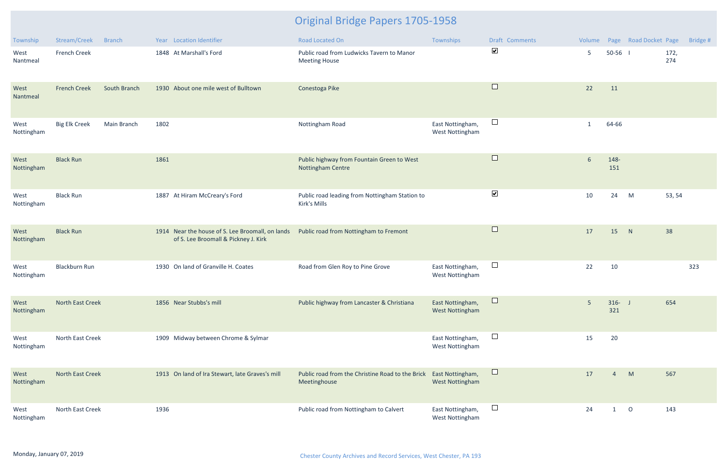| Township           | Stream/Creek            | <b>Branch</b> |      | Year Location Identifier                                                                 | Road Located On                                                   | Townships                                  | Draft Comments       |                |                  | Volume Page Road Docket Page |             | Bridge # |
|--------------------|-------------------------|---------------|------|------------------------------------------------------------------------------------------|-------------------------------------------------------------------|--------------------------------------------|----------------------|----------------|------------------|------------------------------|-------------|----------|
| West<br>Nantmeal   | <b>French Creek</b>     |               |      | 1848 At Marshall's Ford                                                                  | Public road from Ludwicks Tavern to Manor<br><b>Meeting House</b> |                                            | $\blacktriangledown$ | 5              | $50-56$ 1        |                              | 172,<br>274 |          |
| West<br>Nantmeal   | <b>French Creek</b>     | South Branch  |      | 1930 About one mile west of Bulltown                                                     | Conestoga Pike                                                    |                                            | $\Box$               | 22             | 11               |                              |             |          |
| West<br>Nottingham | <b>Big Elk Creek</b>    | Main Branch   | 1802 |                                                                                          | Nottingham Road                                                   | East Nottingham,<br>West Nottingham        | $\Box$               | $\mathbf{1}$   | 64-66            |                              |             |          |
| West<br>Nottingham | <b>Black Run</b>        |               | 1861 |                                                                                          | Public highway from Fountain Green to West<br>Nottingham Centre   |                                            | $\Box$               | 6              | 148-<br>151      |                              |             |          |
| West<br>Nottingham | <b>Black Run</b>        |               |      | 1887 At Hiram McCreary's Ford                                                            | Public road leading from Nottingham Station to<br>Kirk's Mills    |                                            | $\blacktriangledown$ | 10             | 24               | M                            | 53, 54      |          |
| West<br>Nottingham | <b>Black Run</b>        |               |      | 1914 Near the house of S. Lee Broomall, on lands<br>of S. Lee Broomall & Pickney J. Kirk | Public road from Nottingham to Fremont                            |                                            | $\Box$               | 17             | 15               | N                            | 38          |          |
| West<br>Nottingham | <b>Blackburn Run</b>    |               |      | 1930 On land of Granville H. Coates                                                      | Road from Glen Roy to Pine Grove                                  | East Nottingham,<br><b>West Nottingham</b> | $\Box$               | 22             | 10               |                              |             | 323      |
| West<br>Nottingham | North East Creek        |               |      | 1856 Near Stubbs's mill                                                                  | Public highway from Lancaster & Christiana                        | East Nottingham,<br><b>West Nottingham</b> | $\Box$               | 5 <sub>5</sub> | $316 - J$<br>321 |                              | 654         |          |
| West<br>Nottingham | North East Creek        |               |      | 1909 Midway between Chrome & Sylmar                                                      |                                                                   | East Nottingham,<br><b>West Nottingham</b> | $\Box$               | 15             | 20               |                              |             |          |
| West<br>Nottingham | <b>North East Creek</b> |               |      | 1913 On land of Ira Stewart, late Graves's mill                                          | Public road from the Christine Road to the Brick<br>Meetinghouse  | East Nottingham,<br><b>West Nottingham</b> | $\Box$               | 17             | $\overline{4}$   | M                            | 567         |          |
| West<br>Nottingham | North East Creek        |               | 1936 |                                                                                          | Public road from Nottingham to Calvert                            | East Nottingham,<br>West Nottingham        | $\Box$               | 24             | $\mathbf{1}$     | $\circ$                      | 143         |          |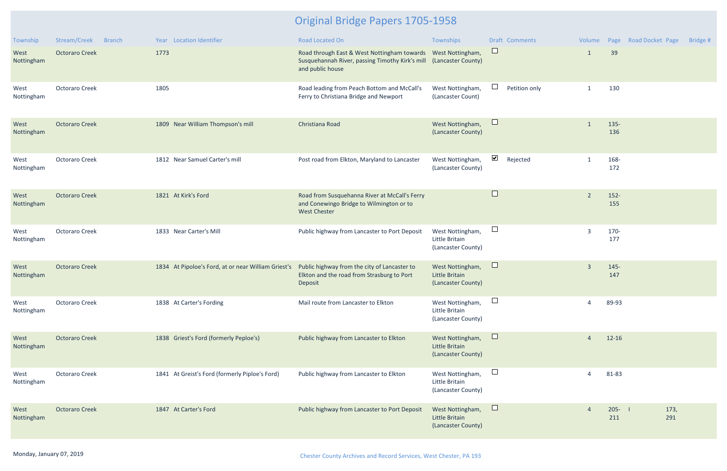| Township           | Stream/Creek          | <b>Branch</b> |      | Year Location Identifier                                                                         | <b>Road Located On</b>                                                                                                                | Townships                                                |                       | Draft Comments | Volume         |                  | Page Road Docket Page | Bridge # |
|--------------------|-----------------------|---------------|------|--------------------------------------------------------------------------------------------------|---------------------------------------------------------------------------------------------------------------------------------------|----------------------------------------------------------|-----------------------|----------------|----------------|------------------|-----------------------|----------|
| West<br>Nottingham | <b>Octoraro Creek</b> |               | 1773 |                                                                                                  | Road through East & West Nottingham towards<br>Susquehannah River, passing Timothy Kirk's mill (Lancaster County)<br>and public house | West Nottingham,                                         | $\Box$                |                | $\mathbf{1}$   | 39               |                       |          |
| West<br>Nottingham | <b>Octoraro Creek</b> |               | 1805 |                                                                                                  | Road leading from Peach Bottom and McCall's<br>Ferry to Christiana Bridge and Newport                                                 | West Nottingham,<br>(Lancaster Count)                    | $\mathbb{R}$          | Petition only  | $\mathbf{1}$   | 130              |                       |          |
| West<br>Nottingham | <b>Octoraro Creek</b> |               |      | 1809 Near William Thompson's mill                                                                | Christiana Road                                                                                                                       | West Nottingham,<br>(Lancaster County)                   | $\sqcup$              |                |                | $135 -$<br>136   |                       |          |
| West<br>Nottingham | <b>Octoraro Creek</b> |               |      | 1812 Near Samuel Carter's mill                                                                   | Post road from Elkton, Maryland to Lancaster                                                                                          | West Nottingham,<br>(Lancaster County)                   | $\blacktriangleright$ | Rejected       | $\mathbf{1}$   | 168-<br>172      |                       |          |
| West<br>Nottingham | <b>Octoraro Creek</b> |               |      | 1821 At Kirk's Ford                                                                              | Road from Susquehanna River at McCall's Ferry<br>and Conewingo Bridge to Wilmington or to<br><b>West Chester</b>                      |                                                          | $\Box$                |                | $\overline{2}$ | $152 -$<br>155   |                       |          |
| West<br>Nottingham | <b>Octoraro Creek</b> |               |      | 1833 Near Carter's Mill                                                                          | Public highway from Lancaster to Port Deposit                                                                                         | West Nottingham,<br>Little Britain<br>(Lancaster County) | $\Box$                |                | $\overline{3}$ | 170-<br>177      |                       |          |
| West<br>Nottingham | <b>Octoraro Creek</b> |               |      | 1834 At Pipoloe's Ford, at or near William Griest's Public highway from the city of Lancaster to | Elkton and the road from Strasburg to Port<br>Deposit                                                                                 | West Nottingham,<br>Little Britain<br>(Lancaster County) | $\sqcup$              |                | $\overline{3}$ | $145 -$<br>147   |                       |          |
| West<br>Nottingham | <b>Octoraro Creek</b> |               |      | 1838 At Carter's Fording                                                                         | Mail route from Lancaster to Elkton                                                                                                   | West Nottingham,<br>Little Britain<br>(Lancaster County) | $\Box$                |                |                | 89-93            |                       |          |
| West<br>Nottingham | <b>Octoraro Creek</b> |               |      | 1838 Griest's Ford (formerly Peploe's)                                                           | Public highway from Lancaster to Elkton                                                                                               | West Nottingham,<br>Little Britain<br>(Lancaster County) | $\sqcup$              |                | 4              | $12 - 16$        |                       |          |
| West<br>Nottingham | Octoraro Creek        |               |      | 1841 At Greist's Ford (formerly Piploe's Ford)                                                   | Public highway from Lancaster to Elkton                                                                                               | West Nottingham,<br>Little Britain<br>(Lancaster County) | $\Box$                |                | 4              | 81-83            |                       |          |
| West<br>Nottingham | <b>Octoraro Creek</b> |               |      | 1847 At Carter's Ford                                                                            | Public highway from Lancaster to Port Deposit                                                                                         | West Nottingham,<br>Little Britain<br>(Lancaster County) | $\Box$                |                |                | $205 - 1$<br>211 | 173,<br>291           |          |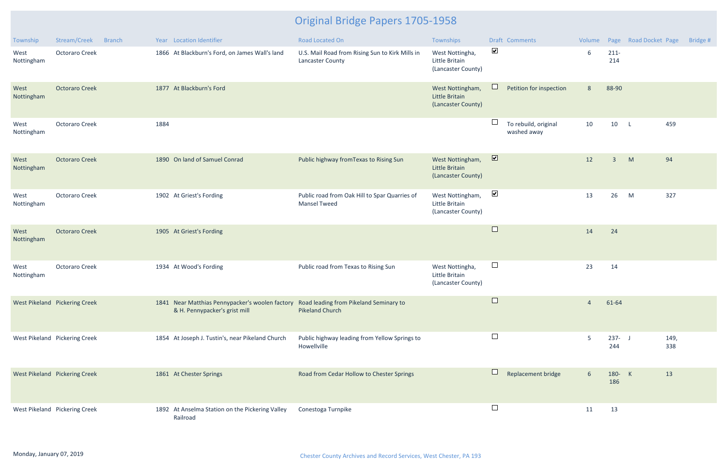| Township           | Stream/Creek                  | <b>Branch</b> |      | Year Location Identifier                                                                                                | <b>Road Located On</b>                                               | Townships                                                       |                          | <b>Draft Comments</b>               |                 |                  | Volume Page Road Docket Page | Bridge #    |
|--------------------|-------------------------------|---------------|------|-------------------------------------------------------------------------------------------------------------------------|----------------------------------------------------------------------|-----------------------------------------------------------------|--------------------------|-------------------------------------|-----------------|------------------|------------------------------|-------------|
| West<br>Nottingham | <b>Octoraro Creek</b>         |               |      | 1866 At Blackburn's Ford, on James Wall's land                                                                          | U.S. Mail Road from Rising Sun to Kirk Mills in<br>Lancaster County  | West Nottingha,<br>Little Britain<br>(Lancaster County)         | $\blacktriangleright$    |                                     | 6               | $211 -$<br>214   |                              |             |
| West<br>Nottingham | <b>Octoraro Creek</b>         |               |      | 1877 At Blackburn's Ford                                                                                                |                                                                      | West Nottingham,<br><b>Little Britain</b><br>(Lancaster County) |                          | Petition for inspection             | $8\phantom{.}$  | 88-90            |                              |             |
| West<br>Nottingham | <b>Octoraro Creek</b>         |               | 1884 |                                                                                                                         |                                                                      |                                                                 | ⊔                        | To rebuild, original<br>washed away | 10              | 10 L             |                              | 459         |
| West<br>Nottingham | <b>Octoraro Creek</b>         |               |      | 1890 On land of Samuel Conrad                                                                                           | Public highway from Texas to Rising Sun                              | West Nottingham,<br>Little Britain<br>(Lancaster County)        | $\overline{\mathbf{z}}$  |                                     | 12              | $\overline{3}$   | M<br>94                      |             |
| West<br>Nottingham | <b>Octoraro Creek</b>         |               |      | 1902 At Griest's Fording                                                                                                | Public road from Oak Hill to Spar Quarries of<br><b>Mansel Tweed</b> | West Nottingham,<br>Little Britain<br>(Lancaster County)        | $\blacktriangledown$     |                                     | 13              | 26               | M                            | 327         |
| West<br>Nottingham | <b>Octoraro Creek</b>         |               |      | 1905 At Griest's Fording                                                                                                |                                                                      |                                                                 | $\Box$                   |                                     | 14              | 24               |                              |             |
| West<br>Nottingham | <b>Octoraro Creek</b>         |               |      | 1934 At Wood's Fording                                                                                                  | Public road from Texas to Rising Sun                                 | West Nottingha,<br>Little Britain<br>(Lancaster County)         | $\Box$                   |                                     | 23              | 14               |                              |             |
|                    | West Pikeland Pickering Creek |               |      | 1841 Near Matthias Pennypacker's woolen factory Road leading from Pikeland Seminary to<br>& H. Pennypacker's grist mill | <b>Pikeland Church</b>                                               |                                                                 | $\overline{\phantom{a}}$ |                                     | $\overline{4}$  | 61-64            |                              |             |
|                    | West Pikeland Pickering Creek |               |      | 1854 At Joseph J. Tustin's, near Pikeland Church                                                                        | Public highway leading from Yellow Springs to<br>Howellville         |                                                                 | $\Box$                   |                                     | 5               | $237 - J$<br>244 |                              | 149,<br>338 |
|                    | West Pikeland Pickering Creek |               |      | 1861 At Chester Springs                                                                                                 | Road from Cedar Hollow to Chester Springs                            |                                                                 |                          | Replacement bridge                  | $6\overline{6}$ | 180- K<br>186    | 13                           |             |
|                    | West Pikeland Pickering Creek |               |      | 1892 At Anselma Station on the Pickering Valley<br>Railroad                                                             | Conestoga Turnpike                                                   |                                                                 | $\Box$                   |                                     | 11              | 13               |                              |             |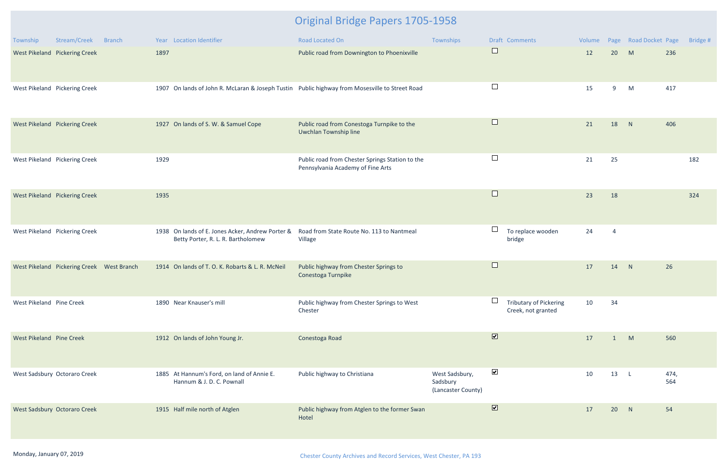| Township                 | Stream/Creek<br><b>Branch</b>             | Year Location Identifier                                                                       | <b>Road Located On</b>                                                               | Townships                                        | <b>Draft Comments</b>                                   | Volume |                | Page Road Docket Page |             | Bridge # |
|--------------------------|-------------------------------------------|------------------------------------------------------------------------------------------------|--------------------------------------------------------------------------------------|--------------------------------------------------|---------------------------------------------------------|--------|----------------|-----------------------|-------------|----------|
|                          | West Pikeland Pickering Creek             | 1897                                                                                           | Public road from Downington to Phoenixville                                          |                                                  | $\Box$                                                  | 12     | 20             | M                     | 236         |          |
|                          | West Pikeland Pickering Creek             | 1907 On lands of John R. McLaran & Joseph Tustin Public highway from Mosesville to Street Road |                                                                                      |                                                  | $\Box$                                                  | 15     | 9              | M                     | 417         |          |
|                          | West Pikeland Pickering Creek             | 1927 On lands of S. W. & Samuel Cope                                                           | Public road from Conestoga Turnpike to the<br>Uwchlan Township line                  |                                                  | $\Box$                                                  | 21     | 18             | N                     | 406         |          |
|                          | West Pikeland Pickering Creek             | 1929                                                                                           | Public road from Chester Springs Station to the<br>Pennsylvania Academy of Fine Arts |                                                  | $\Box$                                                  | 21     | 25             |                       |             | 182      |
|                          | West Pikeland Pickering Creek             | 1935                                                                                           |                                                                                      |                                                  | $\Box$                                                  | 23     | 18             |                       |             | 324      |
|                          | West Pikeland Pickering Creek             | 1938 On lands of E. Jones Acker, Andrew Porter &<br>Betty Porter, R. L. R. Bartholomew         | Road from State Route No. 113 to Nantmeal<br>Village                                 |                                                  | $\overline{\phantom{a}}$<br>To replace wooden<br>bridge | 24     | $\overline{4}$ |                       |             |          |
|                          | West Pikeland Pickering Creek West Branch | 1914 On lands of T. O. K. Robarts & L. R. McNeil                                               | Public highway from Chester Springs to<br>Conestoga Turnpike                         |                                                  | $\Box$                                                  | 17     | 14             | N                     | 26          |          |
| West Pikeland Pine Creek |                                           | 1890 Near Knauser's mill                                                                       | Public highway from Chester Springs to West<br>Chester                               |                                                  | <b>Tributary of Pickering</b><br>Creek, not granted     | 10     | 34             |                       |             |          |
| West Pikeland Pine Creek |                                           | 1912 On lands of John Young Jr.                                                                | Conestoga Road                                                                       |                                                  | $\overline{\mathbf{v}}$                                 | 17     | -1             | M                     | 560         |          |
|                          | West Sadsbury Octoraro Creek              | 1885 At Hannum's Ford, on land of Annie E.<br>Hannum & J. D. C. Pownall                        | Public highway to Christiana                                                         | West Sadsbury,<br>Sadsbury<br>(Lancaster County) | $\blacktriangleright$                                   | 10     | 13             | $\mathsf{L}$          | 474,<br>564 |          |
|                          | West Sadsbury Octoraro Creek              | 1915 Half mile north of Atglen                                                                 | Public highway from Atglen to the former Swan<br>Hotel                               |                                                  | $\boxed{\blacktriangledown}$                            | 17     | 20             | N                     | 54          |          |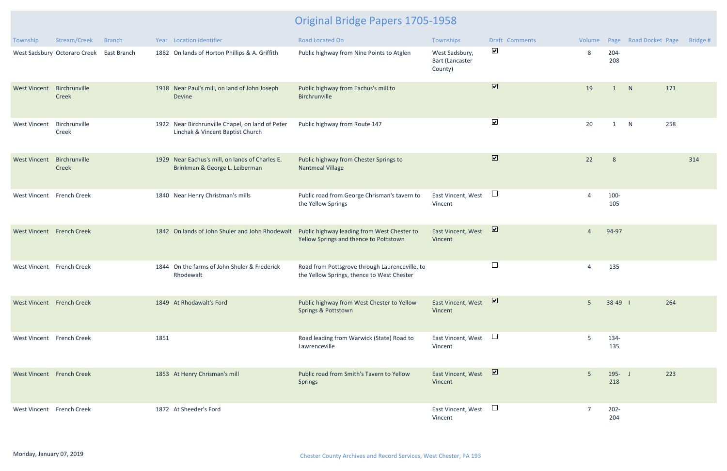| Township                  | Stream/Creek                             | <b>Branch</b> |      | Year Location Identifier                                                             | Road Located On                                                                              | Townships                                           | Draft Comments               | Volume         |                  | Page Road Docket Page |     | Bridge # |
|---------------------------|------------------------------------------|---------------|------|--------------------------------------------------------------------------------------|----------------------------------------------------------------------------------------------|-----------------------------------------------------|------------------------------|----------------|------------------|-----------------------|-----|----------|
|                           | West Sadsbury Octoraro Creek East Branch |               |      | 1882 On lands of Horton Phillips & A. Griffith                                       | Public highway from Nine Points to Atglen                                                    | West Sadsbury,<br><b>Bart (Lancaster</b><br>County) | $\blacktriangledown$         | 8              | $204 -$<br>208   |                       |     |          |
| <b>West Vincent</b>       | Birchrunville<br>Creek                   |               |      | 1918 Near Paul's mill, on land of John Joseph<br><b>Devine</b>                       | Public highway from Eachus's mill to<br>Birchrunville                                        |                                                     | $\boxed{\blacktriangledown}$ | 19             | 1                | N                     | 171 |          |
| <b>West Vincent</b>       | Birchrunville<br>Creek                   |               |      | 1922 Near Birchrunville Chapel, on land of Peter<br>Linchak & Vincent Baptist Church | Public highway from Route 147                                                                |                                                     | $\blacktriangledown$         | 20             | 1                | N                     | 258 |          |
| <b>West Vincent</b>       | Birchrunville<br>Creek                   |               |      | 1929 Near Eachus's mill, on lands of Charles E.<br>Brinkman & George L. Leiberman    | Public highway from Chester Springs to<br><b>Nantmeal Village</b>                            |                                                     | $\blacksquare$               | 22             | 8                |                       |     | 314      |
| West Vincent French Creek |                                          |               |      | 1840 Near Henry Christman's mills                                                    | Public road from George Chrisman's tavern to<br>the Yellow Springs                           | East Vincent, West<br>Vincent                       | $\Box$                       |                | 100-<br>105      |                       |     |          |
| West Vincent French Creek |                                          |               |      | 1842 On lands of John Shuler and John Rhodewalt                                      | Public highway leading from West Chester to<br>Yellow Springs and thence to Pottstown        | East Vincent, West<br>Vincent                       | $\triangledown$              | $\overline{4}$ | 94-97            |                       |     |          |
| West Vincent French Creek |                                          |               |      | 1844 On the farms of John Shuler & Frederick<br>Rhodewalt                            | Road from Pottsgrove through Laurenceville, to<br>the Yellow Springs, thence to West Chester |                                                     | $\Box$                       | 4              | 135              |                       |     |          |
| West Vincent French Creek |                                          |               |      | 1849 At Rhodawalt's Ford                                                             | Public highway from West Chester to Yellow<br>Springs & Pottstown                            | East Vincent, West<br>Vincent                       | M                            | 5              | $38-49$          |                       | 264 |          |
| West Vincent French Creek |                                          |               | 1851 |                                                                                      | Road leading from Warwick (State) Road to<br>Lawrenceville                                   | East Vincent, West<br>Vincent                       | $\Box$                       | 5              | 134-<br>135      |                       |     |          |
| West Vincent French Creek |                                          |               |      | 1853 At Henry Chrisman's mill                                                        | Public road from Smith's Tavern to Yellow<br><b>Springs</b>                                  | East Vincent, West<br>Vincent                       | $\triangledown$              | 5              | $195 - J$<br>218 |                       | 223 |          |
| West Vincent French Creek |                                          |               |      | 1872 At Sheeder's Ford                                                               |                                                                                              | East Vincent, West<br>Vincent                       | $\Box$                       |                | $202 -$<br>204   |                       |     |          |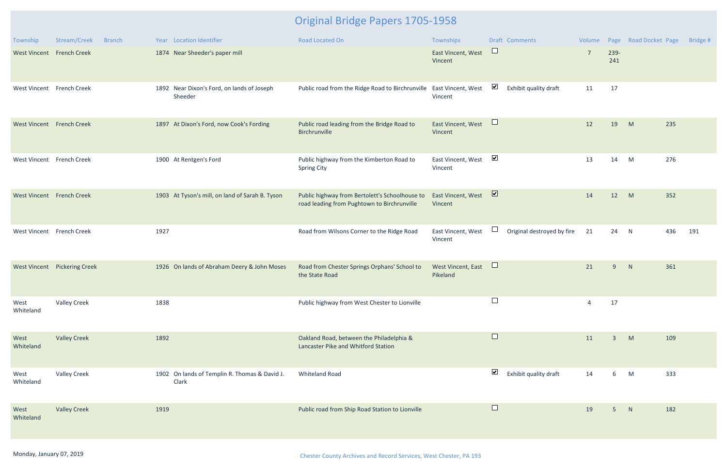| Township                  | Stream/Creek<br><b>Branch</b> | Year Location Identifier                               | <b>Road Located On</b>                                                                        | Townships                      | <b>Draft Comments</b>                         | Volume         | Page           | <b>Road Docket Page</b> | Bridge # |
|---------------------------|-------------------------------|--------------------------------------------------------|-----------------------------------------------------------------------------------------------|--------------------------------|-----------------------------------------------|----------------|----------------|-------------------------|----------|
| West Vincent French Creek |                               | 1874 Near Sheeder's paper mill                         |                                                                                               | East Vincent, West<br>Vincent  | $\Box$                                        | $\overline{7}$ | 239-<br>241    |                         |          |
| West Vincent French Creek |                               | 1892 Near Dixon's Ford, on lands of Joseph<br>Sheeder  | Public road from the Ridge Road to Birchrunville                                              | East Vincent, West<br>Vincent  | $\blacktriangledown$<br>Exhibit quality draft | 11             | 17             |                         |          |
| West Vincent French Creek |                               | 1897 At Dixon's Ford, now Cook's Fording               | Public road leading from the Bridge Road to<br>Birchrunville                                  | East Vincent, West<br>Vincent  | $\Box$                                        | 12             | 19             | M<br>235                |          |
| West Vincent French Creek |                               | 1900 At Rentgen's Ford                                 | Public highway from the Kimberton Road to<br><b>Spring City</b>                               | East Vincent, West<br>Vincent  | $\blacktriangledown$                          | 13             | 14             | 276<br>M                |          |
| West Vincent French Creek |                               | 1903 At Tyson's mill, on land of Sarah B. Tyson        | Public highway from Bertolett's Schoolhouse to<br>road leading from Pughtown to Birchrunville | East Vincent, West<br>Vincent  | $\overline{\mathbf{v}}$                       | 14             | 12             | M<br>352                |          |
| West Vincent French Creek |                               | 1927                                                   | Road from Wilsons Corner to the Ridge Road                                                    | East Vincent, West<br>Vincent  | $\Box$<br>Original destroyed by fire          | 21             | 24             | 436<br>N                | 191      |
|                           | West Vincent Pickering Creek  | 1926 On lands of Abraham Deery & John Moses            | Road from Chester Springs Orphans' School to<br>the State Road                                | West Vincent, East<br>Pikeland | $\Box$                                        | 21             | 9              | N<br>361                |          |
| West<br>Whiteland         | <b>Valley Creek</b>           | 1838                                                   | Public highway from West Chester to Lionville                                                 |                                |                                               | $\overline{a}$ | 17             |                         |          |
| West<br>Whiteland         | <b>Valley Creek</b>           | 1892                                                   | Oakland Road, between the Philadelphia &<br>Lancaster Pike and Whitford Station               |                                | $\Box$                                        | 11             | $\overline{3}$ | M<br>109                |          |
| West<br>Whiteland         | <b>Valley Creek</b>           | 1902 On lands of Templin R. Thomas & David J.<br>Clark | <b>Whiteland Road</b>                                                                         |                                | $\blacktriangledown$<br>Exhibit quality draft | 14             | 6              | M<br>333                |          |
| West<br>Whiteland         | <b>Valley Creek</b>           | 1919                                                   | Public road from Ship Road Station to Lionville                                               |                                | $\Box$                                        | 19             | 5 <sup>5</sup> | 182<br>N                |          |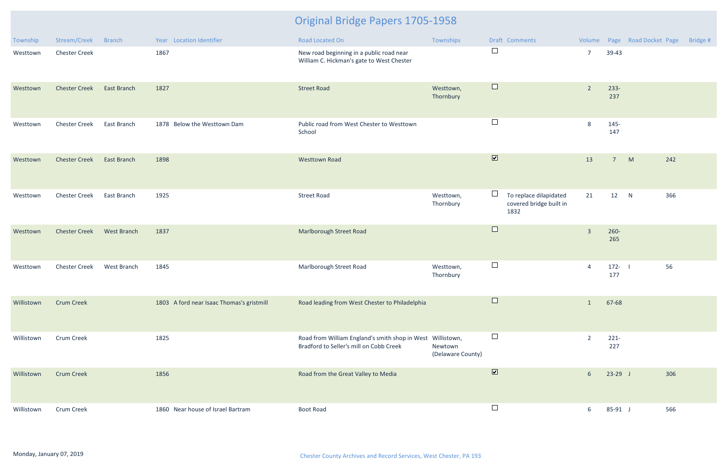| Township   | Stream/Creek         | <b>Branch</b>      | Year Location Identifier                  | Road Located On                                                                                       | Townships                    | Draft Comments                                                      |                         |                | Volume Page Road Docket Page | Bridge # |
|------------|----------------------|--------------------|-------------------------------------------|-------------------------------------------------------------------------------------------------------|------------------------------|---------------------------------------------------------------------|-------------------------|----------------|------------------------------|----------|
| Westtown   | <b>Chester Creek</b> |                    | 1867                                      | New road beginning in a public road near<br>William C. Hickman's gate to West Chester                 |                              | $\Box$                                                              | $\overline{7}$          | 39-43          |                              |          |
| Westtown   | <b>Chester Creek</b> | <b>East Branch</b> | 1827                                      | <b>Street Road</b>                                                                                    | Westtown,<br>Thornbury       | $\Box$                                                              | $\overline{2}$          | $233 -$<br>237 |                              |          |
| Westtown   | <b>Chester Creek</b> | East Branch        | 1878 Below the Westtown Dam               | Public road from West Chester to Westtown<br>School                                                   |                              | $\Box$                                                              | 8                       | 145-<br>147    |                              |          |
| Westtown   | <b>Chester Creek</b> | <b>East Branch</b> | 1898                                      | <b>Westtown Road</b>                                                                                  |                              | $\overline{\mathbf{v}}$                                             | 13                      | 7 <sup>7</sup> | M<br>242                     |          |
| Westtown   | <b>Chester Creek</b> | East Branch        | 1925                                      | <b>Street Road</b>                                                                                    | Westtown,<br>Thornbury       | $\Box$<br>To replace dilapidated<br>covered bridge built in<br>1832 | 21                      | 12             | N<br>366                     |          |
| Westtown   | <b>Chester Creek</b> | <b>West Branch</b> | 1837                                      | Marlborough Street Road                                                                               |                              | $\Box$                                                              | $\overline{\mathbf{3}}$ | $260 -$<br>265 |                              |          |
| Westtown   | <b>Chester Creek</b> | West Branch        | 1845                                      | Marlborough Street Road                                                                               | Westtown,<br>Thornbury       | $\Box$                                                              | $\overline{4}$          | $172 -$<br>177 | 56                           |          |
| Willistown | <b>Crum Creek</b>    |                    | 1803 A ford near Isaac Thomas's gristmill | Road leading from West Chester to Philadelphia                                                        |                              |                                                                     | $\mathbf{1}$            | 67-68          |                              |          |
| Willistown | <b>Crum Creek</b>    |                    | 1825                                      | Road from William England's smith shop in West Willistown,<br>Bradford to Seller's mill on Cobb Creek | Newtown<br>(Delaware County) | $\Box$                                                              | $\overline{2}$          | $221 -$<br>227 |                              |          |
| Willistown | <b>Crum Creek</b>    |                    | 1856                                      | Road from the Great Valley to Media                                                                   |                              | $\overline{\mathbf{v}}$                                             | 6 <sup>1</sup>          | $23-29$ J      | 306                          |          |
| Willistown | <b>Crum Creek</b>    |                    | 1860 Near house of Israel Bartram         | <b>Boot Road</b>                                                                                      |                              | $\Box$                                                              | 6                       | $85-91$ J      | 566                          |          |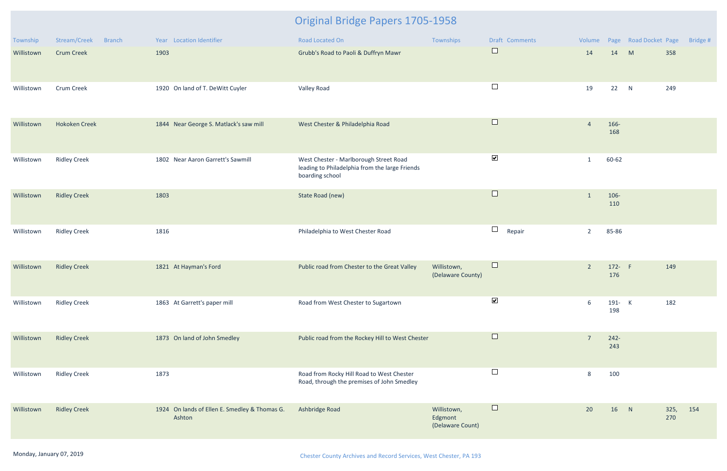| Township   | Stream/Creek<br><b>Branch</b> | Year Location Identifier                                | Road Located On                                                                                             | Townships                                  | Draft Comments       | Volume         |                | Page Road Docket Page |             | Bridge # |
|------------|-------------------------------|---------------------------------------------------------|-------------------------------------------------------------------------------------------------------------|--------------------------------------------|----------------------|----------------|----------------|-----------------------|-------------|----------|
| Willistown | <b>Crum Creek</b>             | 1903                                                    | Grubb's Road to Paoli & Duffryn Mawr                                                                        |                                            | $\Box$               | 14             | 14             | M                     | 358         |          |
| Willistown | Crum Creek                    | 1920 On land of T. DeWitt Cuyler                        | Valley Road                                                                                                 |                                            | $\Box$               | 19             | 22             | N                     | 249         |          |
| Willistown | <b>Hokoken Creek</b>          | 1844 Near George S. Matlack's saw mill                  | West Chester & Philadelphia Road                                                                            |                                            | $\Box$               | $\overline{4}$ | 166-<br>168    |                       |             |          |
| Willistown | <b>Ridley Creek</b>           | 1802 Near Aaron Garrett's Sawmill                       | West Chester - Marlborough Street Road<br>leading to Philadelphia from the large Friends<br>boarding school |                                            | $\blacktriangledown$ | 1              | 60-62          |                       |             |          |
| Willistown | <b>Ridley Creek</b>           | 1803                                                    | State Road (new)                                                                                            |                                            | $\Box$               | $\mathbf{1}$   | 106-<br>110    |                       |             |          |
| Willistown | <b>Ridley Creek</b>           | 1816                                                    | Philadelphia to West Chester Road                                                                           |                                            | $\Box$<br>Repair     | $\overline{2}$ | 85-86          |                       |             |          |
| Willistown | <b>Ridley Creek</b>           | 1821 At Hayman's Ford                                   | Public road from Chester to the Great Valley                                                                | Willistown,<br>(Delaware County)           | $\Box$               | $\overline{2}$ | 172- F<br>176  |                       | 149         |          |
| Willistown | <b>Ridley Creek</b>           | 1863 At Garrett's paper mill                            | Road from West Chester to Sugartown                                                                         |                                            | $\blacktriangledown$ | 6              | 191- K<br>198  |                       | 182         |          |
| Willistown | <b>Ridley Creek</b>           | 1873 On land of John Smedley                            | Public road from the Rockey Hill to West Chester                                                            |                                            | $\Box$               | $\overline{7}$ | $242 -$<br>243 |                       |             |          |
| Willistown | <b>Ridley Creek</b>           | 1873                                                    | Road from Rocky Hill Road to West Chester<br>Road, through the premises of John Smedley                     |                                            | $\Box$               | 8              | 100            |                       |             |          |
| Willistown | <b>Ridley Creek</b>           | 1924 On lands of Ellen E. Smedley & Thomas G.<br>Ashton | Ashbridge Road                                                                                              | Willistown,<br>Edgmont<br>(Delaware Count) | $\Box$               | 20             | 16             | N                     | 325,<br>270 | 154      |